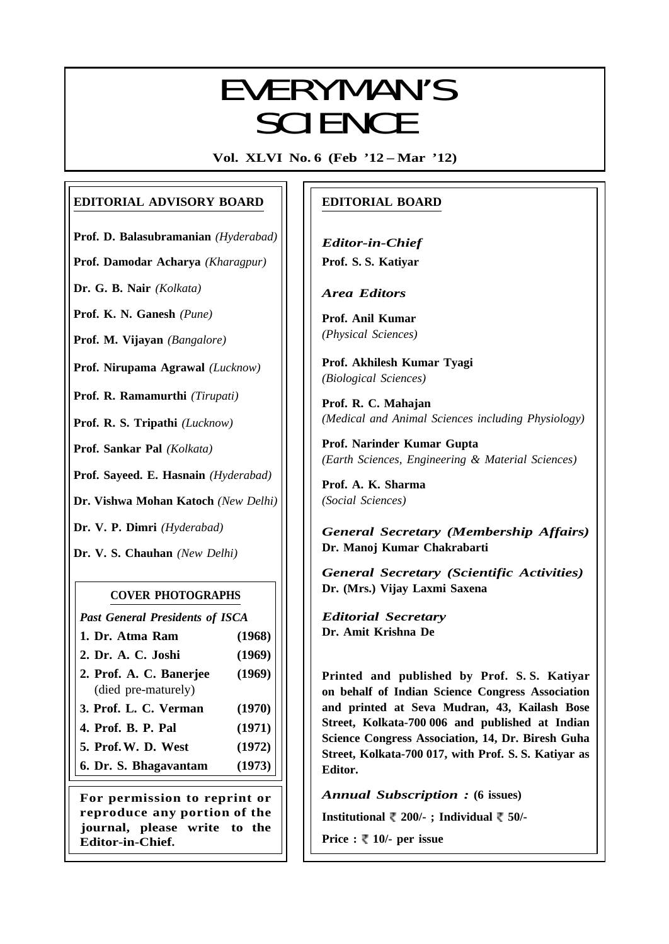# EVERYMANI/C EVERYMAN'S **SCIENCE**

**Vol. XLVI No. 6 (Feb '12 – Mar '12)**

## **EDITORIAL ADVISORY BOARD**

**Prof. D. Balasubramanian** *(Hyderabad)*

**Prof. Damodar Acharya** *(Kharagpur)*

**Dr. G. B. Nair** *(Kolkata)*

**Prof. K. N. Ganesh** *(Pune)*

**Prof. M. Vijayan** *(Bangalore)*

**Prof. Nirupama Agrawal** *(Lucknow)*

**Prof. R. Ramamurthi** *(Tirupati)*

**Prof. R. S. Tripathi** *(Lucknow)*

**Prof. Sankar Pal** *(Kolkata)*

**Prof. Sayeed. E. Hasnain** *(Hyderabad)*

**Dr. Vishwa Mohan Katoch** *(New Delhi)*

**Dr. V. P. Dimri** *(Hyderabad)*

**Dr. V. S. Chauhan** *(New Delhi)*

## **COVER PHOTOGRAPHS**

*Past General Presidents of ISCA*

- **1. Dr. Atma Ram (1968)**
- **2. Dr. A. C. Joshi (1969) 2. Prof. A. C. Banerjee (1969)**
- (died pre-maturely)
- **3. Prof. L. C. Verman (1970)**
- **4. Prof. B. P. Pal (1971)**
- **5. Prof.W. D. West (1972)**
- **6. Dr. S. Bhagavantam (1973)**

**For permission to reprint or reproduce any portion of the journal, please write to the Editor-in-Chief.**

## **EDITORIAL BOARD**

*Editor-in-Chief* **Prof. S. S. Katiyar**

*Area Editors*

**Prof. Anil Kumar** *(Physical Sciences)*

**Prof. Akhilesh Kumar Tyagi** *(Biological Sciences)*

**Prof. R. C. Mahajan** *(Medical and Animal Sciences including Physiology)*

**Prof. Narinder Kumar Gupta** *(Earth Sciences, Engineering & Material Sciences)*

**Prof. A. K. Sharma** *(Social Sciences)*

*General Secretary (Membership Affairs)* **Dr. Manoj Kumar Chakrabarti**

*General Secretary (Scientific Activities)* **Dr. (Mrs.) Vijay Laxmi Saxena**

*Editorial Secretary* **Dr. Amit Krishna De**

**Printed and published by Prof. S. S. Katiyar on behalf of Indian Science Congress Association and printed at Seva Mudran, 43, Kailash Bose Street, Kolkata-700 006 and published at Indian Science Congress Association, 14, Dr. Biresh Guha Street, Kolkata-700 017, with Prof. S. S. Katiyar as Editor.**

*Annual Subscription :* **(6 issues)**

**Institutional 200/- ; Individual 50/-**

**Price :**  $\sqrt[m]{ }$  **10/- per issue** 

317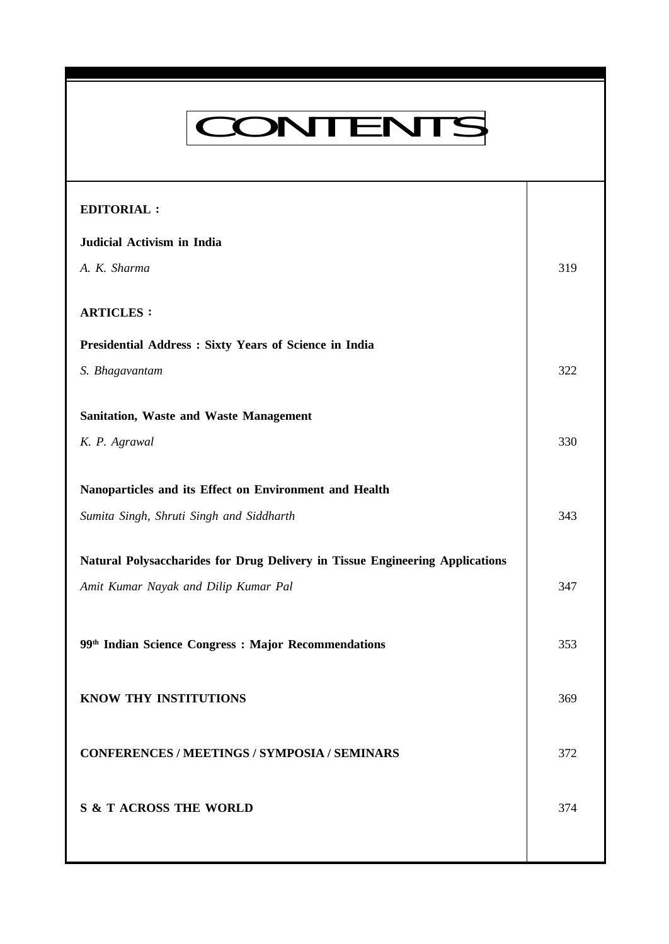# CONTENTS

**Everyman's Science Vol. XLVI No. 6, Feb '12 — Mar '12**

| 319 |
|-----|
|     |
|     |
|     |
| 322 |
|     |
|     |
| 330 |
|     |
|     |
| 343 |
|     |
| 347 |
|     |
|     |
| 353 |
|     |
| 369 |
|     |
| 372 |
|     |
| 374 |
|     |
|     |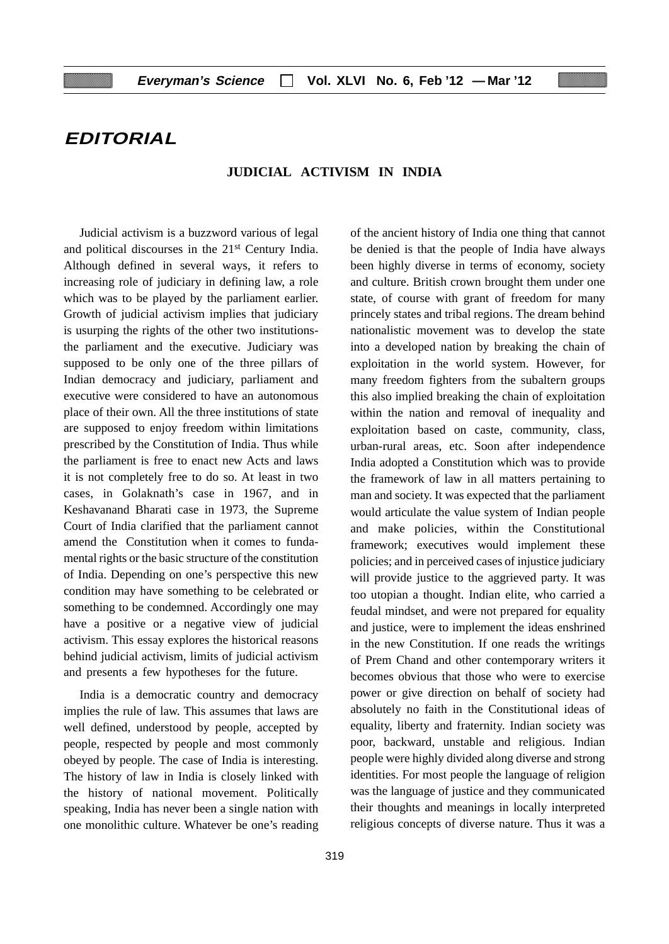## **EDITORIAL**

#### **JUDICIAL ACTIVISM IN INDIA**

Judicial activism is a buzzword various of legal and political discourses in the 21st Century India. Although defined in several ways, it refers to increasing role of judiciary in defining law, a role which was to be played by the parliament earlier. Growth of judicial activism implies that judiciary is usurping the rights of the other two institutionsthe parliament and the executive. Judiciary was supposed to be only one of the three pillars of Indian democracy and judiciary, parliament and executive were considered to have an autonomous place of their own. All the three institutions of state are supposed to enjoy freedom within limitations prescribed by the Constitution of India. Thus while the parliament is free to enact new Acts and laws it is not completely free to do so. At least in two cases, in Golaknath's case in 1967, and in Keshavanand Bharati case in 1973, the Supreme Court of India clarified that the parliament cannot amend the Constitution when it comes to fundamental rights or the basic structure of the constitution of India. Depending on one's perspective this new condition may have something to be celebrated or something to be condemned. Accordingly one may have a positive or a negative view of judicial activism. This essay explores the historical reasons behind judicial activism, limits of judicial activism and presents a few hypotheses for the future.

India is a democratic country and democracy implies the rule of law. This assumes that laws are well defined, understood by people, accepted by people, respected by people and most commonly obeyed by people. The case of India is interesting. The history of law in India is closely linked with the history of national movement. Politically speaking, India has never been a single nation with one monolithic culture. Whatever be one's reading of the ancient history of India one thing that cannot be denied is that the people of India have always been highly diverse in terms of economy, society and culture. British crown brought them under one state, of course with grant of freedom for many princely states and tribal regions. The dream behind nationalistic movement was to develop the state into a developed nation by breaking the chain of exploitation in the world system. However, for many freedom fighters from the subaltern groups this also implied breaking the chain of exploitation within the nation and removal of inequality and exploitation based on caste, community, class, urban-rural areas, etc. Soon after independence India adopted a Constitution which was to provide the framework of law in all matters pertaining to man and society. It was expected that the parliament would articulate the value system of Indian people and make policies, within the Constitutional framework; executives would implement these policies; and in perceived cases of injustice judiciary will provide justice to the aggrieved party. It was too utopian a thought. Indian elite, who carried a feudal mindset, and were not prepared for equality and justice, were to implement the ideas enshrined in the new Constitution. If one reads the writings of Prem Chand and other contemporary writers it becomes obvious that those who were to exercise power or give direction on behalf of society had absolutely no faith in the Constitutional ideas of equality, liberty and fraternity. Indian society was poor, backward, unstable and religious. Indian people were highly divided along diverse and strong identities. For most people the language of religion was the language of justice and they communicated their thoughts and meanings in locally interpreted religious concepts of diverse nature. Thus it was a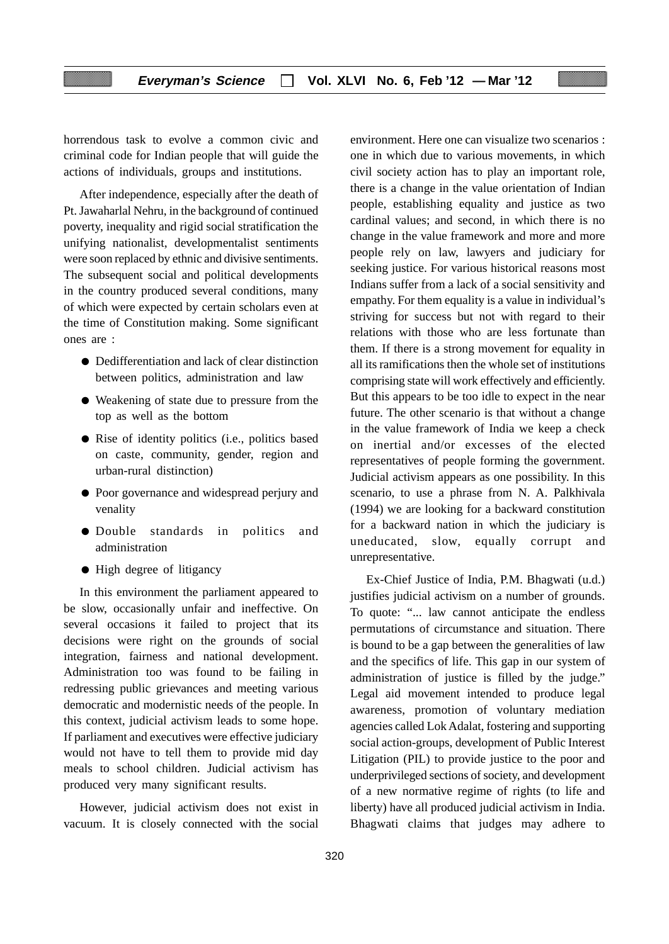horrendous task to evolve a common civic and criminal code for Indian people that will guide the actions of individuals, groups and institutions.

After independence, especially after the death of Pt. Jawaharlal Nehru, in the background of continued poverty, inequality and rigid social stratification the unifying nationalist, developmentalist sentiments were soon replaced by ethnic and divisive sentiments. The subsequent social and political developments in the country produced several conditions, many of which were expected by certain scholars even at the time of Constitution making. Some significant ones are :

- Dedifferentiation and lack of clear distinction between politics, administration and law
- Weakening of state due to pressure from the top as well as the bottom
- Rise of identity politics (i.e., politics based on caste, community, gender, region and urban-rural distinction)
- Poor governance and widespread perjury and venality
- Double standards in politics and administration
- High degree of litigancy

In this environment the parliament appeared to be slow, occasionally unfair and ineffective. On several occasions it failed to project that its decisions were right on the grounds of social integration, fairness and national development. Administration too was found to be failing in redressing public grievances and meeting various democratic and modernistic needs of the people. In this context, judicial activism leads to some hope. If parliament and executives were effective judiciary would not have to tell them to provide mid day meals to school children. Judicial activism has produced very many significant results.

However, judicial activism does not exist in vacuum. It is closely connected with the social environment. Here one can visualize two scenarios : one in which due to various movements, in which civil society action has to play an important role, there is a change in the value orientation of Indian people, establishing equality and justice as two cardinal values; and second, in which there is no change in the value framework and more and more people rely on law, lawyers and judiciary for seeking justice. For various historical reasons most Indians suffer from a lack of a social sensitivity and empathy. For them equality is a value in individual's striving for success but not with regard to their relations with those who are less fortunate than them. If there is a strong movement for equality in all its ramifications then the whole set of institutions comprising state will work effectively and efficiently. But this appears to be too idle to expect in the near future. The other scenario is that without a change in the value framework of India we keep a check on inertial and/or excesses of the elected representatives of people forming the government. Judicial activism appears as one possibility. In this scenario, to use a phrase from N. A. Palkhivala (1994) we are looking for a backward constitution for a backward nation in which the judiciary is uneducated, slow, equally corrupt and unrepresentative.

Ex-Chief Justice of India, P.M. Bhagwati (u.d.) justifies judicial activism on a number of grounds. To quote: "... law cannot anticipate the endless permutations of circumstance and situation. There is bound to be a gap between the generalities of law and the specifics of life. This gap in our system of administration of justice is filled by the judge." Legal aid movement intended to produce legal awareness, promotion of voluntary mediation agencies called Lok Adalat, fostering and supporting social action-groups, development of Public Interest Litigation (PIL) to provide justice to the poor and underprivileged sections of society, and development of a new normative regime of rights (to life and liberty) have all produced judicial activism in India. Bhagwati claims that judges may adhere to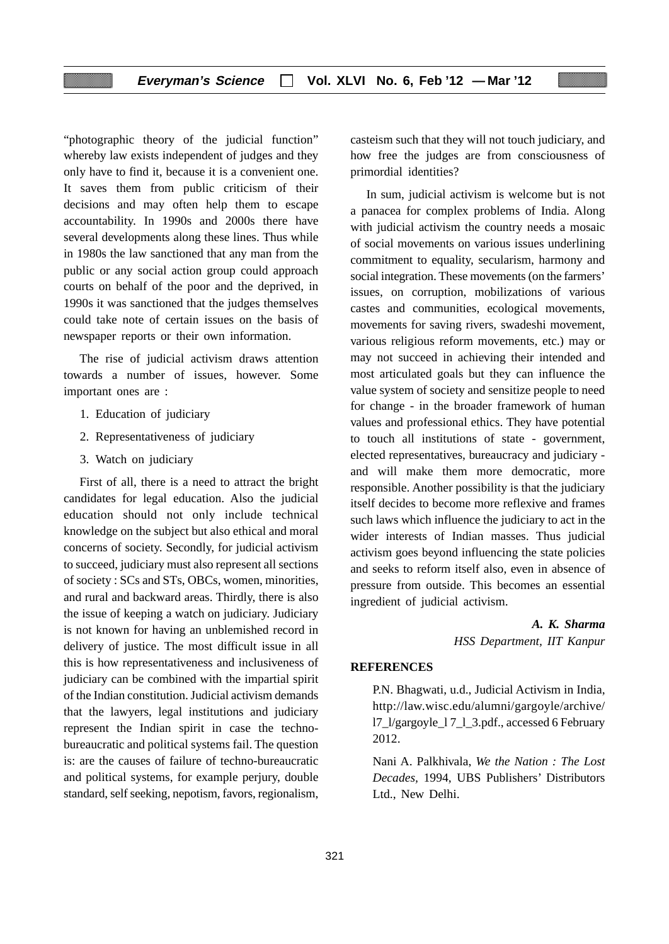"photographic theory of the judicial function" whereby law exists independent of judges and they only have to find it, because it is a convenient one. It saves them from public criticism of their decisions and may often help them to escape accountability. In 1990s and 2000s there have several developments along these lines. Thus while in 1980s the law sanctioned that any man from the public or any social action group could approach courts on behalf of the poor and the deprived, in 1990s it was sanctioned that the judges themselves could take note of certain issues on the basis of newspaper reports or their own information.

The rise of judicial activism draws attention towards a number of issues, however. Some important ones are :

- 1. Education of judiciary
- 2. Representativeness of judiciary
- 3. Watch on judiciary

First of all, there is a need to attract the bright candidates for legal education. Also the judicial education should not only include technical knowledge on the subject but also ethical and moral concerns of society. Secondly, for judicial activism to succeed, judiciary must also represent all sections of society : SCs and STs, OBCs, women, minorities, and rural and backward areas. Thirdly, there is also the issue of keeping a watch on judiciary. Judiciary is not known for having an unblemished record in delivery of justice. The most difficult issue in all this is how representativeness and inclusiveness of judiciary can be combined with the impartial spirit of the Indian constitution. Judicial activism demands that the lawyers, legal institutions and judiciary represent the Indian spirit in case the technobureaucratic and political systems fail. The question is: are the causes of failure of techno-bureaucratic and political systems, for example perjury, double standard, self seeking, nepotism, favors, regionalism,

casteism such that they will not touch judiciary, and how free the judges are from consciousness of primordial identities?

In sum, judicial activism is welcome but is not a panacea for complex problems of India. Along with judicial activism the country needs a mosaic of social movements on various issues underlining commitment to equality, secularism, harmony and social integration. These movements (on the farmers' issues, on corruption, mobilizations of various castes and communities, ecological movements, movements for saving rivers, swadeshi movement, various religious reform movements, etc.) may or may not succeed in achieving their intended and most articulated goals but they can influence the value system of society and sensitize people to need for change - in the broader framework of human values and professional ethics. They have potential to touch all institutions of state - government, elected representatives, bureaucracy and judiciary and will make them more democratic, more responsible. Another possibility is that the judiciary itself decides to become more reflexive and frames such laws which influence the judiciary to act in the wider interests of Indian masses. Thus judicial activism goes beyond influencing the state policies and seeks to reform itself also, even in absence of pressure from outside. This becomes an essential ingredient of judicial activism.

> *A. K. Sharma HSS Department, IIT Kanpur*

#### **REFERENCES**

P.N. Bhagwati, u.d., Judicial Activism in India, http://law.wisc.edu/alumni/gargoyle/archive/ l7\_l/gargoyle\_l 7\_l\_3.pdf., accessed 6 February 2012.

Nani A. Palkhivala, *We the Nation : The Lost Decades,* 1994, UBS Publishers' Distributors Ltd., New Delhi.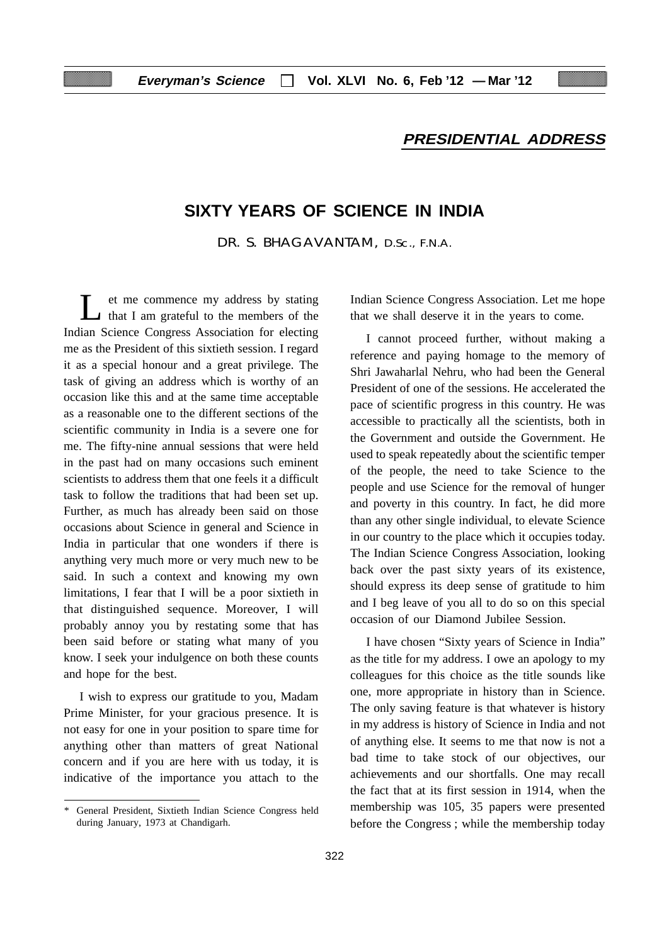## **PRESIDENTIAL ADDRESS**

## **SIXTY YEARS OF SCIENCE IN INDIA**

DR. S. BHAGAVANTAM, D.Sc., F.N.A.

et me commence my address by stating I that I am grateful to the members of the Indian Science Congress Association for electing me as the President of this sixtieth session. I regard it as a special honour and a great privilege. The task of giving an address which is worthy of an occasion like this and at the same time acceptable as a reasonable one to the different sections of the scientific community in India is a severe one for me. The fifty-nine annual sessions that were held in the past had on many occasions such eminent scientists to address them that one feels it a difficult task to follow the traditions that had been set up. Further, as much has already been said on those occasions about Science in general and Science in India in particular that one wonders if there is anything very much more or very much new to be said. In such a context and knowing my own limitations, I fear that I will be a poor sixtieth in that distinguished sequence. Moreover, I will probably annoy you by restating some that has been said before or stating what many of you know. I seek your indulgence on both these counts and hope for the best.

I wish to express our gratitude to you, Madam Prime Minister, for your gracious presence. It is not easy for one in your position to spare time for anything other than matters of great National concern and if you are here with us today, it is indicative of the importance you attach to the

Indian Science Congress Association. Let me hope that we shall deserve it in the years to come.

I cannot proceed further, without making a reference and paying homage to the memory of Shri Jawaharlal Nehru, who had been the General President of one of the sessions. He accelerated the pace of scientific progress in this country. He was accessible to practically all the scientists, both in the Government and outside the Government. He used to speak repeatedly about the scientific temper of the people, the need to take Science to the people and use Science for the removal of hunger and poverty in this country. In fact, he did more than any other single individual, to elevate Science in our country to the place which it occupies today. The Indian Science Congress Association, looking back over the past sixty years of its existence, should express its deep sense of gratitude to him and I beg leave of you all to do so on this special occasion of our Diamond Jubilee Session.

I have chosen "Sixty years of Science in India" as the title for my address. I owe an apology to my colleagues for this choice as the title sounds like one, more appropriate in history than in Science. The only saving feature is that whatever is history in my address is history of Science in India and not of anything else. It seems to me that now is not a bad time to take stock of our objectives, our achievements and our shortfalls. One may recall the fact that at its first session in 1914, when the membership was 105, 35 papers were presented before the Congress ; while the membership today

<sup>\*</sup> General President, Sixtieth Indian Science Congress held during January, 1973 at Chandigarh.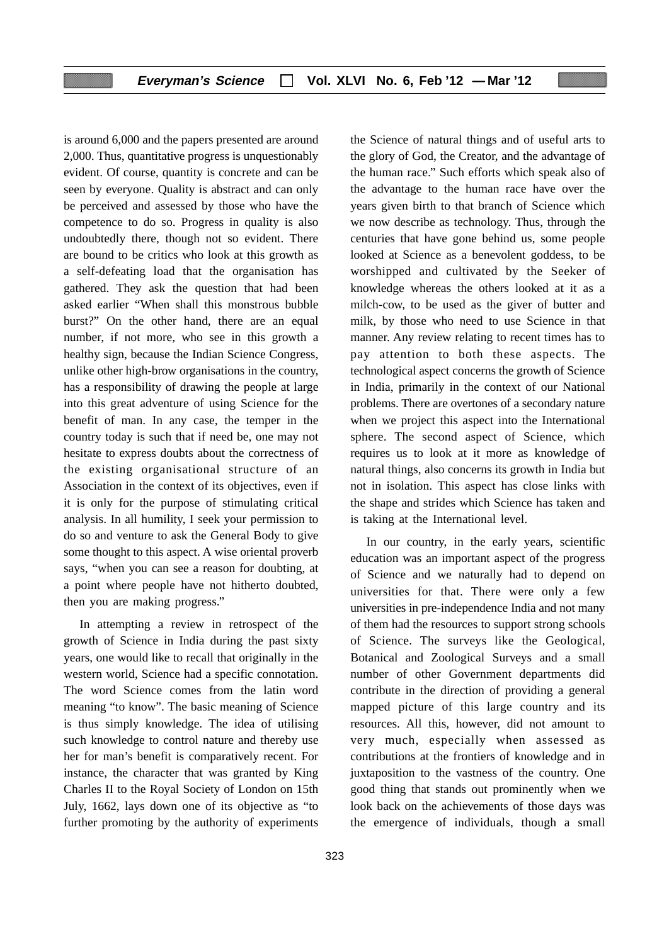is around 6,000 and the papers presented are around 2,000. Thus, quantitative progress is unquestionably evident. Of course, quantity is concrete and can be seen by everyone. Quality is abstract and can only be perceived and assessed by those who have the competence to do so. Progress in quality is also undoubtedly there, though not so evident. There are bound to be critics who look at this growth as a self-defeating load that the organisation has gathered. They ask the question that had been asked earlier "When shall this monstrous bubble burst?" On the other hand, there are an equal number, if not more, who see in this growth a healthy sign, because the Indian Science Congress, unlike other high-brow organisations in the country, has a responsibility of drawing the people at large into this great adventure of using Science for the benefit of man. In any case, the temper in the country today is such that if need be, one may not hesitate to express doubts about the correctness of the existing organisational structure of an Association in the context of its objectives, even if it is only for the purpose of stimulating critical analysis. In all humility, I seek your permission to do so and venture to ask the General Body to give some thought to this aspect. A wise oriental proverb says, "when you can see a reason for doubting, at a point where people have not hitherto doubted, then you are making progress."

In attempting a review in retrospect of the growth of Science in India during the past sixty years, one would like to recall that originally in the western world, Science had a specific connotation. The word Science comes from the latin word meaning "to know". The basic meaning of Science is thus simply knowledge. The idea of utilising such knowledge to control nature and thereby use her for man's benefit is comparatively recent. For instance, the character that was granted by King Charles II to the Royal Society of London on 15th July, 1662, lays down one of its objective as "to further promoting by the authority of experiments

323

the Science of natural things and of useful arts to the glory of God, the Creator, and the advantage of the human race." Such efforts which speak also of the advantage to the human race have over the years given birth to that branch of Science which we now describe as technology. Thus, through the centuries that have gone behind us, some people looked at Science as a benevolent goddess, to be worshipped and cultivated by the Seeker of knowledge whereas the others looked at it as a milch-cow, to be used as the giver of butter and milk, by those who need to use Science in that manner. Any review relating to recent times has to pay attention to both these aspects. The technological aspect concerns the growth of Science in India, primarily in the context of our National problems. There are overtones of a secondary nature when we project this aspect into the International sphere. The second aspect of Science, which requires us to look at it more as knowledge of natural things, also concerns its growth in India but not in isolation. This aspect has close links with the shape and strides which Science has taken and is taking at the International level.

In our country, in the early years, scientific education was an important aspect of the progress of Science and we naturally had to depend on universities for that. There were only a few universities in pre-independence India and not many of them had the resources to support strong schools of Science. The surveys like the Geological, Botanical and Zoological Surveys and a small number of other Government departments did contribute in the direction of providing a general mapped picture of this large country and its resources. All this, however, did not amount to very much, especially when assessed as contributions at the frontiers of knowledge and in juxtaposition to the vastness of the country. One good thing that stands out prominently when we look back on the achievements of those days was the emergence of individuals, though a small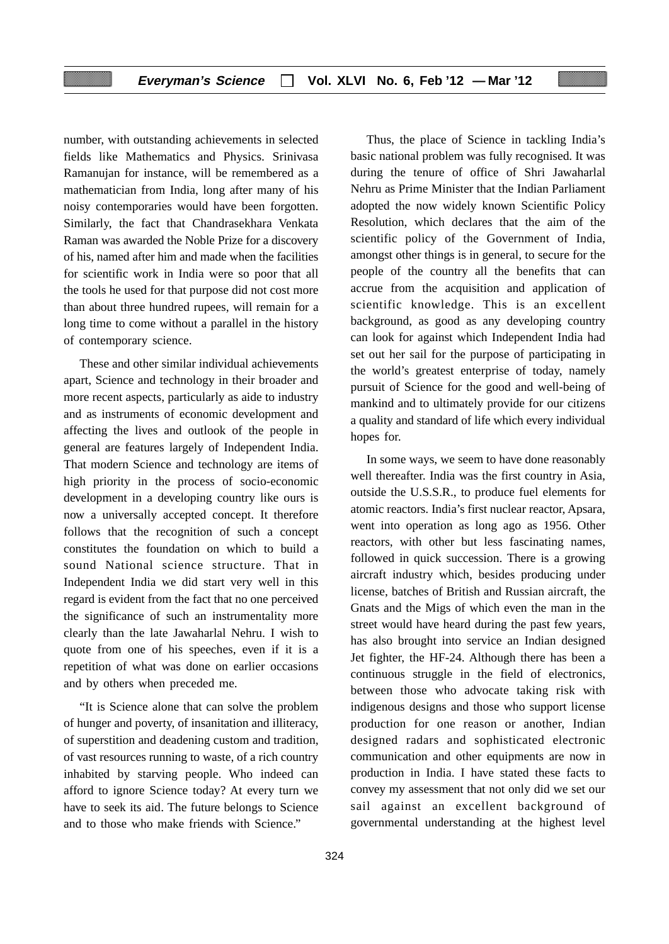number, with outstanding achievements in selected fields like Mathematics and Physics. Srinivasa Ramanujan for instance, will be remembered as a mathematician from India, long after many of his noisy contemporaries would have been forgotten. Similarly, the fact that Chandrasekhara Venkata Raman was awarded the Noble Prize for a discovery of his, named after him and made when the facilities for scientific work in India were so poor that all the tools he used for that purpose did not cost more than about three hundred rupees, will remain for a long time to come without a parallel in the history of contemporary science.

These and other similar individual achievements apart, Science and technology in their broader and more recent aspects, particularly as aide to industry and as instruments of economic development and affecting the lives and outlook of the people in general are features largely of Independent India. That modern Science and technology are items of high priority in the process of socio-economic development in a developing country like ours is now a universally accepted concept. It therefore follows that the recognition of such a concept constitutes the foundation on which to build a sound National science structure. That in Independent India we did start very well in this regard is evident from the fact that no one perceived the significance of such an instrumentality more clearly than the late Jawaharlal Nehru. I wish to quote from one of his speeches, even if it is a repetition of what was done on earlier occasions and by others when preceded me.

"It is Science alone that can solve the problem of hunger and poverty, of insanitation and illiteracy, of superstition and deadening custom and tradition, of vast resources running to waste, of a rich country inhabited by starving people. Who indeed can afford to ignore Science today? At every turn we have to seek its aid. The future belongs to Science and to those who make friends with Science."

Thus, the place of Science in tackling India's basic national problem was fully recognised. It was during the tenure of office of Shri Jawaharlal Nehru as Prime Minister that the Indian Parliament adopted the now widely known Scientific Policy Resolution, which declares that the aim of the scientific policy of the Government of India, amongst other things is in general, to secure for the people of the country all the benefits that can accrue from the acquisition and application of scientific knowledge. This is an excellent background, as good as any developing country can look for against which Independent India had set out her sail for the purpose of participating in the world's greatest enterprise of today, namely pursuit of Science for the good and well-being of mankind and to ultimately provide for our citizens a quality and standard of life which every individual hopes for.

In some ways, we seem to have done reasonably well thereafter. India was the first country in Asia, outside the U.S.S.R., to produce fuel elements for atomic reactors. India's first nuclear reactor, Apsara, went into operation as long ago as 1956. Other reactors, with other but less fascinating names, followed in quick succession. There is a growing aircraft industry which, besides producing under license, batches of British and Russian aircraft, the Gnats and the Migs of which even the man in the street would have heard during the past few years, has also brought into service an Indian designed Jet fighter, the HF-24. Although there has been a continuous struggle in the field of electronics, between those who advocate taking risk with indigenous designs and those who support license production for one reason or another, Indian designed radars and sophisticated electronic communication and other equipments are now in production in India. I have stated these facts to convey my assessment that not only did we set our sail against an excellent background of governmental understanding at the highest level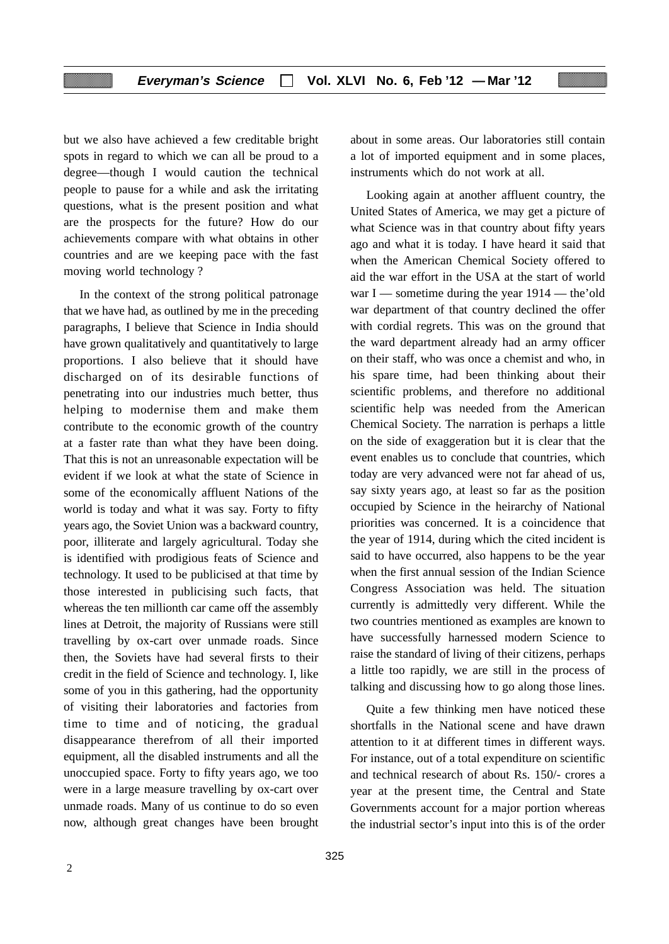but we also have achieved a few creditable bright spots in regard to which we can all be proud to a degree—though I would caution the technical people to pause for a while and ask the irritating questions, what is the present position and what are the prospects for the future? How do our achievements compare with what obtains in other countries and are we keeping pace with the fast moving world technology ?

In the context of the strong political patronage that we have had, as outlined by me in the preceding paragraphs, I believe that Science in India should have grown qualitatively and quantitatively to large proportions. I also believe that it should have discharged on of its desirable functions of penetrating into our industries much better, thus helping to modernise them and make them contribute to the economic growth of the country at a faster rate than what they have been doing. That this is not an unreasonable expectation will be evident if we look at what the state of Science in some of the economically affluent Nations of the world is today and what it was say. Forty to fifty years ago, the Soviet Union was a backward country, poor, illiterate and largely agricultural. Today she is identified with prodigious feats of Science and technology. It used to be publicised at that time by those interested in publicising such facts, that whereas the ten millionth car came off the assembly lines at Detroit, the majority of Russians were still travelling by ox-cart over unmade roads. Since then, the Soviets have had several firsts to their credit in the field of Science and technology. I, like some of you in this gathering, had the opportunity of visiting their laboratories and factories from time to time and of noticing, the gradual disappearance therefrom of all their imported equipment, all the disabled instruments and all the unoccupied space. Forty to fifty years ago, we too were in a large measure travelling by ox-cart over unmade roads. Many of us continue to do so even now, although great changes have been brought about in some areas. Our laboratories still contain a lot of imported equipment and in some places, instruments which do not work at all.

Looking again at another affluent country, the United States of America, we may get a picture of what Science was in that country about fifty years ago and what it is today. I have heard it said that when the American Chemical Society offered to aid the war effort in the USA at the start of world war I — sometime during the year  $1914$  — the 'old war department of that country declined the offer with cordial regrets. This was on the ground that the ward department already had an army officer on their staff, who was once a chemist and who, in his spare time, had been thinking about their scientific problems, and therefore no additional scientific help was needed from the American Chemical Society. The narration is perhaps a little on the side of exaggeration but it is clear that the event enables us to conclude that countries, which today are very advanced were not far ahead of us, say sixty years ago, at least so far as the position occupied by Science in the heirarchy of National priorities was concerned. It is a coincidence that the year of 1914, during which the cited incident is said to have occurred, also happens to be the year when the first annual session of the Indian Science Congress Association was held. The situation currently is admittedly very different. While the two countries mentioned as examples are known to have successfully harnessed modern Science to raise the standard of living of their citizens, perhaps a little too rapidly, we are still in the process of talking and discussing how to go along those lines.

Quite a few thinking men have noticed these shortfalls in the National scene and have drawn attention to it at different times in different ways. For instance, out of a total expenditure on scientific and technical research of about Rs. 150/- crores a year at the present time, the Central and State Governments account for a major portion whereas the industrial sector's input into this is of the order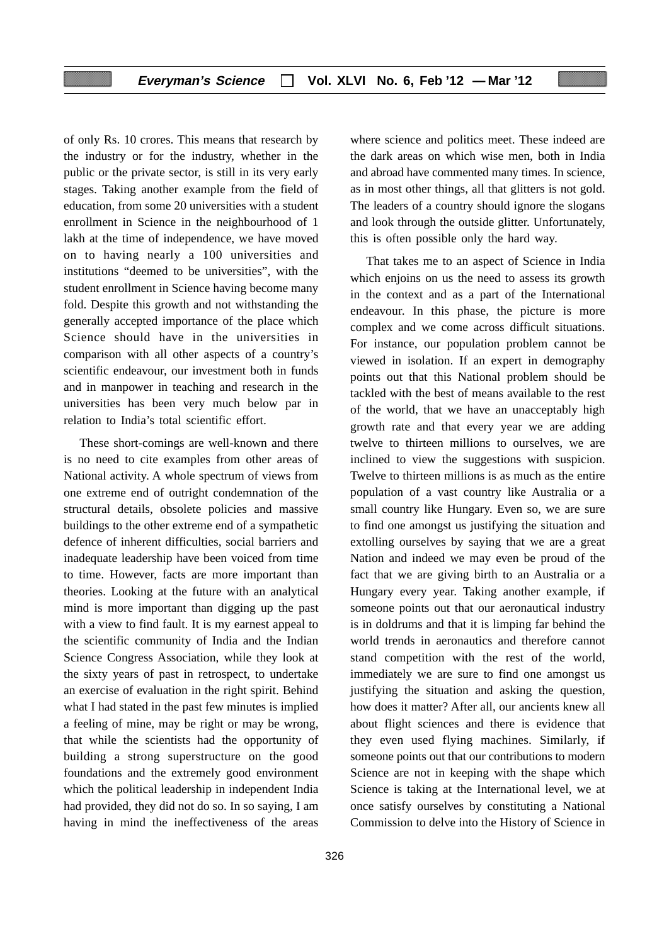of only Rs. 10 crores. This means that research by the industry or for the industry, whether in the public or the private sector, is still in its very early stages. Taking another example from the field of education, from some 20 universities with a student enrollment in Science in the neighbourhood of 1 lakh at the time of independence, we have moved on to having nearly a 100 universities and institutions "deemed to be universities", with the student enrollment in Science having become many fold. Despite this growth and not withstanding the generally accepted importance of the place which Science should have in the universities in comparison with all other aspects of a country's scientific endeavour, our investment both in funds and in manpower in teaching and research in the universities has been very much below par in relation to India's total scientific effort.

These short-comings are well-known and there is no need to cite examples from other areas of National activity. A whole spectrum of views from one extreme end of outright condemnation of the structural details, obsolete policies and massive buildings to the other extreme end of a sympathetic defence of inherent difficulties, social barriers and inadequate leadership have been voiced from time to time. However, facts are more important than theories. Looking at the future with an analytical mind is more important than digging up the past with a view to find fault. It is my earnest appeal to the scientific community of India and the Indian Science Congress Association, while they look at the sixty years of past in retrospect, to undertake an exercise of evaluation in the right spirit. Behind what I had stated in the past few minutes is implied a feeling of mine, may be right or may be wrong, that while the scientists had the opportunity of building a strong superstructure on the good foundations and the extremely good environment which the political leadership in independent India had provided, they did not do so. In so saying, I am having in mind the ineffectiveness of the areas

where science and politics meet. These indeed are the dark areas on which wise men, both in India and abroad have commented many times. In science, as in most other things, all that glitters is not gold. The leaders of a country should ignore the slogans and look through the outside glitter. Unfortunately, this is often possible only the hard way.

That takes me to an aspect of Science in India which enjoins on us the need to assess its growth in the context and as a part of the International endeavour. In this phase, the picture is more complex and we come across difficult situations. For instance, our population problem cannot be viewed in isolation. If an expert in demography points out that this National problem should be tackled with the best of means available to the rest of the world, that we have an unacceptably high growth rate and that every year we are adding twelve to thirteen millions to ourselves, we are inclined to view the suggestions with suspicion. Twelve to thirteen millions is as much as the entire population of a vast country like Australia or a small country like Hungary. Even so, we are sure to find one amongst us justifying the situation and extolling ourselves by saying that we are a great Nation and indeed we may even be proud of the fact that we are giving birth to an Australia or a Hungary every year. Taking another example, if someone points out that our aeronautical industry is in doldrums and that it is limping far behind the world trends in aeronautics and therefore cannot stand competition with the rest of the world, immediately we are sure to find one amongst us justifying the situation and asking the question, how does it matter? After all, our ancients knew all about flight sciences and there is evidence that they even used flying machines. Similarly, if someone points out that our contributions to modern Science are not in keeping with the shape which Science is taking at the International level, we at once satisfy ourselves by constituting a National Commission to delve into the History of Science in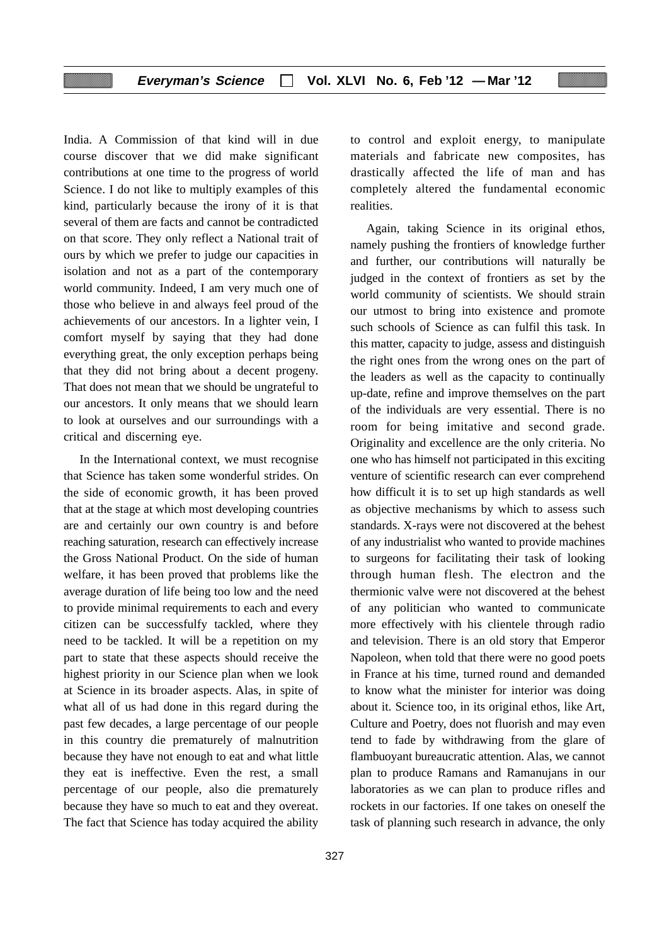India. A Commission of that kind will in due course discover that we did make significant contributions at one time to the progress of world Science. I do not like to multiply examples of this kind, particularly because the irony of it is that several of them are facts and cannot be contradicted on that score. They only reflect a National trait of ours by which we prefer to judge our capacities in isolation and not as a part of the contemporary world community. Indeed, I am very much one of those who believe in and always feel proud of the achievements of our ancestors. In a lighter vein, I comfort myself by saying that they had done everything great, the only exception perhaps being that they did not bring about a decent progeny. That does not mean that we should be ungrateful to our ancestors. It only means that we should learn to look at ourselves and our surroundings with a critical and discerning eye.

In the International context, we must recognise that Science has taken some wonderful strides. On the side of economic growth, it has been proved that at the stage at which most developing countries are and certainly our own country is and before reaching saturation, research can effectively increase the Gross National Product. On the side of human welfare, it has been proved that problems like the average duration of life being too low and the need to provide minimal requirements to each and every citizen can be successfulfy tackled, where they need to be tackled. It will be a repetition on my part to state that these aspects should receive the highest priority in our Science plan when we look at Science in its broader aspects. Alas, in spite of what all of us had done in this regard during the past few decades, a large percentage of our people in this country die prematurely of malnutrition because they have not enough to eat and what little they eat is ineffective. Even the rest, a small percentage of our people, also die prematurely because they have so much to eat and they overeat. The fact that Science has today acquired the ability to control and exploit energy, to manipulate materials and fabricate new composites, has drastically affected the life of man and has completely altered the fundamental economic realities.

Again, taking Science in its original ethos, namely pushing the frontiers of knowledge further and further, our contributions will naturally be judged in the context of frontiers as set by the world community of scientists. We should strain our utmost to bring into existence and promote such schools of Science as can fulfil this task. In this matter, capacity to judge, assess and distinguish the right ones from the wrong ones on the part of the leaders as well as the capacity to continually up-date, refine and improve themselves on the part of the individuals are very essential. There is no room for being imitative and second grade. Originality and excellence are the only criteria. No one who has himself not participated in this exciting venture of scientific research can ever comprehend how difficult it is to set up high standards as well as objective mechanisms by which to assess such standards. X-rays were not discovered at the behest of any industrialist who wanted to provide machines to surgeons for facilitating their task of looking through human flesh. The electron and the thermionic valve were not discovered at the behest of any politician who wanted to communicate more effectively with his clientele through radio and television. There is an old story that Emperor Napoleon, when told that there were no good poets in France at his time, turned round and demanded to know what the minister for interior was doing about it. Science too, in its original ethos, like Art, Culture and Poetry, does not fluorish and may even tend to fade by withdrawing from the glare of flambuoyant bureaucratic attention. Alas, we cannot plan to produce Ramans and Ramanujans in our laboratories as we can plan to produce rifles and rockets in our factories. If one takes on oneself the task of planning such research in advance, the only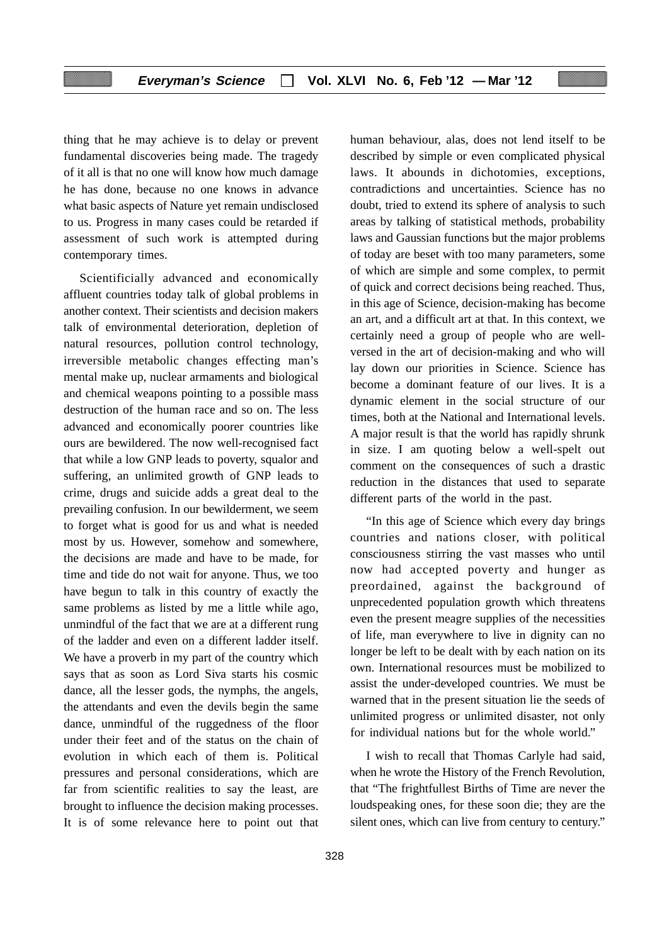thing that he may achieve is to delay or prevent fundamental discoveries being made. The tragedy of it all is that no one will know how much damage he has done, because no one knows in advance what basic aspects of Nature yet remain undisclosed to us. Progress in many cases could be retarded if assessment of such work is attempted during contemporary times.

Scientificially advanced and economically affluent countries today talk of global problems in another context. Their scientists and decision makers talk of environmental deterioration, depletion of natural resources, pollution control technology, irreversible metabolic changes effecting man's mental make up, nuclear armaments and biological and chemical weapons pointing to a possible mass destruction of the human race and so on. The less advanced and economically poorer countries like ours are bewildered. The now well-recognised fact that while a low GNP leads to poverty, squalor and suffering, an unlimited growth of GNP leads to crime, drugs and suicide adds a great deal to the prevailing confusion. In our bewilderment, we seem to forget what is good for us and what is needed most by us. However, somehow and somewhere, the decisions are made and have to be made, for time and tide do not wait for anyone. Thus, we too have begun to talk in this country of exactly the same problems as listed by me a little while ago, unmindful of the fact that we are at a different rung of the ladder and even on a different ladder itself. We have a proverb in my part of the country which says that as soon as Lord Siva starts his cosmic dance, all the lesser gods, the nymphs, the angels, the attendants and even the devils begin the same dance, unmindful of the ruggedness of the floor under their feet and of the status on the chain of evolution in which each of them is. Political pressures and personal considerations, which are far from scientific realities to say the least, are brought to influence the decision making processes. It is of some relevance here to point out that

human behaviour, alas, does not lend itself to be described by simple or even complicated physical laws. It abounds in dichotomies, exceptions, contradictions and uncertainties. Science has no doubt, tried to extend its sphere of analysis to such areas by talking of statistical methods, probability laws and Gaussian functions but the major problems of today are beset with too many parameters, some of which are simple and some complex, to permit of quick and correct decisions being reached. Thus, in this age of Science, decision-making has become an art, and a difficult art at that. In this context, we certainly need a group of people who are wellversed in the art of decision-making and who will lay down our priorities in Science. Science has become a dominant feature of our lives. It is a dynamic element in the social structure of our times, both at the National and International levels. A major result is that the world has rapidly shrunk in size. I am quoting below a well-spelt out comment on the consequences of such a drastic reduction in the distances that used to separate different parts of the world in the past.

"In this age of Science which every day brings countries and nations closer, with political consciousness stirring the vast masses who until now had accepted poverty and hunger as preordained, against the background of unprecedented population growth which threatens even the present meagre supplies of the necessities of life, man everywhere to live in dignity can no longer be left to be dealt with by each nation on its own. International resources must be mobilized to assist the under-developed countries. We must be warned that in the present situation lie the seeds of unlimited progress or unlimited disaster, not only for individual nations but for the whole world."

I wish to recall that Thomas Carlyle had said, when he wrote the History of the French Revolution, that "The frightfullest Births of Time are never the loudspeaking ones, for these soon die; they are the silent ones, which can live from century to century."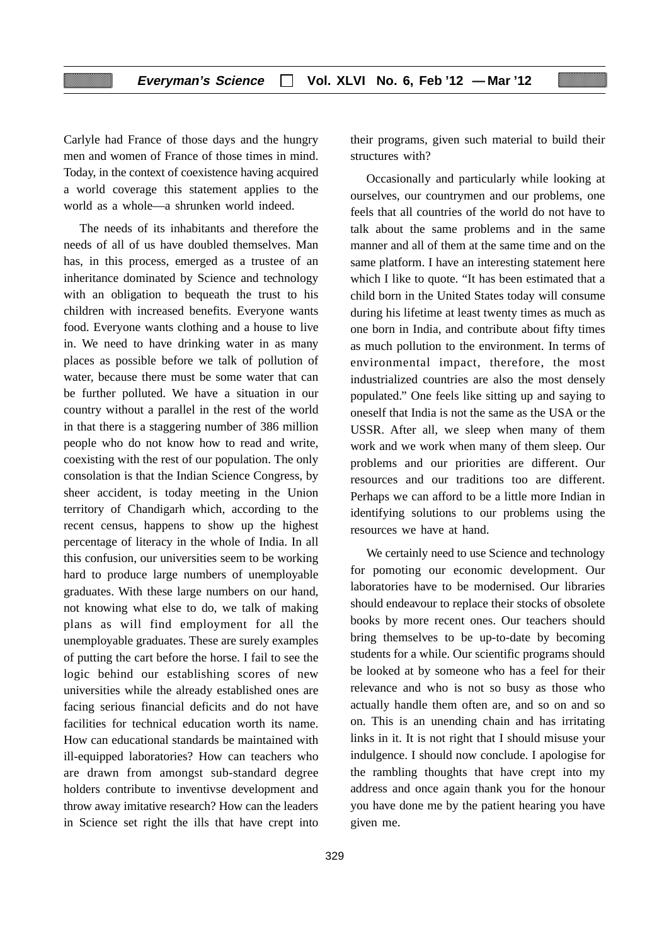Carlyle had France of those days and the hungry men and women of France of those times in mind. Today, in the context of coexistence having acquired a world coverage this statement applies to the world as a whole—a shrunken world indeed.

The needs of its inhabitants and therefore the needs of all of us have doubled themselves. Man has, in this process, emerged as a trustee of an inheritance dominated by Science and technology with an obligation to bequeath the trust to his children with increased benefits. Everyone wants food. Everyone wants clothing and a house to live in. We need to have drinking water in as many places as possible before we talk of pollution of water, because there must be some water that can be further polluted. We have a situation in our country without a parallel in the rest of the world in that there is a staggering number of 386 million people who do not know how to read and write, coexisting with the rest of our population. The only consolation is that the Indian Science Congress, by sheer accident, is today meeting in the Union territory of Chandigarh which, according to the recent census, happens to show up the highest percentage of literacy in the whole of India. In all this confusion, our universities seem to be working hard to produce large numbers of unemployable graduates. With these large numbers on our hand, not knowing what else to do, we talk of making plans as will find employment for all the unemployable graduates. These are surely examples of putting the cart before the horse. I fail to see the logic behind our establishing scores of new universities while the already established ones are facing serious financial deficits and do not have facilities for technical education worth its name. How can educational standards be maintained with ill-equipped laboratories? How can teachers who are drawn from amongst sub-standard degree holders contribute to inventivse development and throw away imitative research? How can the leaders in Science set right the ills that have crept into

329

their programs, given such material to build their structures with?

Occasionally and particularly while looking at ourselves, our countrymen and our problems, one feels that all countries of the world do not have to talk about the same problems and in the same manner and all of them at the same time and on the same platform. I have an interesting statement here which I like to quote. "It has been estimated that a child born in the United States today will consume during his lifetime at least twenty times as much as one born in India, and contribute about fifty times as much pollution to the environment. In terms of environmental impact, therefore, the most industrialized countries are also the most densely populated." One feels like sitting up and saying to oneself that India is not the same as the USA or the USSR. After all, we sleep when many of them work and we work when many of them sleep. Our problems and our priorities are different. Our resources and our traditions too are different. Perhaps we can afford to be a little more Indian in identifying solutions to our problems using the resources we have at hand.

We certainly need to use Science and technology for pomoting our economic development. Our laboratories have to be modernised. Our libraries should endeavour to replace their stocks of obsolete books by more recent ones. Our teachers should bring themselves to be up-to-date by becoming students for a while. Our scientific programs should be looked at by someone who has a feel for their relevance and who is not so busy as those who actually handle them often are, and so on and so on. This is an unending chain and has irritating links in it. It is not right that I should misuse your indulgence. I should now conclude. I apologise for the rambling thoughts that have crept into my address and once again thank you for the honour you have done me by the patient hearing you have given me.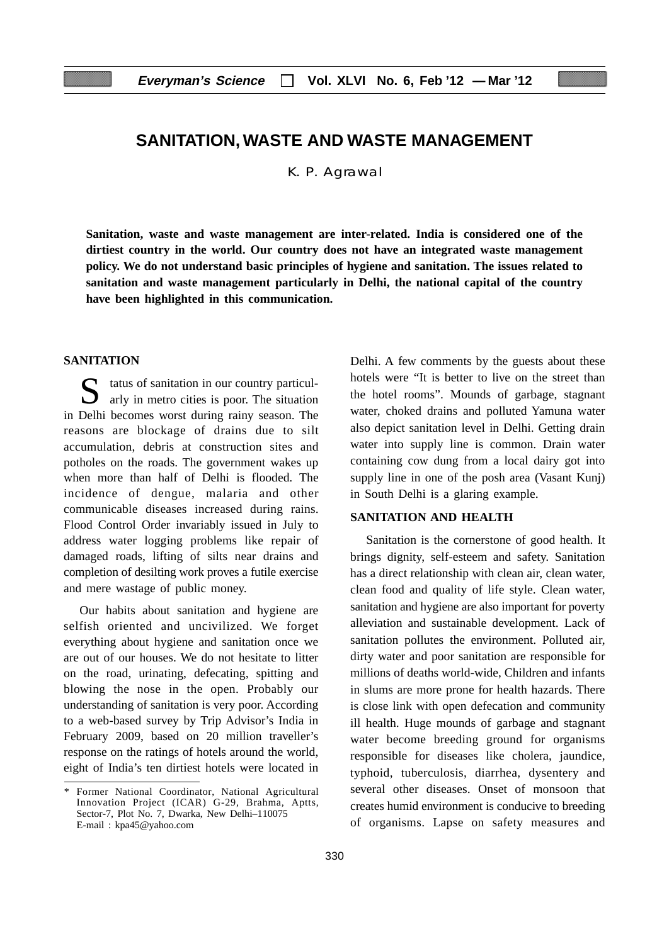## **SANITATION, WASTE AND WASTE MANAGEMENT**

K. P. Agrawal

**Sanitation, waste and waste management are inter-related. India is considered one of the dirtiest country in the world. Our country does not have an integrated waste management policy. We do not understand basic principles of hygiene and sanitation. The issues related to sanitation and waste management particularly in Delhi, the national capital of the country have been highlighted in this communication.**

## **SANITATION**

 $\Gamma$  tatus of sanitation in our country particularly in metro cities is poor. The situation in Delhi becomes worst during rainy season. The reasons are blockage of drains due to silt accumulation, debris at construction sites and potholes on the roads. The government wakes up when more than half of Delhi is flooded. The incidence of dengue, malaria and other communicable diseases increased during rains. Flood Control Order invariably issued in July to address water logging problems like repair of damaged roads, lifting of silts near drains and completion of desilting work proves a futile exercise and mere wastage of public money.

Our habits about sanitation and hygiene are selfish oriented and uncivilized. We forget everything about hygiene and sanitation once we are out of our houses. We do not hesitate to litter on the road, urinating, defecating, spitting and blowing the nose in the open. Probably our understanding of sanitation is very poor. According to a web-based survey by Trip Advisor's India in February 2009, based on 20 million traveller's response on the ratings of hotels around the world, eight of India's ten dirtiest hotels were located in Delhi. A few comments by the guests about these hotels were "It is better to live on the street than the hotel rooms". Mounds of garbage, stagnant water, choked drains and polluted Yamuna water also depict sanitation level in Delhi. Getting drain water into supply line is common. Drain water containing cow dung from a local dairy got into supply line in one of the posh area (Vasant Kunj) in South Delhi is a glaring example.

## **SANITATION AND HEALTH**

Sanitation is the cornerstone of good health. It brings dignity, self-esteem and safety. Sanitation has a direct relationship with clean air, clean water, clean food and quality of life style. Clean water, sanitation and hygiene are also important for poverty alleviation and sustainable development. Lack of sanitation pollutes the environment. Polluted air, dirty water and poor sanitation are responsible for millions of deaths world-wide, Children and infants in slums are more prone for health hazards. There is close link with open defecation and community ill health. Huge mounds of garbage and stagnant water become breeding ground for organisms responsible for diseases like cholera, jaundice, typhoid, tuberculosis, diarrhea, dysentery and several other diseases. Onset of monsoon that creates humid environment is conducive to breeding of organisms. Lapse on safety measures and

Former National Coordinator, National Agricultural Innovation Project (ICAR) G-29, Brahma, Aptts, Sector-7, Plot No. 7, Dwarka, New Delhi–110075 E-mail : kpa45@yahoo.com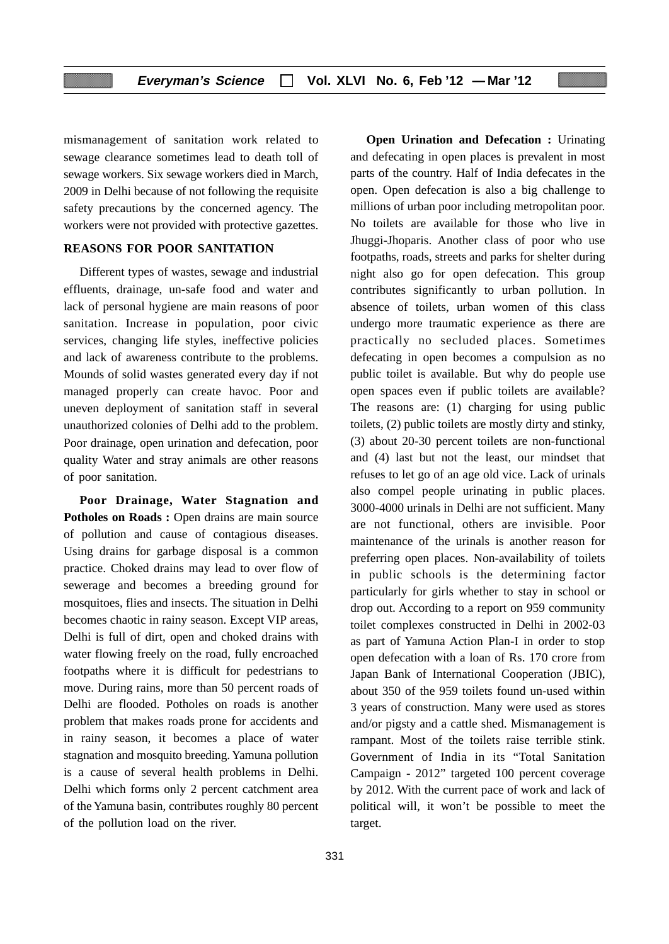mismanagement of sanitation work related to sewage clearance sometimes lead to death toll of sewage workers. Six sewage workers died in March, 2009 in Delhi because of not following the requisite safety precautions by the concerned agency. The workers were not provided with protective gazettes.

## **REASONS FOR POOR SANITATION**

Different types of wastes, sewage and industrial effluents, drainage, un-safe food and water and lack of personal hygiene are main reasons of poor sanitation. Increase in population, poor civic services, changing life styles, ineffective policies and lack of awareness contribute to the problems. Mounds of solid wastes generated every day if not managed properly can create havoc. Poor and uneven deployment of sanitation staff in several unauthorized colonies of Delhi add to the problem. Poor drainage, open urination and defecation, poor quality Water and stray animals are other reasons of poor sanitation.

**Poor Drainage, Water Stagnation and** Potholes on Roads : Open drains are main source of pollution and cause of contagious diseases. Using drains for garbage disposal is a common practice. Choked drains may lead to over flow of sewerage and becomes a breeding ground for mosquitoes, flies and insects. The situation in Delhi becomes chaotic in rainy season. Except VIP areas, Delhi is full of dirt, open and choked drains with water flowing freely on the road, fully encroached footpaths where it is difficult for pedestrians to move. During rains, more than 50 percent roads of Delhi are flooded. Potholes on roads is another problem that makes roads prone for accidents and in rainy season, it becomes a place of water stagnation and mosquito breeding. Yamuna pollution is a cause of several health problems in Delhi. Delhi which forms only 2 percent catchment area of the Yamuna basin, contributes roughly 80 percent of the pollution load on the river.

parts of the country. Half of India defecates in the open. Open defecation is also a big challenge to millions of urban poor including metropolitan poor. No toilets are available for those who live in Jhuggi-Jhoparis. Another class of poor who use footpaths, roads, streets and parks for shelter during night also go for open defecation. This group contributes significantly to urban pollution. In absence of toilets, urban women of this class undergo more traumatic experience as there are practically no secluded places. Sometimes defecating in open becomes a compulsion as no public toilet is available. But why do people use open spaces even if public toilets are available? The reasons are: (1) charging for using public toilets, (2) public toilets are mostly dirty and stinky, (3) about 20-30 percent toilets are non-functional and (4) last but not the least, our mindset that refuses to let go of an age old vice. Lack of urinals also compel people urinating in public places. 3000-4000 urinals in Delhi are not sufficient. Many are not functional, others are invisible. Poor maintenance of the urinals is another reason for preferring open places. Non-availability of toilets in public schools is the determining factor particularly for girls whether to stay in school or drop out. According to a report on 959 community toilet complexes constructed in Delhi in 2002-03 as part of Yamuna Action Plan-I in order to stop open defecation with a loan of Rs. 170 crore from Japan Bank of International Cooperation (JBIC), about 350 of the 959 toilets found un-used within 3 years of construction. Many were used as stores and/or pigsty and a cattle shed. Mismanagement is rampant. Most of the toilets raise terrible stink. Government of India in its "Total Sanitation Campaign - 2012" targeted 100 percent coverage by 2012. With the current pace of work and lack of political will, it won't be possible to meet the target.

**Open Urination and Defecation : Urinating** and defecating in open places is prevalent in most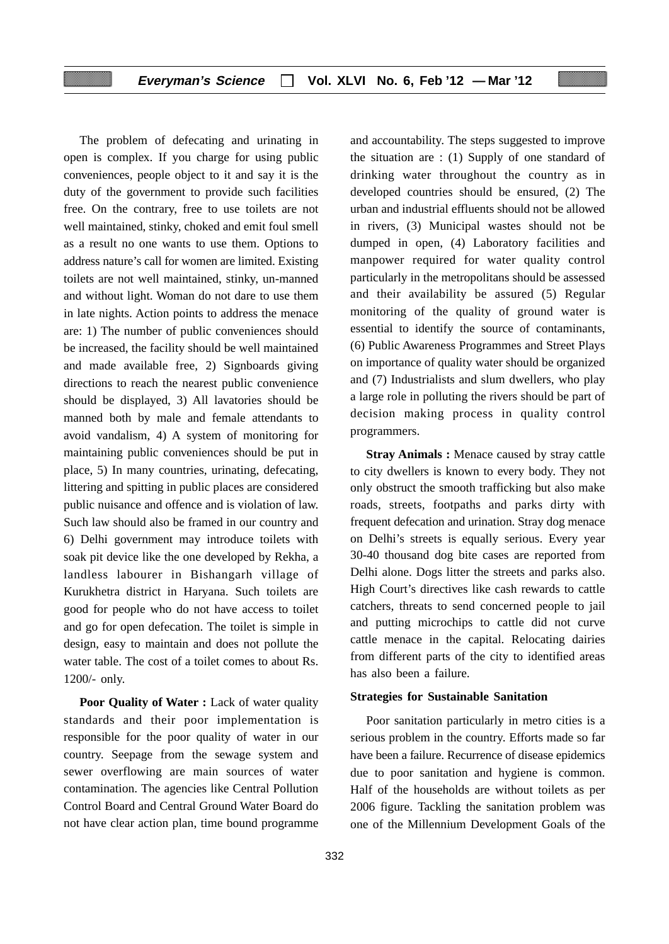The problem of defecating and urinating in open is complex. If you charge for using public conveniences, people object to it and say it is the duty of the government to provide such facilities free. On the contrary, free to use toilets are not well maintained, stinky, choked and emit foul smell as a result no one wants to use them. Options to address nature's call for women are limited. Existing toilets are not well maintained, stinky, un-manned and without light. Woman do not dare to use them in late nights. Action points to address the menace are: 1) The number of public conveniences should be increased, the facility should be well maintained and made available free, 2) Signboards giving directions to reach the nearest public convenience should be displayed, 3) All lavatories should be manned both by male and female attendants to avoid vandalism, 4) A system of monitoring for maintaining public conveniences should be put in place, 5) In many countries, urinating, defecating, littering and spitting in public places are considered public nuisance and offence and is violation of law. Such law should also be framed in our country and 6) Delhi government may introduce toilets with soak pit device like the one developed by Rekha, a landless labourer in Bishangarh village of Kurukhetra district in Haryana. Such toilets are good for people who do not have access to toilet and go for open defecation. The toilet is simple in design, easy to maintain and does not pollute the water table. The cost of a toilet comes to about Rs. 1200/- only.

**Poor Quality of Water :** Lack of water quality standards and their poor implementation is responsible for the poor quality of water in our country. Seepage from the sewage system and sewer overflowing are main sources of water contamination. The agencies like Central Pollution Control Board and Central Ground Water Board do not have clear action plan, time bound programme

332

and accountability. The steps suggested to improve the situation are : (1) Supply of one standard of drinking water throughout the country as in developed countries should be ensured, (2) The urban and industrial effluents should not be allowed in rivers, (3) Municipal wastes should not be dumped in open, (4) Laboratory facilities and manpower required for water quality control particularly in the metropolitans should be assessed and their availability be assured (5) Regular monitoring of the quality of ground water is essential to identify the source of contaminants, (6) Public Awareness Programmes and Street Plays on importance of quality water should be organized and (7) Industrialists and slum dwellers, who play a large role in polluting the rivers should be part of decision making process in quality control programmers.

**Stray Animals : Menace caused by stray cattle** to city dwellers is known to every body. They not only obstruct the smooth trafficking but also make roads, streets, footpaths and parks dirty with frequent defecation and urination. Stray dog menace on Delhi's streets is equally serious. Every year 30-40 thousand dog bite cases are reported from Delhi alone. Dogs litter the streets and parks also. High Court's directives like cash rewards to cattle catchers, threats to send concerned people to jail and putting microchips to cattle did not curve cattle menace in the capital. Relocating dairies from different parts of the city to identified areas has also been a failure.

#### **Strategies for Sustainable Sanitation**

Poor sanitation particularly in metro cities is a serious problem in the country. Efforts made so far have been a failure. Recurrence of disease epidemics due to poor sanitation and hygiene is common. Half of the households are without toilets as per 2006 figure. Tackling the sanitation problem was one of the Millennium Development Goals of the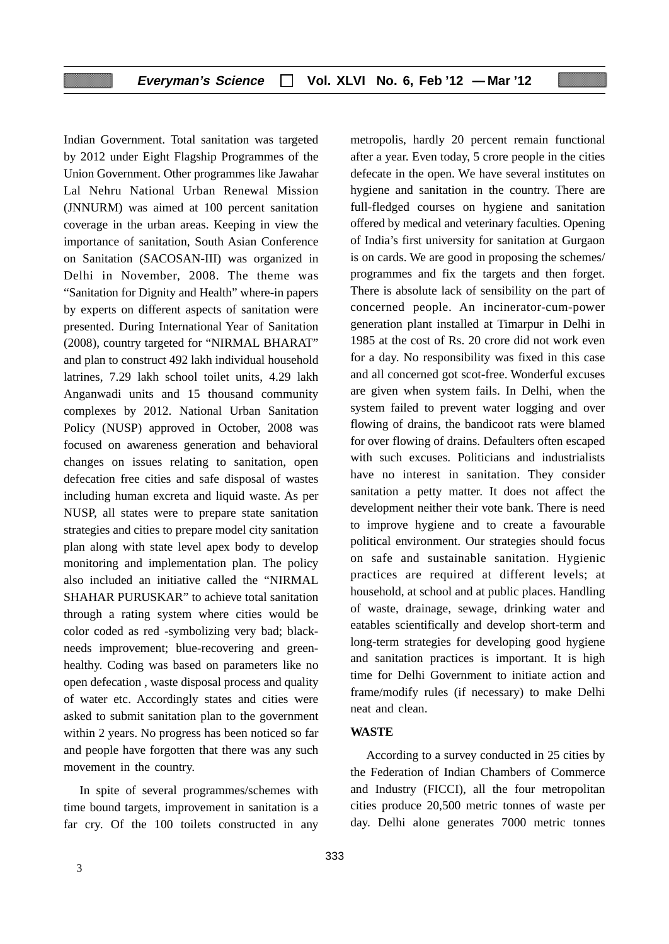Indian Government. Total sanitation was targeted by 2012 under Eight Flagship Programmes of the Union Government. Other programmes like Jawahar Lal Nehru National Urban Renewal Mission (JNNURM) was aimed at 100 percent sanitation coverage in the urban areas. Keeping in view the importance of sanitation, South Asian Conference on Sanitation (SACOSAN-III) was organized in Delhi in November, 2008. The theme was "Sanitation for Dignity and Health" where-in papers by experts on different aspects of sanitation were presented. During International Year of Sanitation (2008), country targeted for "NIRMAL BHARAT" and plan to construct 492 lakh individual household latrines, 7.29 lakh school toilet units, 4.29 lakh Anganwadi units and 15 thousand community complexes by 2012. National Urban Sanitation Policy (NUSP) approved in October, 2008 was focused on awareness generation and behavioral changes on issues relating to sanitation, open defecation free cities and safe disposal of wastes including human excreta and liquid waste. As per NUSP, all states were to prepare state sanitation strategies and cities to prepare model city sanitation plan along with state level apex body to develop monitoring and implementation plan. The policy also included an initiative called the "NIRMAL SHAHAR PURUSKAR" to achieve total sanitation through a rating system where cities would be color coded as red -symbolizing very bad; blackneeds improvement; blue-recovering and greenhealthy. Coding was based on parameters like no open defecation , waste disposal process and quality of water etc. Accordingly states and cities were asked to submit sanitation plan to the government within 2 years. No progress has been noticed so far and people have forgotten that there was any such movement in the country.

In spite of several programmes/schemes with time bound targets, improvement in sanitation is a far cry. Of the 100 toilets constructed in any

metropolis, hardly 20 percent remain functional after a year. Even today, 5 crore people in the cities defecate in the open. We have several institutes on hygiene and sanitation in the country. There are full-fledged courses on hygiene and sanitation offered by medical and veterinary faculties. Opening of India's first university for sanitation at Gurgaon is on cards. We are good in proposing the schemes/ programmes and fix the targets and then forget. There is absolute lack of sensibility on the part of concerned people. An incinerator-cum-power generation plant installed at Timarpur in Delhi in 1985 at the cost of Rs. 20 crore did not work even for a day. No responsibility was fixed in this case and all concerned got scot-free. Wonderful excuses are given when system fails. In Delhi, when the system failed to prevent water logging and over flowing of drains, the bandicoot rats were blamed for over flowing of drains. Defaulters often escaped with such excuses. Politicians and industrialists have no interest in sanitation. They consider sanitation a petty matter. It does not affect the development neither their vote bank. There is need to improve hygiene and to create a favourable political environment. Our strategies should focus on safe and sustainable sanitation. Hygienic practices are required at different levels; at household, at school and at public places. Handling of waste, drainage, sewage, drinking water and eatables scientifically and develop short-term and long-term strategies for developing good hygiene and sanitation practices is important. It is high time for Delhi Government to initiate action and frame/modify rules (if necessary) to make Delhi neat and clean.

#### **WASTE**

According to a survey conducted in 25 cities by the Federation of Indian Chambers of Commerce and Industry (FICCI), all the four metropolitan cities produce 20,500 metric tonnes of waste per day. Delhi alone generates 7000 metric tonnes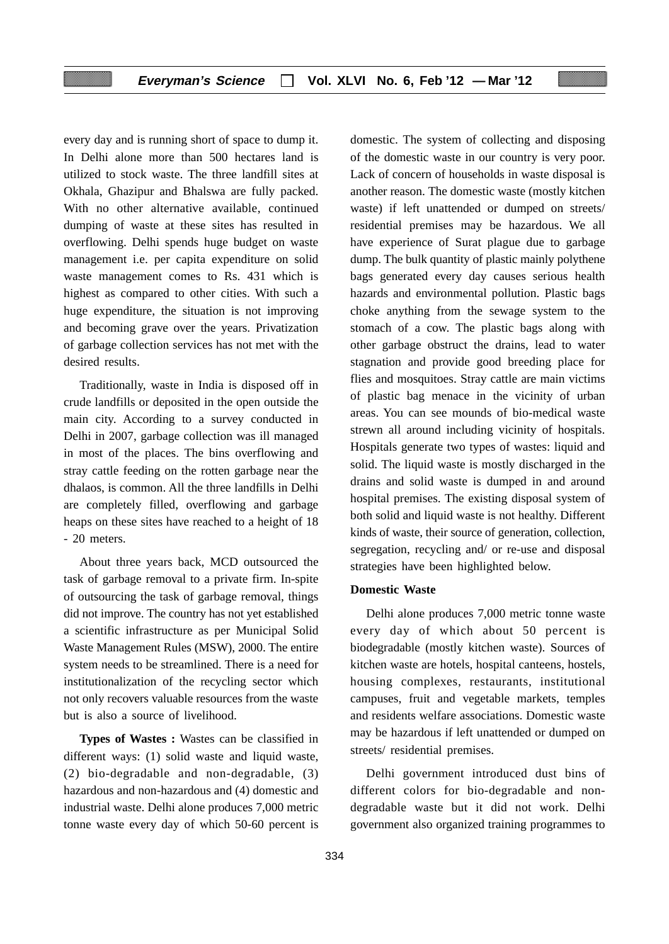every day and is running short of space to dump it. In Delhi alone more than 500 hectares land is utilized to stock waste. The three landfill sites at Okhala, Ghazipur and Bhalswa are fully packed. With no other alternative available, continued dumping of waste at these sites has resulted in overflowing. Delhi spends huge budget on waste management i.e. per capita expenditure on solid waste management comes to Rs. 431 which is highest as compared to other cities. With such a huge expenditure, the situation is not improving and becoming grave over the years. Privatization of garbage collection services has not met with the desired results.

Traditionally, waste in India is disposed off in crude landfills or deposited in the open outside the main city. According to a survey conducted in Delhi in 2007, garbage collection was ill managed in most of the places. The bins overflowing and stray cattle feeding on the rotten garbage near the dhalaos, is common. All the three landfills in Delhi are completely filled, overflowing and garbage heaps on these sites have reached to a height of 18 - 20 meters.

About three years back, MCD outsourced the task of garbage removal to a private firm. In-spite of outsourcing the task of garbage removal, things did not improve. The country has not yet established a scientific infrastructure as per Municipal Solid Waste Management Rules (MSW), 2000. The entire system needs to be streamlined. There is a need for institutionalization of the recycling sector which not only recovers valuable resources from the waste but is also a source of livelihood.

**Types of Wastes :** Wastes can be classified in different ways: (1) solid waste and liquid waste, (2) bio-degradable and non-degradable, (3) hazardous and non-hazardous and (4) domestic and industrial waste. Delhi alone produces 7,000 metric tonne waste every day of which 50-60 percent is

domestic. The system of collecting and disposing of the domestic waste in our country is very poor. Lack of concern of households in waste disposal is another reason. The domestic waste (mostly kitchen waste) if left unattended or dumped on streets/ residential premises may be hazardous. We all have experience of Surat plague due to garbage dump. The bulk quantity of plastic mainly polythene bags generated every day causes serious health hazards and environmental pollution. Plastic bags choke anything from the sewage system to the stomach of a cow. The plastic bags along with other garbage obstruct the drains, lead to water stagnation and provide good breeding place for flies and mosquitoes. Stray cattle are main victims of plastic bag menace in the vicinity of urban areas. You can see mounds of bio-medical waste strewn all around including vicinity of hospitals. Hospitals generate two types of wastes: liquid and solid. The liquid waste is mostly discharged in the drains and solid waste is dumped in and around hospital premises. The existing disposal system of both solid and liquid waste is not healthy. Different kinds of waste, their source of generation, collection, segregation, recycling and/ or re-use and disposal strategies have been highlighted below.

## **Domestic Waste**

Delhi alone produces 7,000 metric tonne waste every day of which about 50 percent is biodegradable (mostly kitchen waste). Sources of kitchen waste are hotels, hospital canteens, hostels, housing complexes, restaurants, institutional campuses, fruit and vegetable markets, temples and residents welfare associations. Domestic waste may be hazardous if left unattended or dumped on streets/ residential premises.

Delhi government introduced dust bins of different colors for bio-degradable and nondegradable waste but it did not work. Delhi government also organized training programmes to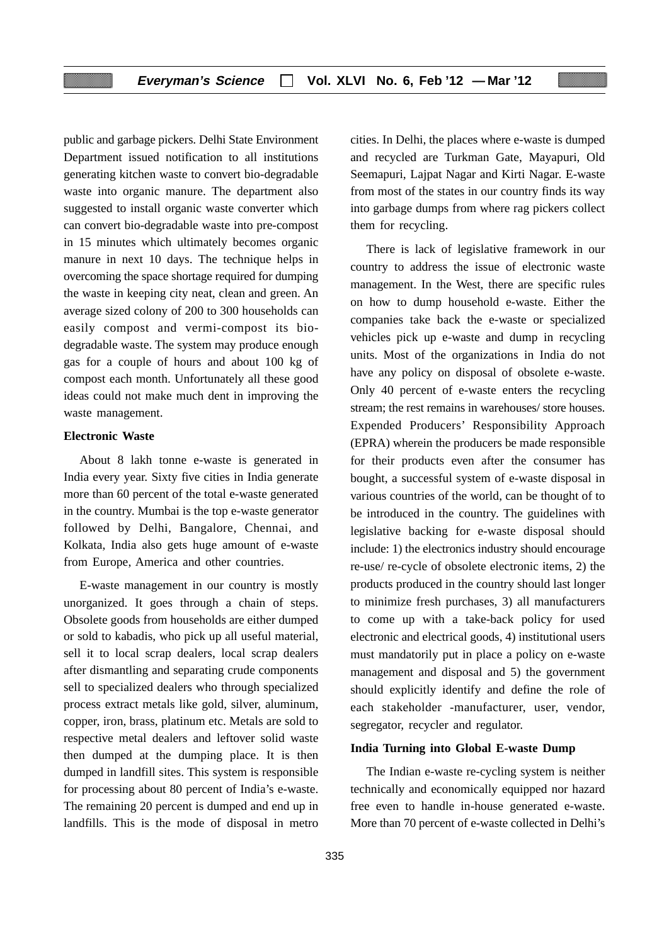public and garbage pickers. Delhi State Environment Department issued notification to all institutions generating kitchen waste to convert bio-degradable waste into organic manure. The department also suggested to install organic waste converter which can convert bio-degradable waste into pre-compost in 15 minutes which ultimately becomes organic manure in next 10 days. The technique helps in overcoming the space shortage required for dumping the waste in keeping city neat, clean and green. An average sized colony of 200 to 300 households can easily compost and vermi-compost its biodegradable waste. The system may produce enough gas for a couple of hours and about 100 kg of compost each month. Unfortunately all these good ideas could not make much dent in improving the waste management.

#### **Electronic Waste**

About 8 lakh tonne e-waste is generated in India every year. Sixty five cities in India generate more than 60 percent of the total e-waste generated in the country. Mumbai is the top e-waste generator followed by Delhi, Bangalore, Chennai, and Kolkata, India also gets huge amount of e-waste from Europe, America and other countries.

E-waste management in our country is mostly unorganized. It goes through a chain of steps. Obsolete goods from households are either dumped or sold to kabadis, who pick up all useful material, sell it to local scrap dealers, local scrap dealers after dismantling and separating crude components sell to specialized dealers who through specialized process extract metals like gold, silver, aluminum, copper, iron, brass, platinum etc. Metals are sold to respective metal dealers and leftover solid waste then dumped at the dumping place. It is then dumped in landfill sites. This system is responsible for processing about 80 percent of India's e-waste. The remaining 20 percent is dumped and end up in landfills. This is the mode of disposal in metro

cities. In Delhi, the places where e-waste is dumped and recycled are Turkman Gate, Mayapuri, Old Seemapuri, Lajpat Nagar and Kirti Nagar. E-waste from most of the states in our country finds its way into garbage dumps from where rag pickers collect them for recycling.

There is lack of legislative framework in our country to address the issue of electronic waste management. In the West, there are specific rules on how to dump household e-waste. Either the companies take back the e-waste or specialized vehicles pick up e-waste and dump in recycling units. Most of the organizations in India do not have any policy on disposal of obsolete e-waste. Only 40 percent of e-waste enters the recycling stream; the rest remains in warehouses/ store houses. Expended Producers' Responsibility Approach (EPRA) wherein the producers be made responsible for their products even after the consumer has bought, a successful system of e-waste disposal in various countries of the world, can be thought of to be introduced in the country. The guidelines with legislative backing for e-waste disposal should include: 1) the electronics industry should encourage re-use/ re-cycle of obsolete electronic items, 2) the products produced in the country should last longer to minimize fresh purchases, 3) all manufacturers to come up with a take-back policy for used electronic and electrical goods, 4) institutional users must mandatorily put in place a policy on e-waste management and disposal and 5) the government should explicitly identify and define the role of each stakeholder -manufacturer, user, vendor, segregator, recycler and regulator.

#### **India Turning into Global E-waste Dump**

The Indian e-waste re-cycling system is neither technically and economically equipped nor hazard free even to handle in-house generated e-waste. More than 70 percent of e-waste collected in Delhi's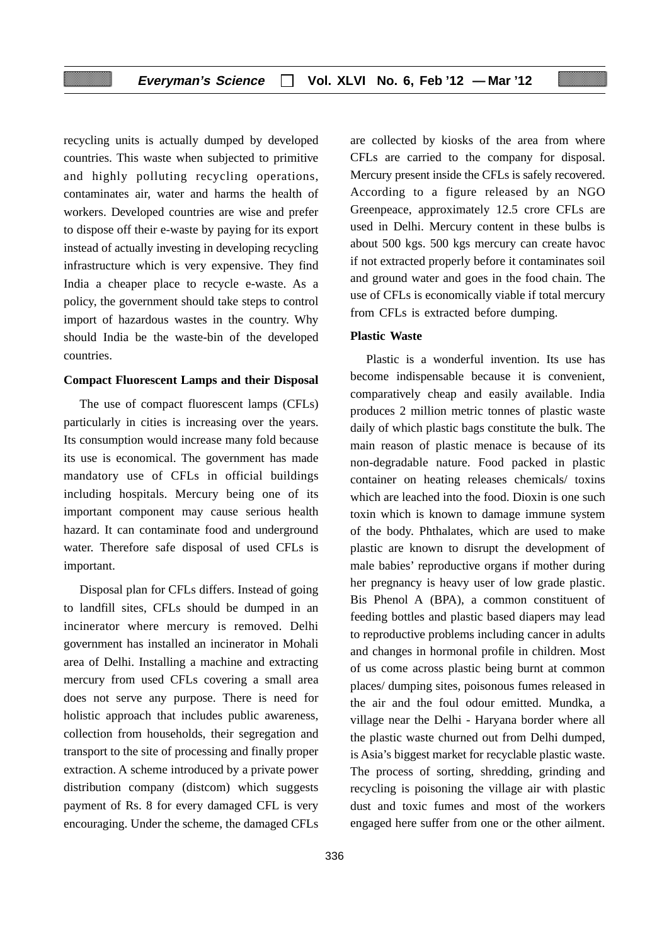recycling units is actually dumped by developed countries. This waste when subjected to primitive and highly polluting recycling operations, contaminates air, water and harms the health of workers. Developed countries are wise and prefer to dispose off their e-waste by paying for its export instead of actually investing in developing recycling infrastructure which is very expensive. They find India a cheaper place to recycle e-waste. As a policy, the government should take steps to control import of hazardous wastes in the country. Why should India be the waste-bin of the developed countries.

#### **Compact Fluorescent Lamps and their Disposal**

The use of compact fluorescent lamps (CFLs) particularly in cities is increasing over the years. Its consumption would increase many fold because its use is economical. The government has made mandatory use of CFLs in official buildings including hospitals. Mercury being one of its important component may cause serious health hazard. It can contaminate food and underground water. Therefore safe disposal of used CFLs is important.

Disposal plan for CFLs differs. Instead of going to landfill sites, CFLs should be dumped in an incinerator where mercury is removed. Delhi government has installed an incinerator in Mohali area of Delhi. Installing a machine and extracting mercury from used CFLs covering a small area does not serve any purpose. There is need for holistic approach that includes public awareness, collection from households, their segregation and transport to the site of processing and finally proper extraction. A scheme introduced by a private power distribution company (distcom) which suggests payment of Rs. 8 for every damaged CFL is very encouraging. Under the scheme, the damaged CFLs

are collected by kiosks of the area from where CFLs are carried to the company for disposal. Mercury present inside the CFLs is safely recovered. According to a figure released by an NGO Greenpeace, approximately 12.5 crore CFLs are used in Delhi. Mercury content in these bulbs is about 500 kgs. 500 kgs mercury can create havoc if not extracted properly before it contaminates soil and ground water and goes in the food chain. The use of CFLs is economically viable if total mercury from CFLs is extracted before dumping.

## **Plastic Waste**

Plastic is a wonderful invention. Its use has become indispensable because it is convenient, comparatively cheap and easily available. India produces 2 million metric tonnes of plastic waste daily of which plastic bags constitute the bulk. The main reason of plastic menace is because of its non-degradable nature. Food packed in plastic container on heating releases chemicals/ toxins which are leached into the food. Dioxin is one such toxin which is known to damage immune system of the body. Phthalates, which are used to make plastic are known to disrupt the development of male babies' reproductive organs if mother during her pregnancy is heavy user of low grade plastic. Bis Phenol A (BPA), a common constituent of feeding bottles and plastic based diapers may lead to reproductive problems including cancer in adults and changes in hormonal profile in children. Most of us come across plastic being burnt at common places/ dumping sites, poisonous fumes released in the air and the foul odour emitted. Mundka, a village near the Delhi - Haryana border where all the plastic waste churned out from Delhi dumped, is Asia's biggest market for recyclable plastic waste. The process of sorting, shredding, grinding and recycling is poisoning the village air with plastic dust and toxic fumes and most of the workers engaged here suffer from one or the other ailment.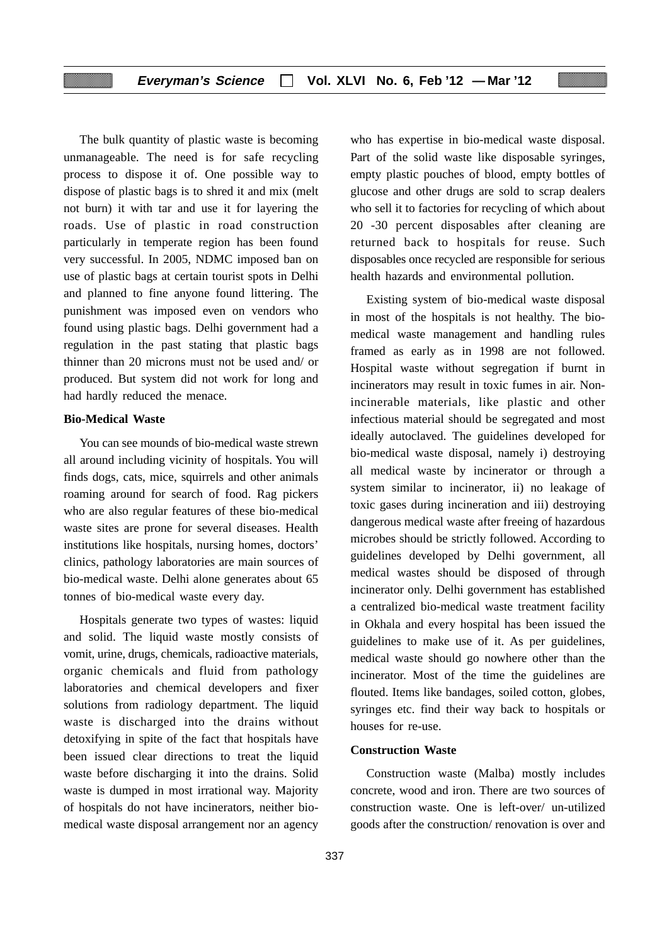The bulk quantity of plastic waste is becoming unmanageable. The need is for safe recycling process to dispose it of. One possible way to dispose of plastic bags is to shred it and mix (melt not burn) it with tar and use it for layering the roads. Use of plastic in road construction particularly in temperate region has been found very successful. In 2005, NDMC imposed ban on use of plastic bags at certain tourist spots in Delhi and planned to fine anyone found littering. The punishment was imposed even on vendors who found using plastic bags. Delhi government had a regulation in the past stating that plastic bags thinner than 20 microns must not be used and/ or produced. But system did not work for long and had hardly reduced the menace.

## **Bio-Medical Waste**

You can see mounds of bio-medical waste strewn all around including vicinity of hospitals. You will finds dogs, cats, mice, squirrels and other animals roaming around for search of food. Rag pickers who are also regular features of these bio-medical waste sites are prone for several diseases. Health institutions like hospitals, nursing homes, doctors' clinics, pathology laboratories are main sources of bio-medical waste. Delhi alone generates about 65 tonnes of bio-medical waste every day.

Hospitals generate two types of wastes: liquid and solid. The liquid waste mostly consists of vomit, urine, drugs, chemicals, radioactive materials, organic chemicals and fluid from pathology laboratories and chemical developers and fixer solutions from radiology department. The liquid waste is discharged into the drains without detoxifying in spite of the fact that hospitals have been issued clear directions to treat the liquid waste before discharging it into the drains. Solid waste is dumped in most irrational way. Majority of hospitals do not have incinerators, neither biomedical waste disposal arrangement nor an agency

who has expertise in bio-medical waste disposal. Part of the solid waste like disposable syringes, empty plastic pouches of blood, empty bottles of glucose and other drugs are sold to scrap dealers who sell it to factories for recycling of which about 20 -30 percent disposables after cleaning are returned back to hospitals for reuse. Such disposables once recycled are responsible for serious health hazards and environmental pollution.

Existing system of bio-medical waste disposal in most of the hospitals is not healthy. The biomedical waste management and handling rules framed as early as in 1998 are not followed. Hospital waste without segregation if burnt in incinerators may result in toxic fumes in air. Nonincinerable materials, like plastic and other infectious material should be segregated and most ideally autoclaved. The guidelines developed for bio-medical waste disposal, namely i) destroying all medical waste by incinerator or through a system similar to incinerator, ii) no leakage of toxic gases during incineration and iii) destroying dangerous medical waste after freeing of hazardous microbes should be strictly followed. According to guidelines developed by Delhi government, all medical wastes should be disposed of through incinerator only. Delhi government has established a centralized bio-medical waste treatment facility in Okhala and every hospital has been issued the guidelines to make use of it. As per guidelines, medical waste should go nowhere other than the incinerator. Most of the time the guidelines are flouted. Items like bandages, soiled cotton, globes, syringes etc. find their way back to hospitals or houses for re-use.

#### **Construction Waste**

Construction waste (Malba) mostly includes concrete, wood and iron. There are two sources of construction waste. One is left-over/ un-utilized goods after the construction/ renovation is over and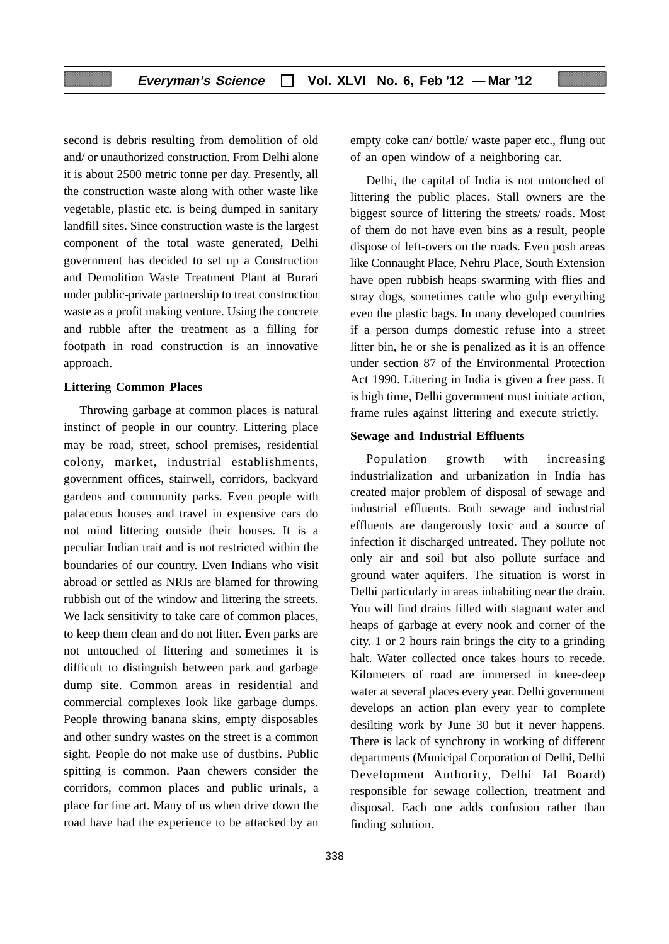second is debris resulting from demolition of old and/ or unauthorized construction. From Delhi alone it is about 2500 metric tonne per day. Presently, all the construction waste along with other waste like vegetable, plastic etc. is being dumped in sanitary landfill sites. Since construction waste is the largest component of the total waste generated, Delhi government has decided to set up a Construction and Demolition Waste Treatment Plant at Burari under public-private partnership to treat construction waste as a profit making venture. Using the concrete and rubble after the treatment as a filling for footpath in road construction is an innovative approach.

#### **Littering Common Places**

Throwing garbage at common places is natural instinct of people in our country. Littering place may be road, street, school premises, residential colony, market, industrial establishments, government offices, stairwell, corridors, backyard gardens and community parks. Even people with palaceous houses and travel in expensive cars do not mind littering outside their houses. It is a peculiar Indian trait and is not restricted within the boundaries of our country. Even Indians who visit abroad or settled as NRIs are blamed for throwing rubbish out of the window and littering the streets. We lack sensitivity to take care of common places, to keep them clean and do not litter. Even parks are not untouched of littering and sometimes it is difficult to distinguish between park and garbage dump site. Common areas in residential and commercial complexes look like garbage dumps. People throwing banana skins, empty disposables and other sundry wastes on the street is a common sight. People do not make use of dustbins. Public spitting is common. Paan chewers consider the corridors, common places and public urinals, a place for fine art. Many of us when drive down the road have had the experience to be attacked by an

338

empty coke can/ bottle/ waste paper etc., flung out of an open window of a neighboring car.

Delhi, the capital of India is not untouched of littering the public places. Stall owners are the biggest source of littering the streets/ roads. Most of them do not have even bins as a result, people dispose of left-overs on the roads. Even posh areas like Connaught Place, Nehru Place, South Extension have open rubbish heaps swarming with flies and stray dogs, sometimes cattle who gulp everything even the plastic bags. In many developed countries if a person dumps domestic refuse into a street litter bin, he or she is penalized as it is an offence under section 87 of the Environmental Protection Act 1990. Littering in India is given a free pass. It is high time, Delhi government must initiate action, frame rules against littering and execute strictly.

#### **Sewage and Industrial Effluents**

Population growth with increasing industrialization and urbanization in India has created major problem of disposal of sewage and industrial effluents. Both sewage and industrial effluents are dangerously toxic and a source of infection if discharged untreated. They pollute not only air and soil but also pollute surface and ground water aquifers. The situation is worst in Delhi particularly in areas inhabiting near the drain. You will find drains filled with stagnant water and heaps of garbage at every nook and corner of the city. 1 or 2 hours rain brings the city to a grinding halt. Water collected once takes hours to recede. Kilometers of road are immersed in knee-deep water at several places every year. Delhi government develops an action plan every year to complete desilting work by June 30 but it never happens. There is lack of synchrony in working of different departments (Municipal Corporation of Delhi, Delhi Development Authority, Delhi Jal Board) responsible for sewage collection, treatment and disposal. Each one adds confusion rather than finding solution.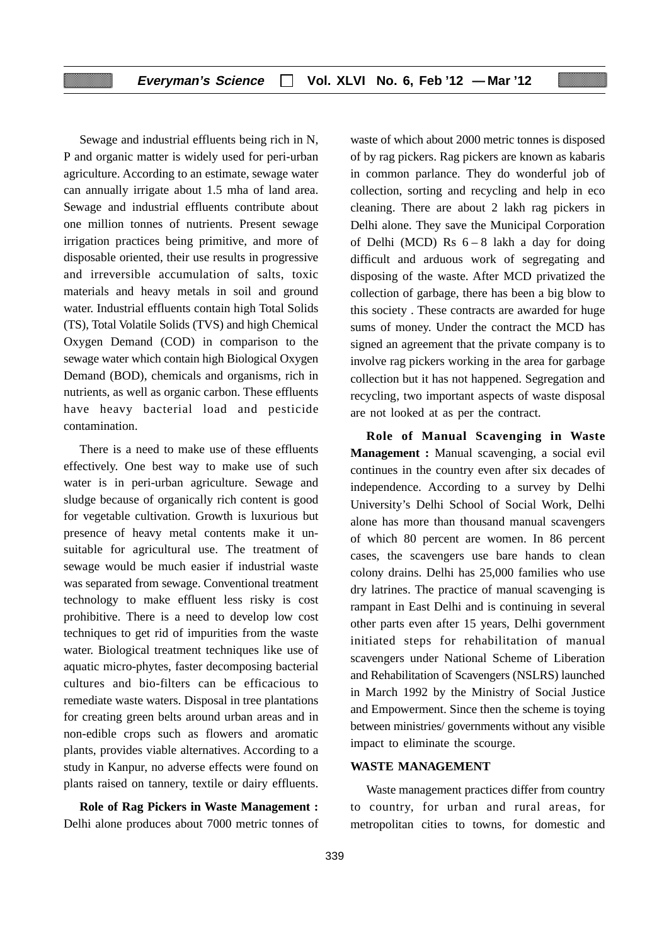Sewage and industrial effluents being rich in N, P and organic matter is widely used for peri-urban agriculture. According to an estimate, sewage water can annually irrigate about 1.5 mha of land area. Sewage and industrial effluents contribute about one million tonnes of nutrients. Present sewage irrigation practices being primitive, and more of disposable oriented, their use results in progressive and irreversible accumulation of salts, toxic materials and heavy metals in soil and ground water. Industrial effluents contain high Total Solids (TS), Total Volatile Solids (TVS) and high Chemical Oxygen Demand (COD) in comparison to the sewage water which contain high Biological Oxygen Demand (BOD), chemicals and organisms, rich in nutrients, as well as organic carbon. These effluents have heavy bacterial load and pesticide contamination.

There is a need to make use of these effluents effectively. One best way to make use of such water is in peri-urban agriculture. Sewage and sludge because of organically rich content is good for vegetable cultivation. Growth is luxurious but presence of heavy metal contents make it unsuitable for agricultural use. The treatment of sewage would be much easier if industrial waste was separated from sewage. Conventional treatment technology to make effluent less risky is cost prohibitive. There is a need to develop low cost techniques to get rid of impurities from the waste water. Biological treatment techniques like use of aquatic micro-phytes, faster decomposing bacterial cultures and bio-filters can be efficacious to remediate waste waters. Disposal in tree plantations for creating green belts around urban areas and in non-edible crops such as flowers and aromatic plants, provides viable alternatives. According to a study in Kanpur, no adverse effects were found on plants raised on tannery, textile or dairy effluents.

**Role of Rag Pickers in Waste Management :** Delhi alone produces about 7000 metric tonnes of waste of which about 2000 metric tonnes is disposed of by rag pickers. Rag pickers are known as kabaris in common parlance. They do wonderful job of collection, sorting and recycling and help in eco cleaning. There are about 2 lakh rag pickers in Delhi alone. They save the Municipal Corporation of Delhi (MCD) Rs  $6 - 8$  lakh a day for doing difficult and arduous work of segregating and disposing of the waste. After MCD privatized the collection of garbage, there has been a big blow to this society . These contracts are awarded for huge sums of money. Under the contract the MCD has signed an agreement that the private company is to involve rag pickers working in the area for garbage collection but it has not happened. Segregation and recycling, two important aspects of waste disposal are not looked at as per the contract.

**Role of Manual Scavenging in Waste Management :** Manual scavenging, a social evil continues in the country even after six decades of independence. According to a survey by Delhi University's Delhi School of Social Work, Delhi alone has more than thousand manual scavengers of which 80 percent are women. In 86 percent cases, the scavengers use bare hands to clean colony drains. Delhi has 25,000 families who use dry latrines. The practice of manual scavenging is rampant in East Delhi and is continuing in several other parts even after 15 years, Delhi government initiated steps for rehabilitation of manual scavengers under National Scheme of Liberation and Rehabilitation of Scavengers (NSLRS) launched in March 1992 by the Ministry of Social Justice and Empowerment. Since then the scheme is toying between ministries/ governments without any visible impact to eliminate the scourge.

#### **WASTE MANAGEMENT**

Waste management practices differ from country to country, for urban and rural areas, for metropolitan cities to towns, for domestic and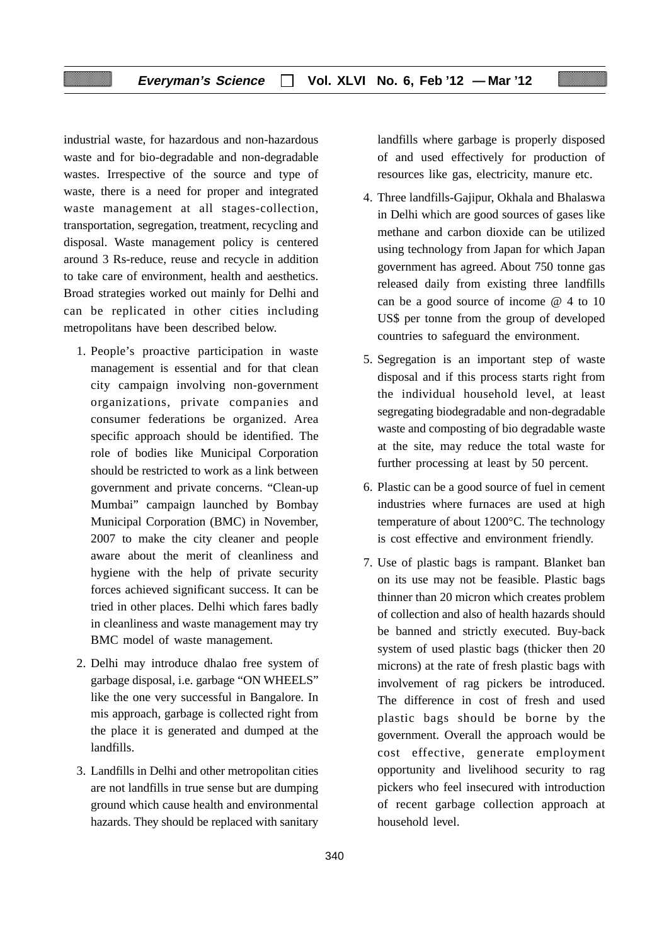industrial waste, for hazardous and non-hazardous waste and for bio-degradable and non-degradable wastes. Irrespective of the source and type of waste, there is a need for proper and integrated waste management at all stages-collection, transportation, segregation, treatment, recycling and disposal. Waste management policy is centered around 3 Rs-reduce, reuse and recycle in addition to take care of environment, health and aesthetics. Broad strategies worked out mainly for Delhi and can be replicated in other cities including metropolitans have been described below.

- 1. People's proactive participation in waste management is essential and for that clean city campaign involving non-government organizations, private companies and consumer federations be organized. Area specific approach should be identified. The role of bodies like Municipal Corporation should be restricted to work as a link between government and private concerns. "Clean-up Mumbai" campaign launched by Bombay Municipal Corporation (BMC) in November, 2007 to make the city cleaner and people aware about the merit of cleanliness and hygiene with the help of private security forces achieved significant success. It can be tried in other places. Delhi which fares badly in cleanliness and waste management may try BMC model of waste management.
- 2. Delhi may introduce dhalao free system of garbage disposal, i.e. garbage "ON WHEELS" like the one very successful in Bangalore. In mis approach, garbage is collected right from the place it is generated and dumped at the landfills.
- 3. Landfills in Delhi and other metropolitan cities are not landfills in true sense but are dumping ground which cause health and environmental hazards. They should be replaced with sanitary

landfills where garbage is properly disposed of and used effectively for production of resources like gas, electricity, manure etc.

- 4. Three landfills-Gajipur, Okhala and Bhalaswa in Delhi which are good sources of gases like methane and carbon dioxide can be utilized using technology from Japan for which Japan government has agreed. About 750 tonne gas released daily from existing three landfills can be a good source of income @ 4 to 10 US\$ per tonne from the group of developed countries to safeguard the environment.
- 5. Segregation is an important step of waste disposal and if this process starts right from the individual household level, at least segregating biodegradable and non-degradable waste and composting of bio degradable waste at the site, may reduce the total waste for further processing at least by 50 percent.
- 6. Plastic can be a good source of fuel in cement industries where furnaces are used at high temperature of about 1200°C. The technology is cost effective and environment friendly.
- 7. Use of plastic bags is rampant. Blanket ban on its use may not be feasible. Plastic bags thinner than 20 micron which creates problem of collection and also of health hazards should be banned and strictly executed. Buy-back system of used plastic bags (thicker then 20 microns) at the rate of fresh plastic bags with involvement of rag pickers be introduced. The difference in cost of fresh and used plastic bags should be borne by the government. Overall the approach would be cost effective, generate employment opportunity and livelihood security to rag pickers who feel insecured with introduction of recent garbage collection approach at household level.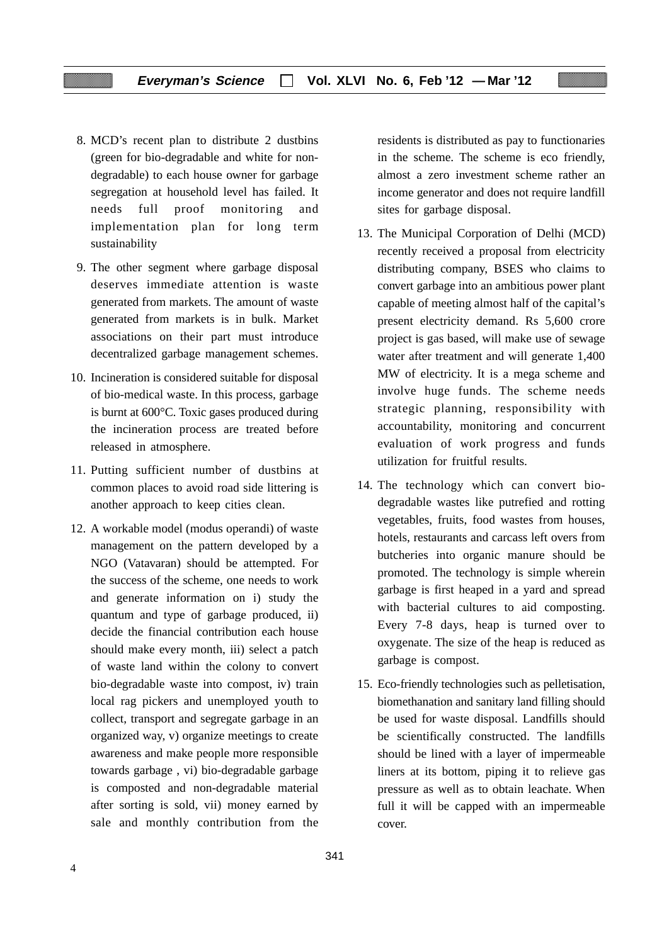- 8. MCD's recent plan to distribute 2 dustbins (green for bio-degradable and white for nondegradable) to each house owner for garbage segregation at household level has failed. It needs full proof monitoring and implementation plan for long term sustainability
- 9. The other segment where garbage disposal deserves immediate attention is waste generated from markets. The amount of waste generated from markets is in bulk. Market associations on their part must introduce decentralized garbage management schemes.
- 10. Incineration is considered suitable for disposal of bio-medical waste. In this process, garbage is burnt at 600°C. Toxic gases produced during the incineration process are treated before released in atmosphere.
- 11. Putting sufficient number of dustbins at common places to avoid road side littering is another approach to keep cities clean.
- 12. A workable model (modus operandi) of waste management on the pattern developed by a NGO (Vatavaran) should be attempted. For the success of the scheme, one needs to work and generate information on i) study the quantum and type of garbage produced, ii) decide the financial contribution each house should make every month, iii) select a patch of waste land within the colony to convert bio-degradable waste into compost, iv) train local rag pickers and unemployed youth to collect, transport and segregate garbage in an organized way, v) organize meetings to create awareness and make people more responsible towards garbage , vi) bio-degradable garbage is composted and non-degradable material after sorting is sold, vii) money earned by sale and monthly contribution from the

residents is distributed as pay to functionaries in the scheme. The scheme is eco friendly, almost a zero investment scheme rather an income generator and does not require landfill sites for garbage disposal.

- 13. The Municipal Corporation of Delhi (MCD) recently received a proposal from electricity distributing company, BSES who claims to convert garbage into an ambitious power plant capable of meeting almost half of the capital's present electricity demand. Rs 5,600 crore project is gas based, will make use of sewage water after treatment and will generate 1,400 MW of electricity. It is a mega scheme and involve huge funds. The scheme needs strategic planning, responsibility with accountability, monitoring and concurrent evaluation of work progress and funds utilization for fruitful results.
- 14. The technology which can convert biodegradable wastes like putrefied and rotting vegetables, fruits, food wastes from houses, hotels, restaurants and carcass left overs from butcheries into organic manure should be promoted. The technology is simple wherein garbage is first heaped in a yard and spread with bacterial cultures to aid composting. Every 7-8 days, heap is turned over to oxygenate. The size of the heap is reduced as garbage is compost.
- 15. Eco-friendly technologies such as pelletisation, biomethanation and sanitary land filling should be used for waste disposal. Landfills should be scientifically constructed. The landfills should be lined with a layer of impermeable liners at its bottom, piping it to relieve gas pressure as well as to obtain leachate. When full it will be capped with an impermeable cover.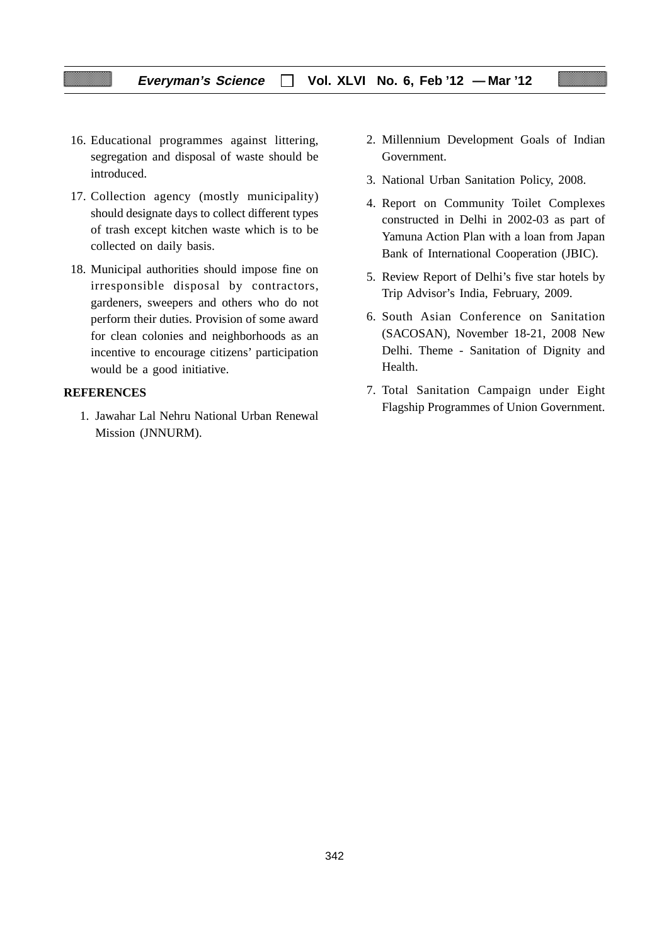- 16. Educational programmes against littering, segregation and disposal of waste should be introduced.
- 17. Collection agency (mostly municipality) should designate days to collect different types of trash except kitchen waste which is to be collected on daily basis.
- 18. Municipal authorities should impose fine on irresponsible disposal by contractors, gardeners, sweepers and others who do not perform their duties. Provision of some award for clean colonies and neighborhoods as an incentive to encourage citizens' participation would be a good initiative.

## **REFERENCES**

1. Jawahar Lal Nehru National Urban Renewal Mission (JNNURM).

- 2. Millennium Development Goals of Indian Government.
- 3. National Urban Sanitation Policy, 2008.
- 4. Report on Community Toilet Complexes constructed in Delhi in 2002-03 as part of Yamuna Action Plan with a loan from Japan Bank of International Cooperation (JBIC).
- 5. Review Report of Delhi's five star hotels by Trip Advisor's India, February, 2009.
- 6. South Asian Conference on Sanitation (SACOSAN), November 18-21, 2008 New Delhi. Theme - Sanitation of Dignity and Health.
- 7. Total Sanitation Campaign under Eight Flagship Programmes of Union Government.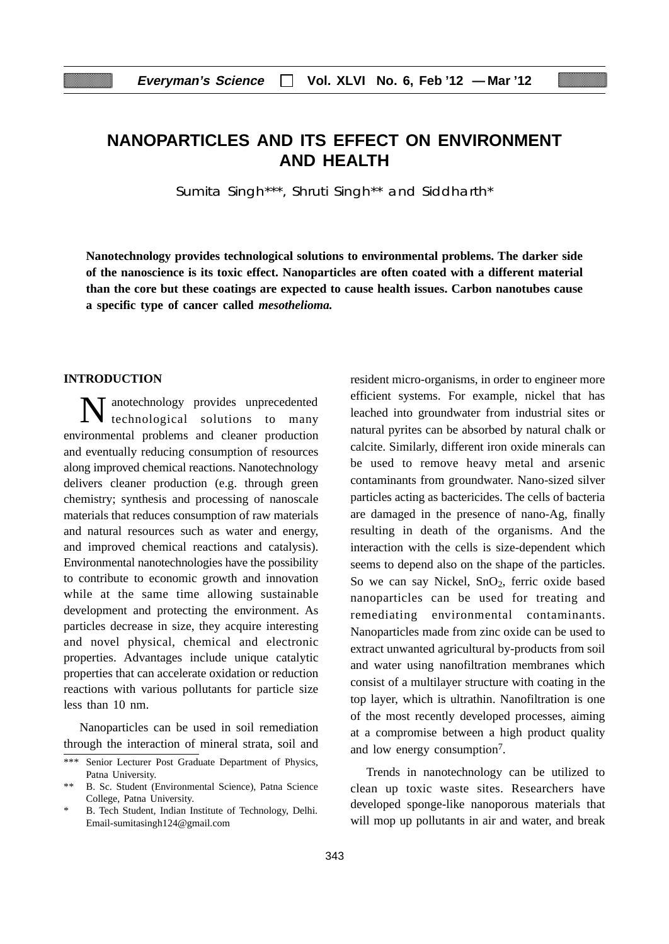## **NANOPARTICLES AND ITS EFFECT ON ENVIRONMENT AND HEALTH**

Sumita Singh\*\*\*, Shruti Singh\*\* and Siddharth\*

**Nanotechnology provides technological solutions to environmental problems. The darker side of the nanoscience is its toxic effect. Nanoparticles are often coated with a different material than the core but these coatings are expected to cause health issues. Carbon nanotubes cause a specific type of cancer called** *mesothelioma.*

#### **INTRODUCTION**

Nanotechnology provides unprecedented technological solutions to many environmental problems and cleaner production and eventually reducing consumption of resources along improved chemical reactions. Nanotechnology delivers cleaner production (e.g. through green chemistry; synthesis and processing of nanoscale materials that reduces consumption of raw materials and natural resources such as water and energy, and improved chemical reactions and catalysis). Environmental nanotechnologies have the possibility to contribute to economic growth and innovation while at the same time allowing sustainable development and protecting the environment. As particles decrease in size, they acquire interesting and novel physical, chemical and electronic properties. Advantages include unique catalytic properties that can accelerate oxidation or reduction reactions with various pollutants for particle size less than 10 nm.

Nanoparticles can be used in soil remediation through the interaction of mineral strata, soil and resident micro-organisms, in order to engineer more efficient systems. For example, nickel that has leached into groundwater from industrial sites or natural pyrites can be absorbed by natural chalk or calcite. Similarly, different iron oxide minerals can be used to remove heavy metal and arsenic contaminants from groundwater. Nano-sized silver particles acting as bactericides. The cells of bacteria are damaged in the presence of nano-Ag, finally resulting in death of the organisms. And the interaction with the cells is size-dependent which seems to depend also on the shape of the particles. So we can say Nickel,  $SnO<sub>2</sub>$ , ferric oxide based nanoparticles can be used for treating and remediating environmental contaminants. Nanoparticles made from zinc oxide can be used to extract unwanted agricultural by-products from soil and water using nanofiltration membranes which consist of a multilayer structure with coating in the top layer, which is ultrathin. Nanofiltration is one of the most recently developed processes, aiming at a compromise between a high product quality and low energy consumption7.

Trends in nanotechnology can be utilized to clean up toxic waste sites. Researchers have developed sponge-like nanoporous materials that will mop up pollutants in air and water, and break

<sup>\*\*\*</sup> Senior Lecturer Post Graduate Department of Physics, Patna University.

<sup>\*\*</sup> B. Sc. Student (Environmental Science), Patna Science College, Patna University.

B. Tech Student, Indian Institute of Technology, Delhi. Email-sumitasingh124@gmail.com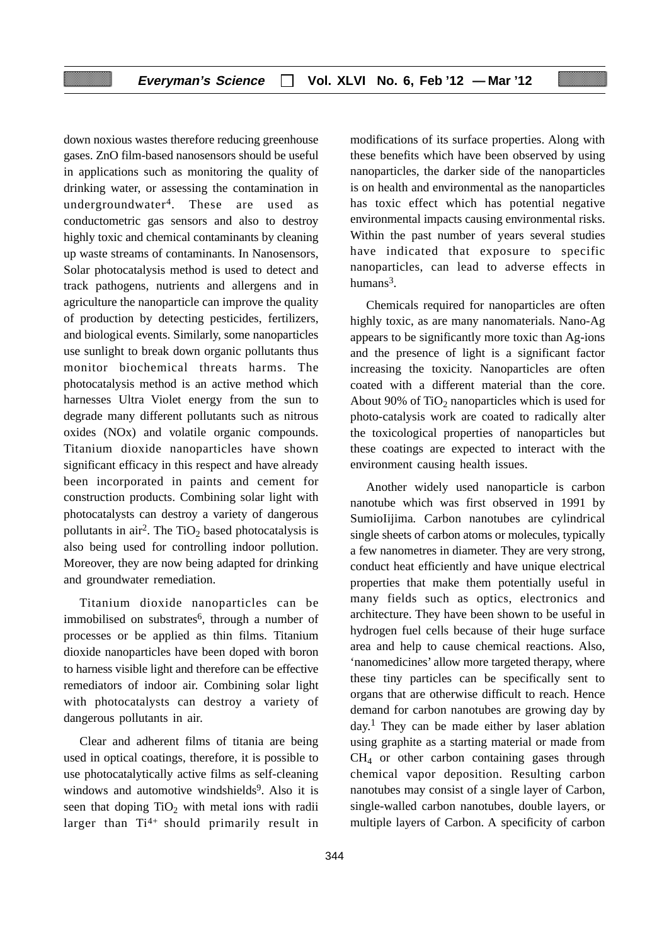down noxious wastes therefore reducing greenhouse gases. ZnO film-based nanosensors should be useful in applications such as monitoring the quality of drinking water, or assessing the contamination in undergroundwater4. These are used as conductometric gas sensors and also to destroy highly toxic and chemical contaminants by cleaning up waste streams of contaminants. In Nanosensors, Solar photocatalysis method is used to detect and track pathogens, nutrients and allergens and in agriculture the nanoparticle can improve the quality of production by detecting pesticides, fertilizers, and biological events. Similarly, some nanoparticles use sunlight to break down organic pollutants thus monitor biochemical threats harms. The photocatalysis method is an active method which harnesses Ultra Violet energy from the sun to degrade many different pollutants such as nitrous oxides (NOx) and volatile organic compounds. Titanium dioxide nanoparticles have shown significant efficacy in this respect and have already been incorporated in paints and cement for construction products. Combining solar light with photocatalysts can destroy a variety of dangerous pollutants in air<sup>2</sup>. The TiO<sub>2</sub> based photocatalysis is also being used for controlling indoor pollution. Moreover, they are now being adapted for drinking and groundwater remediation.

Titanium dioxide nanoparticles can be immobilised on substrates<sup>6</sup>, through a number of processes or be applied as thin films. Titanium dioxide nanoparticles have been doped with boron to harness visible light and therefore can be effective remediators of indoor air. Combining solar light with photocatalysts can destroy a variety of dangerous pollutants in air.

Clear and adherent films of titania are being used in optical coatings, therefore, it is possible to use photocatalytically active films as self-cleaning windows and automotive windshields<sup>9</sup>. Also it is seen that doping  $TiO<sub>2</sub>$  with metal ions with radii larger than Ti<sup>4+</sup> should primarily result in

modifications of its surface properties. Along with these benefits which have been observed by using nanoparticles, the darker side of the nanoparticles is on health and environmental as the nanoparticles has toxic effect which has potential negative environmental impacts causing environmental risks. Within the past number of years several studies have indicated that exposure to specific nanoparticles, can lead to adverse effects in humans $3$ .

Chemicals required for nanoparticles are often highly toxic, as are many nanomaterials. Nano-Ag appears to be significantly more toxic than Ag-ions and the presence of light is a significant factor increasing the toxicity. Nanoparticles are often coated with a different material than the core. About 90% of  $TiO<sub>2</sub>$  nanoparticles which is used for photo-catalysis work are coated to radically alter the toxicological properties of nanoparticles but these coatings are expected to interact with the environment causing health issues.

Another widely used nanoparticle is carbon nanotube which was first observed in 1991 by SumioIijima*.* Carbon nanotubes are cylindrical single sheets of carbon atoms or molecules, typically a few nanometres in diameter. They are very strong, conduct heat efficiently and have unique electrical properties that make them potentially useful in many fields such as optics, electronics and architecture. They have been shown to be useful in hydrogen fuel cells because of their huge surface area and help to cause chemical reactions. Also, 'nanomedicines' allow more targeted therapy, where these tiny particles can be specifically sent to organs that are otherwise difficult to reach. Hence demand for carbon nanotubes are growing day by  $day<sup>1</sup>$ . They can be made either by laser ablation using graphite as a starting material or made from  $CH<sub>4</sub>$  or other carbon containing gases through chemical vapor deposition. Resulting carbon nanotubes may consist of a single layer of Carbon, single-walled carbon nanotubes, double layers, or multiple layers of Carbon. A specificity of carbon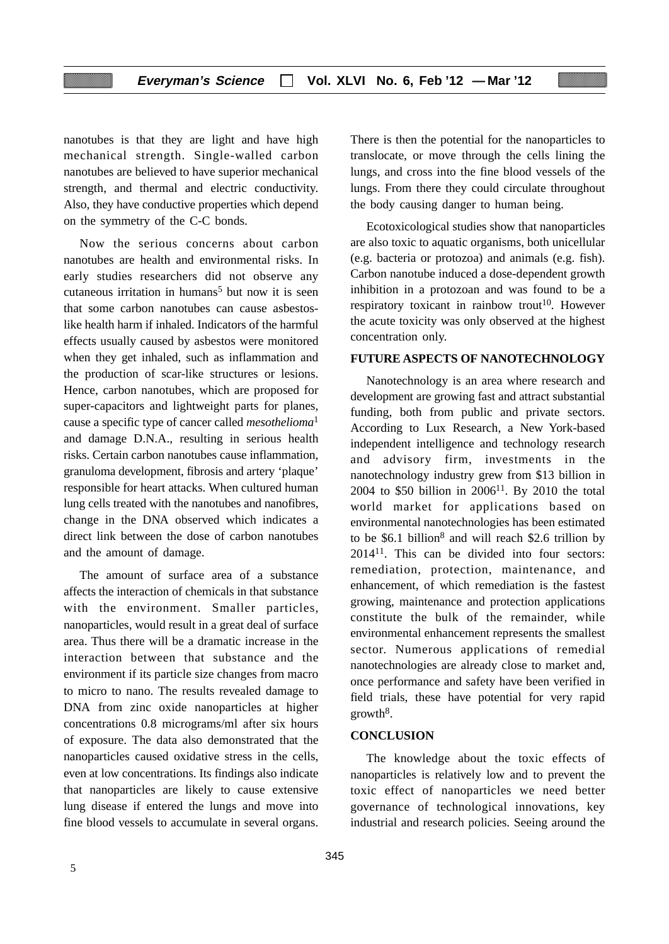nanotubes is that they are light and have high mechanical strength. Single-walled carbon nanotubes are believed to have superior mechanical strength, and thermal and electric conductivity. Also, they have conductive properties which depend on the symmetry of the C-C bonds.

Now the serious concerns about carbon nanotubes are health and environmental risks. In early studies researchers did not observe any cutaneous irritation in humans<sup>5</sup> but now it is seen that some carbon nanotubes can cause asbestoslike health harm if inhaled. Indicators of the harmful effects usually caused by asbestos were monitored when they get inhaled, such as inflammation and the production of scar-like structures or lesions. Hence, carbon nanotubes, which are proposed for super-capacitors and lightweight parts for planes, cause a specific type of cancer called *mesothelioma*<sup>1</sup> and damage D.N.A., resulting in serious health risks. Certain carbon nanotubes cause inflammation, granuloma development, fibrosis and artery 'plaque' responsible for heart attacks. When cultured human lung cells treated with the nanotubes and nanofibres, change in the DNA observed which indicates a direct link between the dose of carbon nanotubes and the amount of damage.

The amount of surface area of a substance affects the interaction of chemicals in that substance with the environment. Smaller particles, nanoparticles, would result in a great deal of surface area. Thus there will be a dramatic increase in the interaction between that substance and the environment if its particle size changes from macro to micro to nano. The results revealed damage to DNA from zinc oxide nanoparticles at higher concentrations 0.8 micrograms/ml after six hours of exposure. The data also demonstrated that the nanoparticles caused oxidative stress in the cells, even at low concentrations. Its findings also indicate that nanoparticles are likely to cause extensive lung disease if entered the lungs and move into fine blood vessels to accumulate in several organs. There is then the potential for the nanoparticles to translocate, or move through the cells lining the lungs, and cross into the fine blood vessels of the lungs. From there they could circulate throughout the body causing danger to human being.

Ecotoxicological studies show that nanoparticles are also toxic to aquatic organisms, both unicellular (e.g. bacteria or protozoa) and animals (e.g. fish). Carbon nanotube induced a dose-dependent growth inhibition in a protozoan and was found to be a respiratory toxicant in rainbow trout<sup>10</sup>. However the acute toxicity was only observed at the highest concentration only.

## **FUTURE ASPECTS OF NANOTECHNOLOGY**

Nanotechnology is an area where research and development are growing fast and attract substantial funding, both from public and private sectors. According to Lux Research, a New York-based independent intelligence and technology research and advisory firm, investments in the nanotechnology industry grew from \$13 billion in 2004 to \$50 billion in  $2006^{11}$ . By 2010 the total world market for applications based on environmental nanotechnologies has been estimated to be  $$6.1$  billion<sup>8</sup> and will reach  $$2.6$  trillion by 201411. This can be divided into four sectors: remediation, protection, maintenance, and enhancement, of which remediation is the fastest growing, maintenance and protection applications constitute the bulk of the remainder, while environmental enhancement represents the smallest sector. Numerous applications of remedial nanotechnologies are already close to market and, once performance and safety have been verified in field trials, these have potential for very rapid  $growth<sup>8</sup>$ .

#### **CONCLUSION**

The knowledge about the toxic effects of nanoparticles is relatively low and to prevent the toxic effect of nanoparticles we need better governance of technological innovations, key industrial and research policies. Seeing around the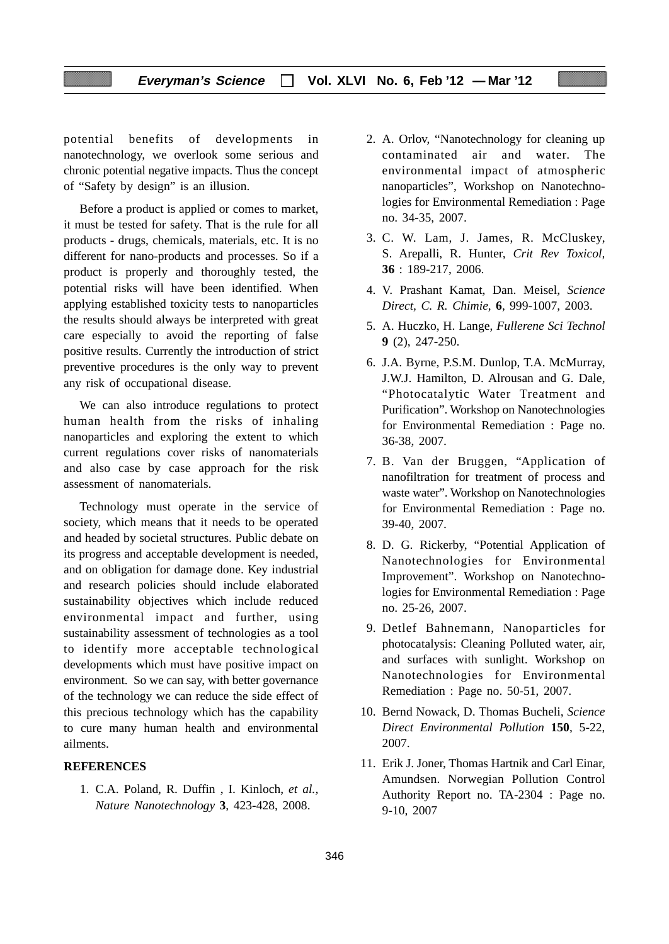potential benefits of developments in nanotechnology, we overlook some serious and chronic potential negative impacts. Thus the concept of "Safety by design" is an illusion.

Before a product is applied or comes to market, it must be tested for safety. That is the rule for all products - drugs, chemicals, materials, etc. It is no different for nano-products and processes. So if a product is properly and thoroughly tested, the potential risks will have been identified. When applying established toxicity tests to nanoparticles the results should always be interpreted with great care especially to avoid the reporting of false positive results. Currently the introduction of strict preventive procedures is the only way to prevent any risk of occupational disease.

We can also introduce regulations to protect human health from the risks of inhaling nanoparticles and exploring the extent to which current regulations cover risks of nanomaterials and also case by case approach for the risk assessment of nanomaterials.

Technology must operate in the service of society, which means that it needs to be operated and headed by societal structures. Public debate on its progress and acceptable development is needed, and on obligation for damage done. Key industrial and research policies should include elaborated sustainability objectives which include reduced environmental impact and further, using sustainability assessment of technologies as a tool to identify more acceptable technological developments which must have positive impact on environment. So we can say, with better governance of the technology we can reduce the side effect of this precious technology which has the capability to cure many human health and environmental ailments.

## **REFERENCES**

1. C.A. Poland, R. Duffin , I. Kinloch, *et al., Nature Nanotechnology* **3**, 423-428, 2008.

- 2. A. Orlov, "Nanotechnology for cleaning up contaminated air and water. The environmental impact of atmospheric nanoparticles", Workshop on Nanotechnologies for Environmental Remediation : Page no. 34-35, 2007.
- 3. C. W. Lam, J. James, R. McCluskey, S. Arepalli, R. Hunter, *Crit Rev Toxicol,* **36** : 189-217, 2006.
- 4. V. Prashant Kamat, Dan. Meisel, *Science Direct, C. R. Chimie,* **6**, 999-1007, 2003.
- 5. A. Huczko, H. Lange, *Fullerene Sci Technol* **9** (2), 247-250.
- 6. J.A. Byrne, P.S.M. Dunlop, T.A. McMurray, J.W.J. Hamilton, D. Alrousan and G. Dale, "Photocatalytic Water Treatment and Purification". Workshop on Nanotechnologies for Environmental Remediation : Page no. 36-38, 2007.
- 7. B. Van der Bruggen, "Application of nanofiltration for treatment of process and waste water". Workshop on Nanotechnologies for Environmental Remediation : Page no. 39-40, 2007.
- 8. D. G. Rickerby, "Potential Application of Nanotechnologies for Environmental Improvement". Workshop on Nanotechnologies for Environmental Remediation : Page no. 25-26, 2007.
- 9. Detlef Bahnemann, Nanoparticles for photocatalysis: Cleaning Polluted water, air, and surfaces with sunlight. Workshop on Nanotechnologies for Environmental Remediation : Page no. 50-51, 2007.
- 10. Bernd Nowack, D. Thomas Bucheli, *Science Direct Environmental Pollution* **150**, 5-22, 2007.
- 11. Erik J. Joner, Thomas Hartnik and Carl Einar, Amundsen. Norwegian Pollution Control Authority Report no. TA-2304 : Page no. 9-10, 2007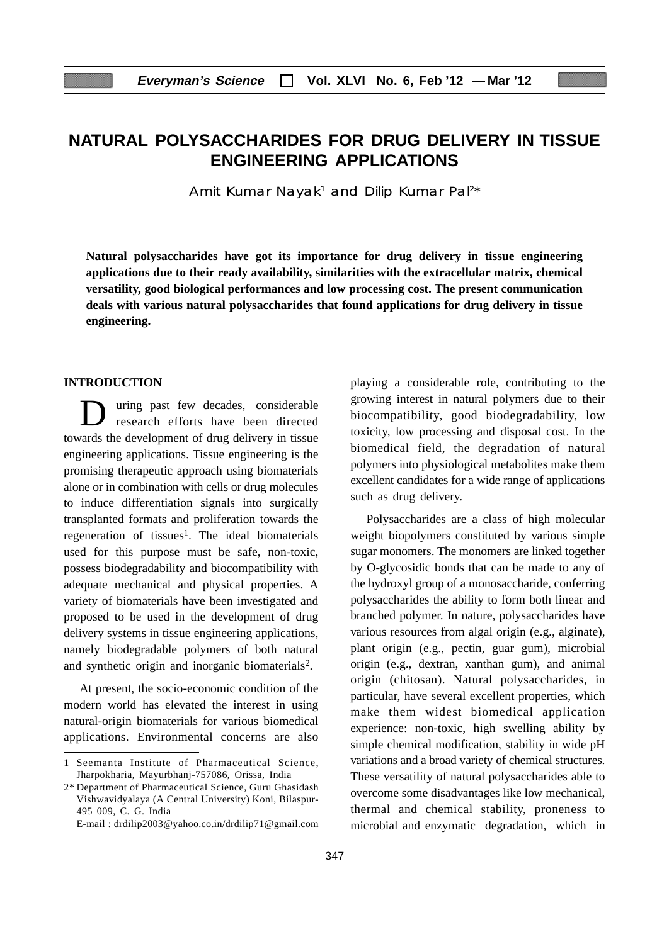# **NATURAL POLYSACCHARIDES FOR DRUG DELIVERY IN TISSUE ENGINEERING APPLICATIONS**

Amit Kumar Nayak<sup>1</sup> and Dilip Kumar Pal<sup>2\*</sup>

**Natural polysaccharides have got its importance for drug delivery in tissue engineering applications due to their ready availability, similarities with the extracellular matrix, chemical versatility, good biological performances and low processing cost. The present communication deals with various natural polysaccharides that found applications for drug delivery in tissue engineering.**

## **INTRODUCTION**

uring past few decades, considerable research efforts have been directed towards the development of drug delivery in tissue engineering applications. Tissue engineering is the promising therapeutic approach using biomaterials alone or in combination with cells or drug molecules to induce differentiation signals into surgically transplanted formats and proliferation towards the regeneration of tissues<sup>1</sup>. The ideal biomaterials used for this purpose must be safe, non-toxic, possess biodegradability and biocompatibility with adequate mechanical and physical properties. A variety of biomaterials have been investigated and proposed to be used in the development of drug delivery systems in tissue engineering applications, namely biodegradable polymers of both natural and synthetic origin and inorganic biomaterials2.

At present, the socio-economic condition of the modern world has elevated the interest in using natural-origin biomaterials for various biomedical applications. Environmental concerns are also

E-mail : drdilip2003@yahoo.co.in/drdilip71@gmail.com

playing a considerable role, contributing to the growing interest in natural polymers due to their biocompatibility, good biodegradability, low toxicity, low processing and disposal cost. In the biomedical field, the degradation of natural polymers into physiological metabolites make them excellent candidates for a wide range of applications such as drug delivery.

Polysaccharides are a class of high molecular weight biopolymers constituted by various simple sugar monomers. The monomers are linked together by O-glycosidic bonds that can be made to any of the hydroxyl group of a monosaccharide, conferring polysaccharides the ability to form both linear and branched polymer. In nature, polysaccharides have various resources from algal origin (e.g., alginate), plant origin (e.g., pectin, guar gum), microbial origin (e.g., dextran, xanthan gum), and animal origin (chitosan). Natural polysaccharides, in particular, have several excellent properties, which make them widest biomedical application experience: non-toxic, high swelling ability by simple chemical modification, stability in wide pH variations and a broad variety of chemical structures. These versatility of natural polysaccharides able to overcome some disadvantages like low mechanical, thermal and chemical stability, proneness to microbial and enzymatic degradation, which in

<sup>1</sup> Seemanta Institute of Pharmaceutical Science, Jharpokharia, Mayurbhanj-757086, Orissa, India

<sup>2\*</sup> Department of Pharmaceutical Science, Guru Ghasidash Vishwavidyalaya (A Central University) Koni, Bilaspur-495 009, C. G. India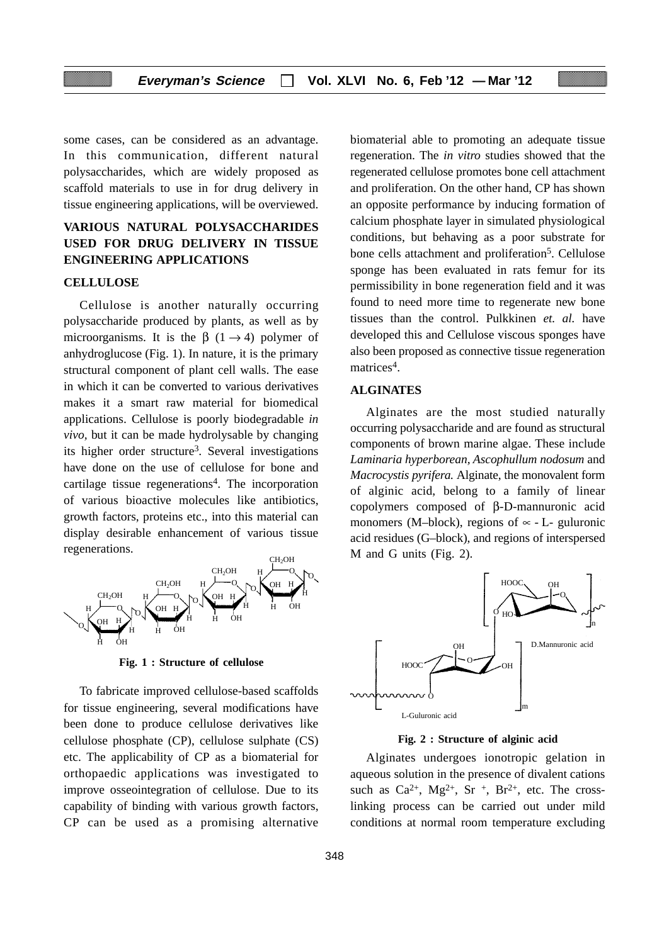some cases, can be considered as an advantage. In this communication, different natural polysaccharides, which are widely proposed as scaffold materials to use in for drug delivery in tissue engineering applications, will be overviewed.

## **VARIOUS NATURAL POLYSACCHARIDES USED FOR DRUG DELIVERY IN TISSUE ENGINEERING APPLICATIONS**

#### **CELLULOSE**

Cellulose is another naturally occurring polysaccharide produced by plants, as well as by microorganisms. It is the  $\beta$  (1  $\rightarrow$  4) polymer of anhydroglucose (Fig. 1). In nature, it is the primary structural component of plant cell walls. The ease in which it can be converted to various derivatives makes it a smart raw material for biomedical applications. Cellulose is poorly biodegradable *in vivo,* but it can be made hydrolysable by changing its higher order structure3. Several investigations have done on the use of cellulose for bone and cartilage tissue regenerations4. The incorporation of various bioactive molecules like antibiotics, growth factors, proteins etc., into this material can display desirable enhancement of various tissue regenerations.



**Fig. 1 : Structure of cellulose**

To fabricate improved cellulose-based scaffolds for tissue engineering, several modifications have been done to produce cellulose derivatives like cellulose phosphate (CP), cellulose sulphate (CS) etc. The applicability of CP as a biomaterial for orthopaedic applications was investigated to improve osseointegration of cellulose. Due to its capability of binding with various growth factors, CP can be used as a promising alternative

biomaterial able to promoting an adequate tissue regeneration. The *in vitro* studies showed that the regenerated cellulose promotes bone cell attachment and proliferation. On the other hand, CP has shown an opposite performance by inducing formation of calcium phosphate layer in simulated physiological conditions, but behaving as a poor substrate for bone cells attachment and proliferation<sup>5</sup>. Cellulose sponge has been evaluated in rats femur for its permissibility in bone regeneration field and it was found to need more time to regenerate new bone tissues than the control. Pulkkinen *et. al.* have developed this and Cellulose viscous sponges have also been proposed as connective tissue regeneration matrices<sup>4</sup>.

#### **ALGINATES**

Alginates are the most studied naturally occurring polysaccharide and are found as structural components of brown marine algae. These include *Laminaria hyperborean, Ascophullum nodosum* and *Macrocystis pyrifera.* Alginate, the monovalent form of alginic acid, belong to a family of linear copolymers composed of β-D-mannuronic acid monomers (M–block), regions of  $\infty$  - L- guluronic acid residues (G–block), and regions of interspersed M and G units (Fig. 2).



**Fig. 2 : Structure of alginic acid**

Alginates undergoes ionotropic gelation in aqueous solution in the presence of divalent cations such as  $Ca^{2+}$ ,  $Mg^{2+}$ , Sr<sup>+</sup>, Br<sup>2+</sup>, etc. The crosslinking process can be carried out under mild conditions at normal room temperature excluding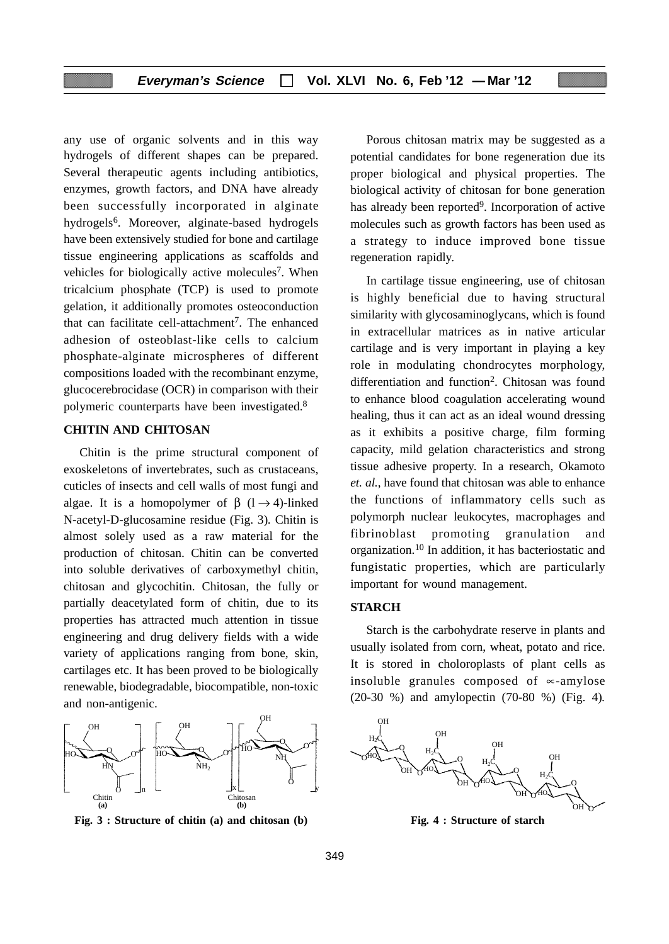any use of organic solvents and in this way hydrogels of different shapes can be prepared. Several therapeutic agents including antibiotics, enzymes, growth factors, and DNA have already been successfully incorporated in alginate hydrogels<sup>6</sup>. Moreover, alginate-based hydrogels have been extensively studied for bone and cartilage tissue engineering applications as scaffolds and vehicles for biologically active molecules<sup>7</sup>. When tricalcium phosphate (TCP) is used to promote gelation, it additionally promotes osteoconduction that can facilitate cell-attachment<sup>7</sup>. The enhanced adhesion of osteoblast-like cells to calcium phosphate-alginate microspheres of different compositions loaded with the recombinant enzyme, glucocerebrocidase (OCR) in comparison with their polymeric counterparts have been investigated.8

## **CHITIN AND CHITOSAN**

Chitin is the prime structural component of exoskeletons of invertebrates, such as crustaceans, cuticles of insects and cell walls of most fungi and algae. It is a homopolymer of  $\beta$  (1  $\rightarrow$  4)-linked N-acetyl-D-glucosamine residue (Fig. 3)*.* Chitin is almost solely used as a raw material for the production of chitosan. Chitin can be converted into soluble derivatives of carboxymethyl chitin, chitosan and glycochitin. Chitosan, the fully or partially deacetylated form of chitin, due to its properties has attracted much attention in tissue engineering and drug delivery fields with a wide variety of applications ranging from bone, skin, cartilages etc. It has been proved to be biologically renewable, biodegradable, biocompatible, non-toxic and non-antigenic.



**Fig. 3 : Structure of chitin (a) and chitosan (b)**

Porous chitosan matrix may be suggested as a potential candidates for bone regeneration due its proper biological and physical properties. The biological activity of chitosan for bone generation has already been reported<sup>9</sup>. Incorporation of active molecules such as growth factors has been used as a strategy to induce improved bone tissue regeneration rapidly.

In cartilage tissue engineering, use of chitosan is highly beneficial due to having structural similarity with glycosaminoglycans, which is found in extracellular matrices as in native articular cartilage and is very important in playing a key role in modulating chondrocytes morphology, differentiation and function<sup>2</sup>. Chitosan was found to enhance blood coagulation accelerating wound healing, thus it can act as an ideal wound dressing as it exhibits a positive charge, film forming capacity, mild gelation characteristics and strong tissue adhesive property. In a research, Okamoto *et. al.*, have found that chitosan was able to enhance the functions of inflammatory cells such as polymorph nuclear leukocytes, macrophages and fibrinoblast promoting granulation and organization.10 In addition, it has bacteriostatic and fungistatic properties, which are particularly important for wound management.

#### **STARCH**

Starch is the carbohydrate reserve in plants and usually isolated from corn, wheat, potato and rice. It is stored in choloroplasts of plant cells as insoluble granules composed of ∝-amylose (20-30 %) and amylopectin (70-80 %) (Fig. 4)*.*



**Fig. 4 : Structure of starch**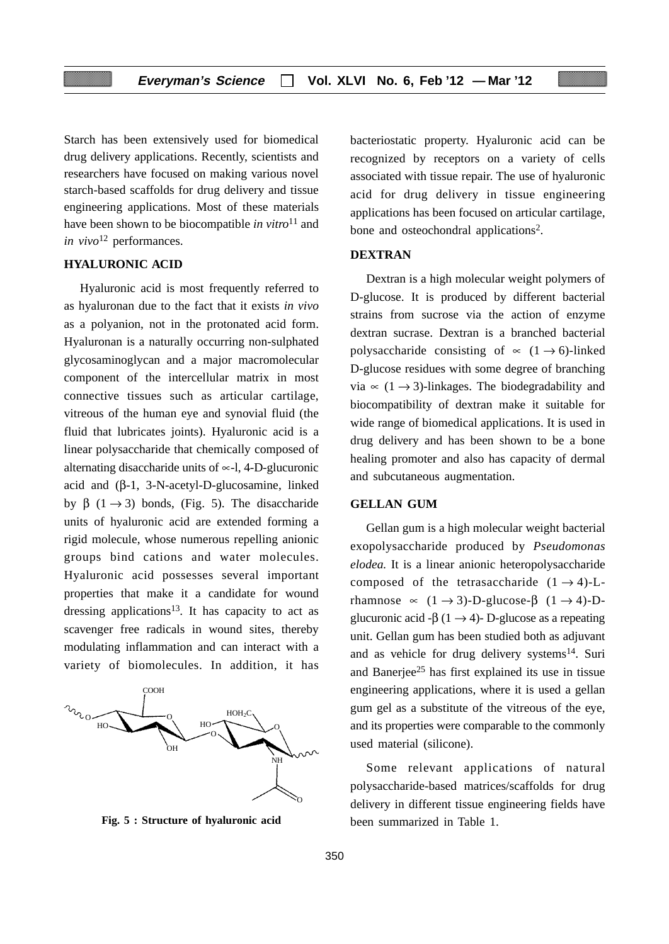Starch has been extensively used for biomedical drug delivery applications. Recently, scientists and researchers have focused on making various novel starch-based scaffolds for drug delivery and tissue engineering applications. Most of these materials have been shown to be biocompatible *in vitro*<sup>11</sup> and *in vivo*<sup>12</sup> performances.

## **HYALURONIC ACID**

Hyaluronic acid is most frequently referred to as hyaluronan due to the fact that it exists *in vivo* as a polyanion, not in the protonated acid form. Hyaluronan is a naturally occurring non-sulphated glycosaminoglycan and a major macromolecular component of the intercellular matrix in most connective tissues such as articular cartilage, vitreous of the human eye and synovial fluid (the fluid that lubricates joints). Hyaluronic acid is a linear polysaccharide that chemically composed of alternating disaccharide units of ∝-l, 4-D-glucuronic acid and (β-1, 3-N-acetyl-D-glucosamine, linked by β (1 → 3) bonds, (Fig. 5). The disaccharide units of hyaluronic acid are extended forming a rigid molecule, whose numerous repelling anionic groups bind cations and water molecules. Hyaluronic acid possesses several important properties that make it a candidate for wound dressing applications<sup>13</sup>. It has capacity to act as scavenger free radicals in wound sites, thereby modulating inflammation and can interact with a variety of biomolecules. In addition, it has



**Fig. 5 : Structure of hyaluronic acid**

bacteriostatic property. Hyaluronic acid can be recognized by receptors on a variety of cells associated with tissue repair. The use of hyaluronic acid for drug delivery in tissue engineering applications has been focused on articular cartilage, bone and osteochondral applications<sup>2</sup>.

#### **DEXTRAN**

Dextran is a high molecular weight polymers of D-glucose. It is produced by different bacterial strains from sucrose via the action of enzyme dextran sucrase. Dextran is a branched bacterial polysaccharide consisting of  $\approx$  (1  $\rightarrow$  6)-linked D-glucose residues with some degree of branching via  $\approx$  (1  $\rightarrow$  3)-linkages. The biodegradability and biocompatibility of dextran make it suitable for wide range of biomedical applications. It is used in drug delivery and has been shown to be a bone healing promoter and also has capacity of dermal and subcutaneous augmentation.

#### **GELLAN GUM**

Gellan gum is a high molecular weight bacterial exopolysaccharide produced by *Pseudomonas elodea.* It is a linear anionic heteropolysaccharide composed of the tetrasaccharide  $(1 \rightarrow 4)$ -Lrhamnose  $\propto (1 \rightarrow 3)$ -D-glucose- $\beta$   $(1 \rightarrow 4)$ -Dglucuronic acid -β (1  $\rightarrow$  4)- D-glucose as a repeating unit. Gellan gum has been studied both as adjuvant and as vehicle for drug delivery systems $^{14}$ . Suri and Banerjee<sup>25</sup> has first explained its use in tissue engineering applications, where it is used a gellan gum gel as a substitute of the vitreous of the eye, and its properties were comparable to the commonly used material (silicone).

Some relevant applications of natural polysaccharide-based matrices/scaffolds for drug delivery in different tissue engineering fields have been summarized in Table 1.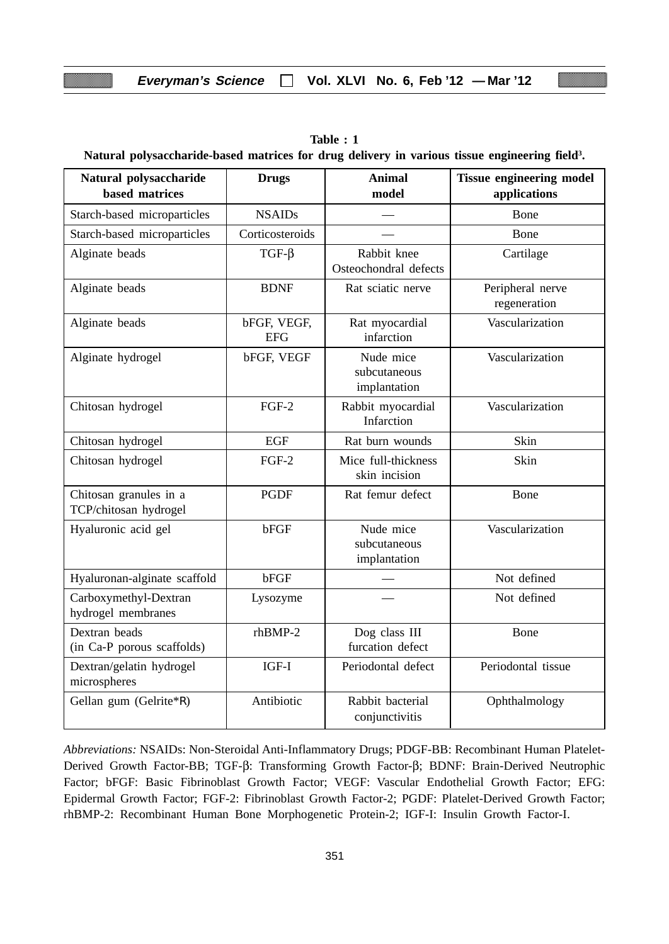| Natural polysaccharide-based matrices for drug delivery in various tissue engineering field <sup>3</sup> . |                           |                                           |                                                 |  |  |
|------------------------------------------------------------------------------------------------------------|---------------------------|-------------------------------------------|-------------------------------------------------|--|--|
| Natural polysaccharide<br>based matrices                                                                   | <b>Drugs</b>              | <b>Animal</b><br>model                    | <b>Tissue engineering model</b><br>applications |  |  |
| Starch-based microparticles                                                                                | <b>NSAIDs</b>             |                                           | Bone                                            |  |  |
| Starch-based microparticles                                                                                | Corticosteroids           |                                           | Bone                                            |  |  |
| Alginate beads                                                                                             | $TGF-\beta$               | Rabbit knee<br>Osteochondral defects      | Cartilage                                       |  |  |
| Alginate beads                                                                                             | <b>BDNF</b>               | Rat sciatic nerve                         | Peripheral nerve<br>regeneration                |  |  |
| Alginate beads                                                                                             | bFGF, VEGF,<br><b>EFG</b> | Rat myocardial<br>infarction              | Vascularization                                 |  |  |
| Alginate hydrogel                                                                                          | bFGF, VEGF                | Nude mice<br>subcutaneous<br>implantation | Vascularization                                 |  |  |

Chitosan hydrogel FGF-2 Rabbit myocardial Vascularization

Chitosan hydrogel EGF Rat burn wounds Skin Chitosan hydrogel FGF-2 Mice full-thickness Skin

Chitosan granules in a  $\qquad$  PGDF Rat femur defect Bone

Hyaluronic acid gel bFGF Nude mice Vascularization

Hyaluronan-alginate scaffold bFGF  $\vert$   $\vert$   $\vert$   $\vert$   $\vert$   $\vert$  Not defined Carboxymethyl-Dextran Lysozyme — Not defined

Dextran beads https://www.marchive.org/class III and Bone

Dextran/gelatin hydrogel  $\overline{1}$  IGF-I Periodontal defect Periodontal tissue

Gellan gum (Gelrite\*R) | Antibiotic | Rabbit bacterial | Ophthalmology

(in Ca-P porous scaffolds) furcation defect

TCP/chitosan hydrogel

hydrogel membranes

microspheres

Infarction

skin incision

subcutaneous implantation

conjunctivitis

| Table: 1 |                                                                                                            |  |  |  |  |  |  |  |
|----------|------------------------------------------------------------------------------------------------------------|--|--|--|--|--|--|--|
|          | Natural polysaccharide-based matrices for drug delivery in various tissue engineering field <sup>3</sup> . |  |  |  |  |  |  |  |

| Abbreviations: NSAIDs: Non-Steroidal Anti-Inflammatory Drugs; PDGF-BB: Recombinant Human Platelet-  |
|-----------------------------------------------------------------------------------------------------|
| Derived Growth Factor-BB; TGF-β: Transforming Growth Factor-β; BDNF: Brain-Derived Neutrophic       |
| Factor; bFGF: Basic Fibrinoblast Growth Factor; VEGF: Vascular Endothelial Growth Factor; EFG:      |
| Epidermal Growth Factor; FGF-2: Fibrinoblast Growth Factor-2; PGDF: Platelet-Derived Growth Factor; |
| rhBMP-2: Recombinant Human Bone Morphogenetic Protein-2; IGF-I: Insulin Growth Factor-I.            |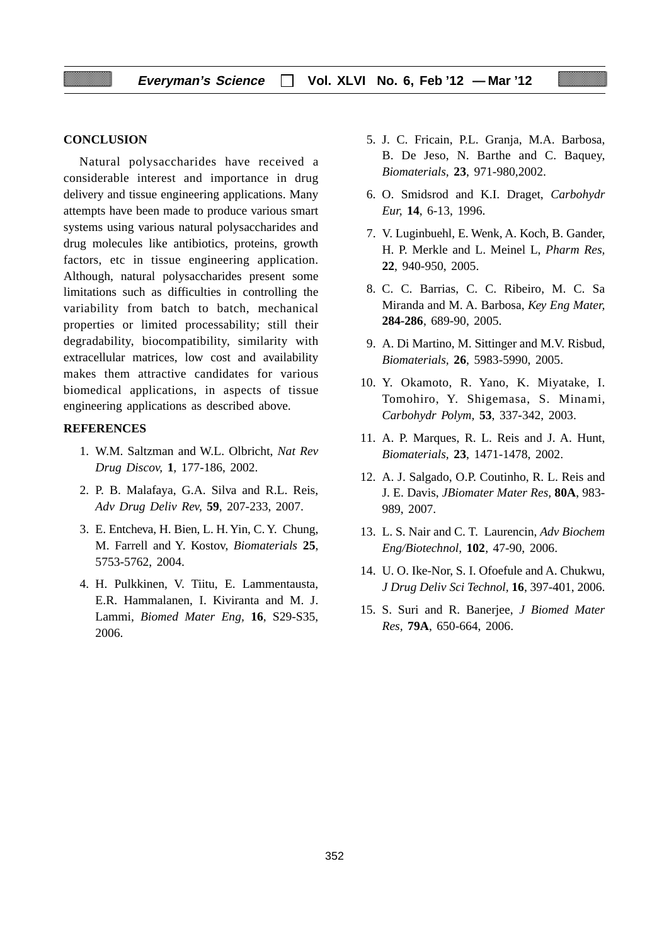#### **CONCLUSION**

Natural polysaccharides have received a considerable interest and importance in drug delivery and tissue engineering applications. Many attempts have been made to produce various smart systems using various natural polysaccharides and drug molecules like antibiotics, proteins, growth factors, etc in tissue engineering application. Although, natural polysaccharides present some limitations such as difficulties in controlling the variability from batch to batch, mechanical properties or limited processability; still their degradability, biocompatibility, similarity with extracellular matrices, low cost and availability makes them attractive candidates for various biomedical applications, in aspects of tissue engineering applications as described above.

#### **REFERENCES**

- 1. W.M. Saltzman and W.L. Olbricht, *Nat Rev Drug Discov,* **1***,* 177-186, 2002.
- 2. P. B. Malafaya, G.A. Silva and R.L. Reis, *Adv Drug Deliv Rev,* **59**, 207-233, 2007.
- 3. E. Entcheva, H. Bien, L. H. Yin, C. Y. Chung, M. Farrell and Y. Kostov, *Biomaterials* **25**, 5753-5762, 2004.
- 4. H. Pulkkinen, V. Tiitu, E. Lammentausta, E.R. Hammalanen, I. Kiviranta and M. J. Lammi, *Biomed Mater Eng,* **16**, S29-S35, 2006.
- 5. J. C. Fricain, P.L. Granja, M.A. Barbosa, B. De Jeso, N. Barthe and C. Baquey, *Biomaterials,* **23**, 971-980,2002.
- 6. O. Smidsrod and K.I. Draget, *Carbohydr Eur,* **14**, 6-13, 1996.
- 7. V. Luginbuehl, E. Wenk, A. Koch, B. Gander, H. P. Merkle and L. Meinel L, *Pharm Res,* **22**, 940-950, 2005.
- 8. C. C. Barrias, C. C. Ribeiro, M. C. Sa Miranda and M. A. Barbosa, *Key Eng Mater,* **284-286**, 689-90, 2005.
- 9. A. Di Martino, M. Sittinger and M.V. Risbud, *Biomaterials,* **26**, 5983-5990, 2005.
- 10. Y. Okamoto, R. Yano, K. Miyatake, I. Tomohiro, Y. Shigemasa, S. Minami, *Carbohydr Polym,* **53**, 337-342, 2003.
- 11. A. P. Marques, R. L. Reis and J. A. Hunt, *Biomaterials,* **23**, 1471-1478, 2002.
- 12. A. J. Salgado, O.P. Coutinho, R. L. Reis and J. E. Davis, *JBiomater Mater Res,* **80A**, 983- 989, 2007.
- 13. L. S. Nair and C. T. Laurencin, *Adv Biochem Eng/Biotechnol,* **102**, 47-90, 2006.
- 14. U. O. Ike-Nor, S. I. Ofoefule and A. Chukwu, *J Drug Deliv Sci Technol,* **16**, 397-401, 2006.
- 15. S. Suri and R. Banerjee, *J Biomed Mater Res,* **79A**, 650-664, 2006.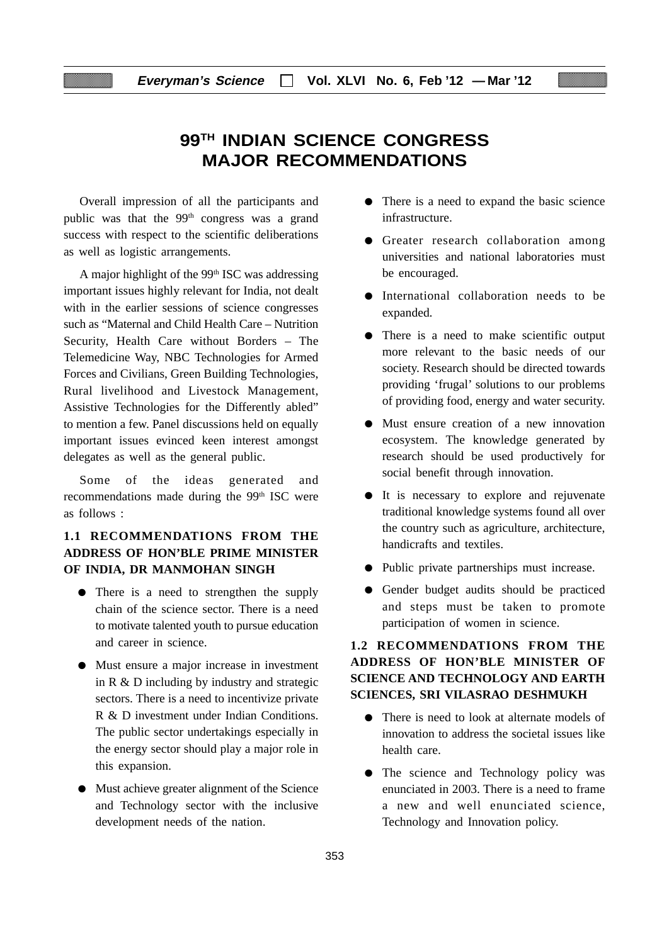# **99TH INDIAN SCIENCE CONGRESS MAJOR RECOMMENDATIONS**

Overall impression of all the participants and public was that the 99<sup>th</sup> congress was a grand success with respect to the scientific deliberations as well as logistic arrangements.

A major highlight of the  $99<sup>th</sup>$  ISC was addressing important issues highly relevant for India, not dealt with in the earlier sessions of science congresses such as "Maternal and Child Health Care – Nutrition Security, Health Care without Borders – The Telemedicine Way, NBC Technologies for Armed Forces and Civilians, Green Building Technologies, Rural livelihood and Livestock Management, Assistive Technologies for the Differently abled" to mention a few. Panel discussions held on equally important issues evinced keen interest amongst delegates as well as the general public.

Some of the ideas generated and recommendations made during the 99<sup>th</sup> ISC were as follows :

## **1.1 RECOMMENDATIONS FROM THE ADDRESS OF HON'BLE PRIME MINISTER OF INDIA, DR MANMOHAN SINGH**

- There is a need to strengthen the supply chain of the science sector. There is a need to motivate talented youth to pursue education and career in science.
- Must ensure a major increase in investment in R & D including by industry and strategic sectors. There is a need to incentivize private R & D investment under Indian Conditions. The public sector undertakings especially in the energy sector should play a major role in this expansion.
- Must achieve greater alignment of the Science and Technology sector with the inclusive development needs of the nation.
- There is a need to expand the basic science infrastructure.
- Greater research collaboration among universities and national laboratories must be encouraged.
- International collaboration needs to be expanded.
- There is a need to make scientific output more relevant to the basic needs of our society. Research should be directed towards providing 'frugal' solutions to our problems of providing food, energy and water security.
- Must ensure creation of a new innovation ecosystem. The knowledge generated by research should be used productively for social benefit through innovation.
- It is necessary to explore and rejuvenate traditional knowledge systems found all over the country such as agriculture, architecture, handicrafts and textiles.
- Public private partnerships must increase.
- Gender budget audits should be practiced and steps must be taken to promote participation of women in science.

## **1.2 RECOMMENDATIONS FROM THE ADDRESS OF HON'BLE MINISTER OF SCIENCE AND TECHNOLOGY AND EARTH SCIENCES, SRI VILASRAO DESHMUKH**

- There is need to look at alternate models of innovation to address the societal issues like health care.
- The science and Technology policy was enunciated in 2003. There is a need to frame a new and well enunciated science, Technology and Innovation policy.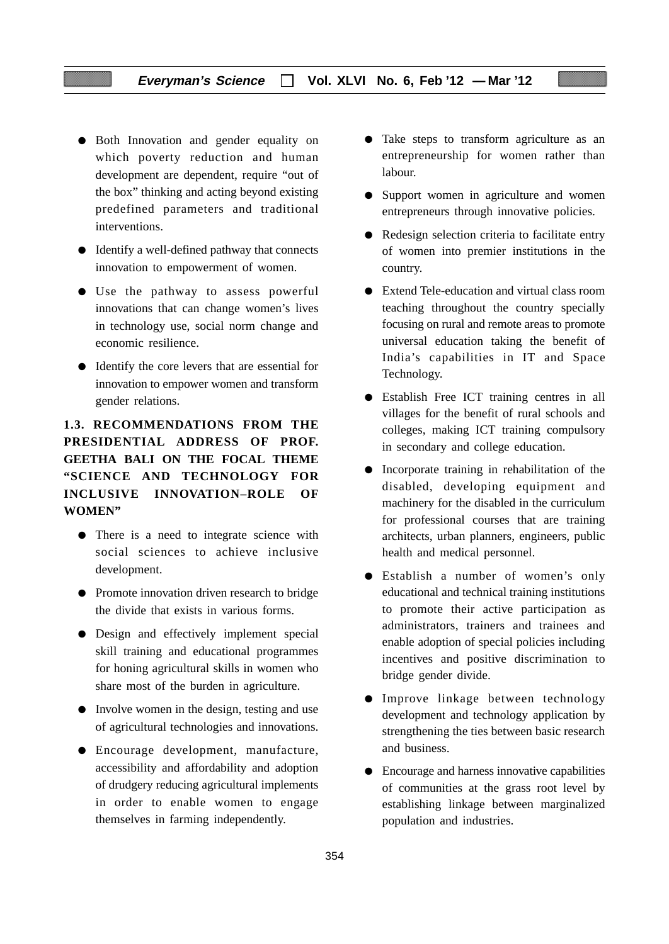- Both Innovation and gender equality on which poverty reduction and human development are dependent, require "out of the box" thinking and acting beyond existing predefined parameters and traditional interventions.
- Identify a well-defined pathway that connects innovation to empowerment of women.
- Use the pathway to assess powerful innovations that can change women's lives in technology use, social norm change and economic resilience.
- Identify the core levers that are essential for innovation to empower women and transform gender relations.

## **1.3. RECOMMENDATIONS FROM THE PRESIDENTIAL ADDRESS OF PROF. GEETHA BALI ON THE FOCAL THEME "SCIENCE AND TECHNOLOGY FOR INCLUSIVE INNOVATION–ROLE OF WOMEN"**

- There is a need to integrate science with social sciences to achieve inclusive development.
- Promote innovation driven research to bridge the divide that exists in various forms.
- Design and effectively implement special skill training and educational programmes for honing agricultural skills in women who share most of the burden in agriculture.
- Involve women in the design, testing and use of agricultural technologies and innovations.
- Encourage development, manufacture, accessibility and affordability and adoption of drudgery reducing agricultural implements in order to enable women to engage themselves in farming independently.
- Take steps to transform agriculture as an entrepreneurship for women rather than labour.
- Support women in agriculture and women entrepreneurs through innovative policies.
- Redesign selection criteria to facilitate entry of women into premier institutions in the country.
- Extend Tele-education and virtual class room teaching throughout the country specially focusing on rural and remote areas to promote universal education taking the benefit of India's capabilities in IT and Space Technology.
- Establish Free ICT training centres in all villages for the benefit of rural schools and colleges, making ICT training compulsory in secondary and college education.
- Incorporate training in rehabilitation of the disabled, developing equipment and machinery for the disabled in the curriculum for professional courses that are training architects, urban planners, engineers, public health and medical personnel.
- Establish a number of women's only educational and technical training institutions to promote their active participation as administrators, trainers and trainees and enable adoption of special policies including incentives and positive discrimination to bridge gender divide.
- Improve linkage between technology development and technology application by strengthening the ties between basic research and business.
- Encourage and harness innovative capabilities of communities at the grass root level by establishing linkage between marginalized population and industries.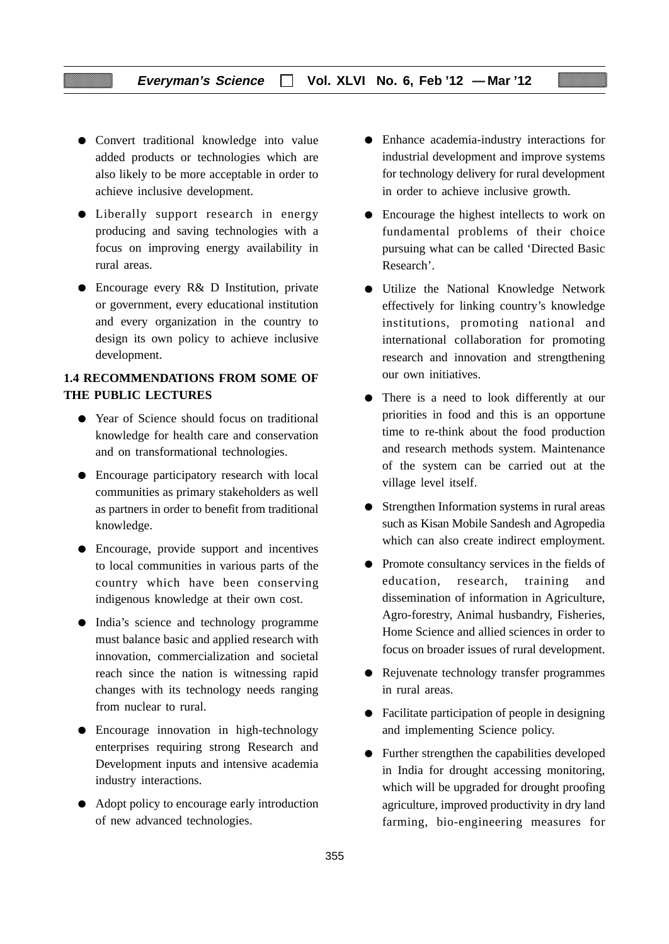- Convert traditional knowledge into value added products or technologies which are also likely to be more acceptable in order to achieve inclusive development.
- Liberally support research in energy producing and saving technologies with a focus on improving energy availability in rural areas.
- Encourage every R& D Institution, private or government, every educational institution and every organization in the country to design its own policy to achieve inclusive development.

## **1.4 RECOMMENDATIONS FROM SOME OF THE PUBLIC LECTURES**

- Year of Science should focus on traditional knowledge for health care and conservation and on transformational technologies.
- Encourage participatory research with local communities as primary stakeholders as well as partners in order to benefit from traditional knowledge.
- Encourage, provide support and incentives to local communities in various parts of the country which have been conserving indigenous knowledge at their own cost.
- India's science and technology programme must balance basic and applied research with innovation, commercialization and societal reach since the nation is witnessing rapid changes with its technology needs ranging from nuclear to rural.
- Encourage innovation in high-technology enterprises requiring strong Research and Development inputs and intensive academia industry interactions.
- Adopt policy to encourage early introduction of new advanced technologies.
- Enhance academia-industry interactions for industrial development and improve systems for technology delivery for rural development in order to achieve inclusive growth.
- Encourage the highest intellects to work on fundamental problems of their choice pursuing what can be called 'Directed Basic Research'.
- Utilize the National Knowledge Network effectively for linking country's knowledge institutions, promoting national and international collaboration for promoting research and innovation and strengthening our own initiatives.
- There is a need to look differently at our priorities in food and this is an opportune time to re-think about the food production and research methods system. Maintenance of the system can be carried out at the village level itself.
- Strengthen Information systems in rural areas such as Kisan Mobile Sandesh and Agropedia which can also create indirect employment.
- Promote consultancy services in the fields of education, research, training and dissemination of information in Agriculture, Agro-forestry, Animal husbandry, Fisheries, Home Science and allied sciences in order to focus on broader issues of rural development.
- Rejuvenate technology transfer programmes in rural areas.
- Facilitate participation of people in designing and implementing Science policy.
- Further strengthen the capabilities developed in India for drought accessing monitoring, which will be upgraded for drought proofing agriculture, improved productivity in dry land farming, bio-engineering measures for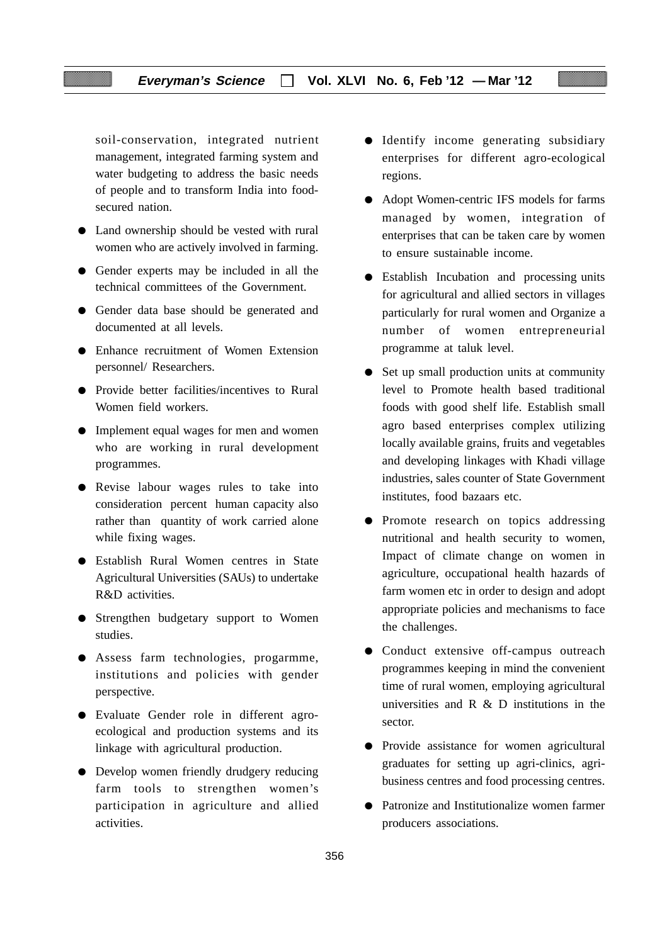soil-conservation, integrated nutrient management, integrated farming system and water budgeting to address the basic needs of people and to transform India into foodsecured nation.

- Land ownership should be vested with rural women who are actively involved in farming.
- Gender experts may be included in all the technical committees of the Government.
- Gender data base should be generated and documented at all levels.
- Enhance recruitment of Women Extension personnel/ Researchers.
- Provide better facilities/incentives to Rural Women field workers.
- Implement equal wages for men and women who are working in rural development programmes.
- Revise labour wages rules to take into consideration percent human capacity also rather than quantity of work carried alone while fixing wages.
- Establish Rural Women centres in State Agricultural Universities (SAUs) to undertake R&D activities.
- Strengthen budgetary support to Women studies.
- Assess farm technologies, progarmme, institutions and policies with gender perspective.
- Evaluate Gender role in different agroecological and production systems and its linkage with agricultural production.
- Develop women friendly drudgery reducing farm tools to strengthen women's participation in agriculture and allied activities.
- Identify income generating subsidiary enterprises for different agro-ecological regions.
- Adopt Women-centric IFS models for farms managed by women, integration of enterprises that can be taken care by women to ensure sustainable income.
- Establish Incubation and processing units for agricultural and allied sectors in villages particularly for rural women and Organize a number of women entrepreneurial programme at taluk level.
- Set up small production units at community level to Promote health based traditional foods with good shelf life. Establish small agro based enterprises complex utilizing locally available grains, fruits and vegetables and developing linkages with Khadi village industries, sales counter of State Government institutes, food bazaars etc.
- Promote research on topics addressing nutritional and health security to women, Impact of climate change on women in agriculture, occupational health hazards of farm women etc in order to design and adopt appropriate policies and mechanisms to face the challenges.
- Conduct extensive off-campus outreach programmes keeping in mind the convenient time of rural women, employing agricultural universities and  $R \& D$  institutions in the sector.
- Provide assistance for women agricultural graduates for setting up agri-clinics, agribusiness centres and food processing centres.
- Patronize and Institutionalize women farmer producers associations.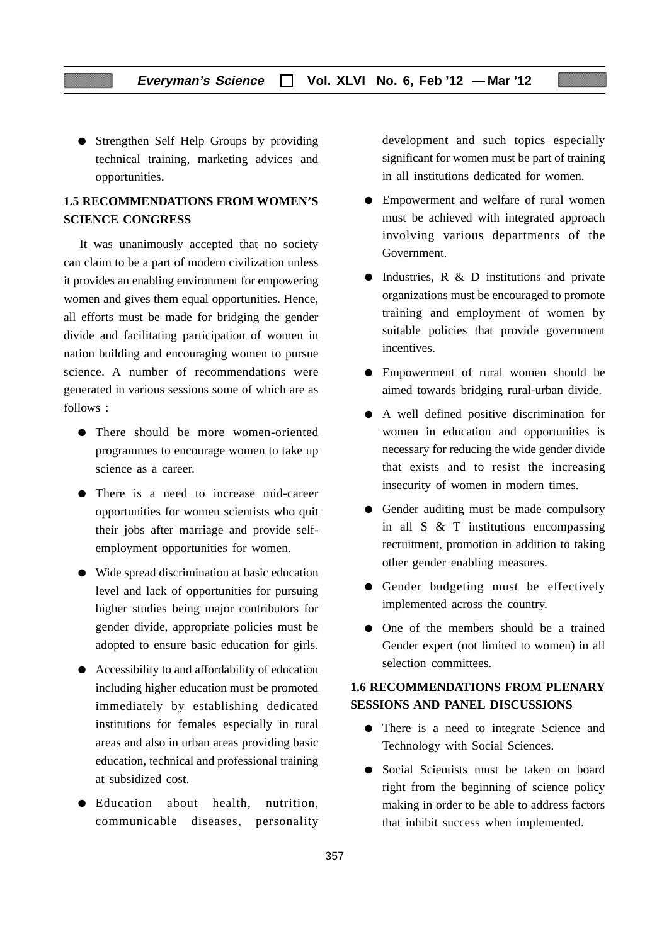• Strengthen Self Help Groups by providing technical training, marketing advices and opportunities.

## **1.5 RECOMMENDATIONS FROM WOMEN'S SCIENCE CONGRESS**

It was unanimously accepted that no society can claim to be a part of modern civilization unless it provides an enabling environment for empowering women and gives them equal opportunities. Hence, all efforts must be made for bridging the gender divide and facilitating participation of women in nation building and encouraging women to pursue science. A number of recommendations were generated in various sessions some of which are as follows :

- There should be more women-oriented programmes to encourage women to take up science as a career.
- There is a need to increase mid-career opportunities for women scientists who quit their jobs after marriage and provide selfemployment opportunities for women.
- Wide spread discrimination at basic education level and lack of opportunities for pursuing higher studies being major contributors for gender divide, appropriate policies must be adopted to ensure basic education for girls.
- Accessibility to and affordability of education including higher education must be promoted immediately by establishing dedicated institutions for females especially in rural areas and also in urban areas providing basic education, technical and professional training at subsidized cost.
- Education about health, nutrition, communicable diseases, personality

development and such topics especially significant for women must be part of training in all institutions dedicated for women.

- Empowerment and welfare of rural women must be achieved with integrated approach involving various departments of the Government.
- Industries, R & D institutions and private organizations must be encouraged to promote training and employment of women by suitable policies that provide government incentives.
- Empowerment of rural women should be aimed towards bridging rural-urban divide.
- A well defined positive discrimination for women in education and opportunities is necessary for reducing the wide gender divide that exists and to resist the increasing insecurity of women in modern times.
- Gender auditing must be made compulsory in all S & T institutions encompassing recruitment, promotion in addition to taking other gender enabling measures.
- Gender budgeting must be effectively implemented across the country.
- One of the members should be a trained Gender expert (not limited to women) in all selection committees.

## **1.6 RECOMMENDATIONS FROM PLENARY SESSIONS AND PANEL DISCUSSIONS**

- There is a need to integrate Science and Technology with Social Sciences.
- Social Scientists must be taken on board right from the beginning of science policy making in order to be able to address factors that inhibit success when implemented.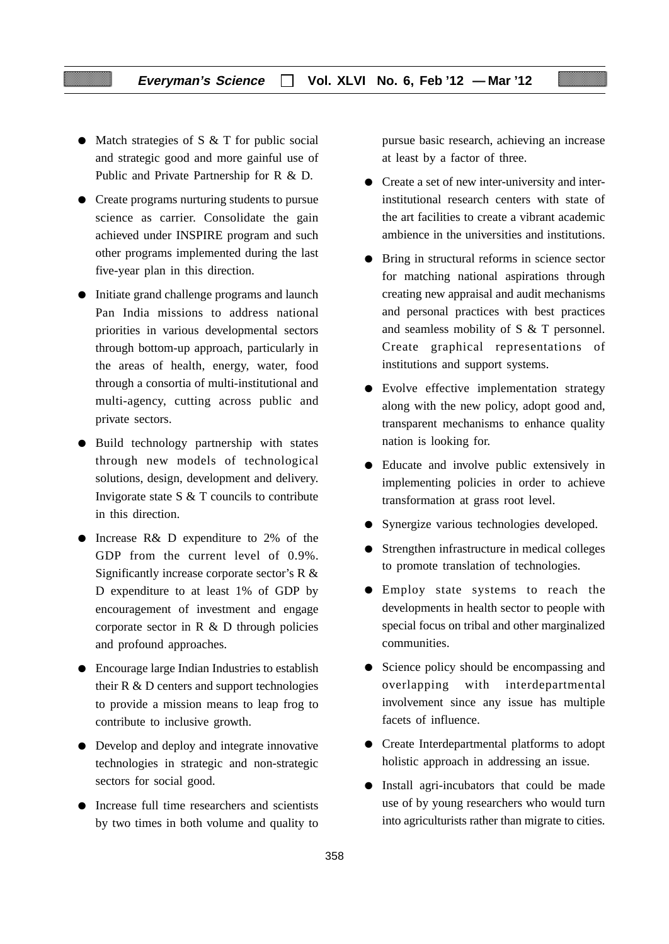- Match strategies of S & T for public social and strategic good and more gainful use of Public and Private Partnership for R & D.
- Create programs nurturing students to pursue science as carrier. Consolidate the gain achieved under INSPIRE program and such other programs implemented during the last five-year plan in this direction.
- Initiate grand challenge programs and launch Pan India missions to address national priorities in various developmental sectors through bottom-up approach, particularly in the areas of health, energy, water, food through a consortia of multi-institutional and multi-agency, cutting across public and private sectors.
- Build technology partnership with states through new models of technological solutions, design, development and delivery. Invigorate state S & T councils to contribute in this direction.
- Increase R& D expenditure to 2% of the GDP from the current level of 0.9%. Significantly increase corporate sector's R & D expenditure to at least 1% of GDP by encouragement of investment and engage corporate sector in  $R \& D$  through policies and profound approaches.
- Encourage large Indian Industries to establish their  $R \& D$  centers and support technologies to provide a mission means to leap frog to contribute to inclusive growth.
- Develop and deploy and integrate innovative technologies in strategic and non-strategic sectors for social good.
- Increase full time researchers and scientists by two times in both volume and quality to

pursue basic research, achieving an increase at least by a factor of three.

- Create a set of new inter-university and interinstitutional research centers with state of the art facilities to create a vibrant academic ambience in the universities and institutions.
- Bring in structural reforms in science sector for matching national aspirations through creating new appraisal and audit mechanisms and personal practices with best practices and seamless mobility of S & T personnel. Create graphical representations of institutions and support systems.
- Evolve effective implementation strategy along with the new policy, adopt good and, transparent mechanisms to enhance quality nation is looking for.
- Educate and involve public extensively in implementing policies in order to achieve transformation at grass root level.
- Synergize various technologies developed.
- Strengthen infrastructure in medical colleges to promote translation of technologies.
- Employ state systems to reach the developments in health sector to people with special focus on tribal and other marginalized communities.
- Science policy should be encompassing and overlapping with interdepartmental involvement since any issue has multiple facets of influence.
- Create Interdepartmental platforms to adopt holistic approach in addressing an issue.
- Install agri-incubators that could be made use of by young researchers who would turn into agriculturists rather than migrate to cities.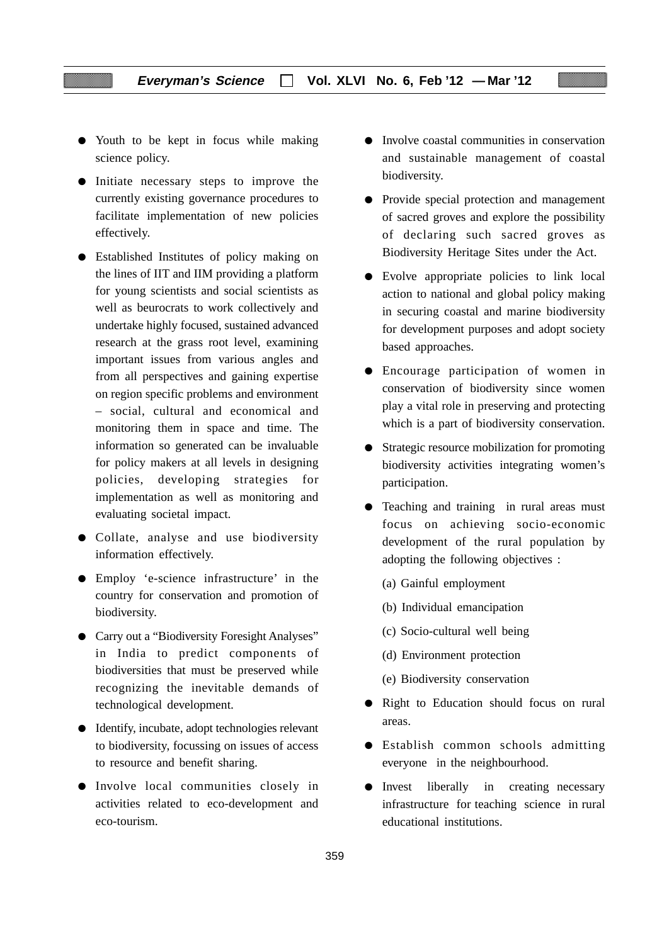- Youth to be kept in focus while making science policy.
- Initiate necessary steps to improve the currently existing governance procedures to facilitate implementation of new policies effectively.
- Established Institutes of policy making on the lines of IIT and IIM providing a platform for young scientists and social scientists as well as beurocrats to work collectively and undertake highly focused, sustained advanced research at the grass root level, examining important issues from various angles and from all perspectives and gaining expertise on region specific problems and environment – social, cultural and economical and monitoring them in space and time. The information so generated can be invaluable for policy makers at all levels in designing policies, developing strategies for implementation as well as monitoring and evaluating societal impact.
- Collate, analyse and use biodiversity information effectively.
- Employ 'e-science infrastructure' in the country for conservation and promotion of biodiversity.
- Carry out a "Biodiversity Foresight Analyses" in India to predict components of biodiversities that must be preserved while recognizing the inevitable demands of technological development.
- Identify, incubate, adopt technologies relevant to biodiversity, focussing on issues of access to resource and benefit sharing.
- Involve local communities closely in activities related to eco-development and eco-tourism.
- Involve coastal communities in conservation and sustainable management of coastal biodiversity.
- Provide special protection and management of sacred groves and explore the possibility of declaring such sacred groves as Biodiversity Heritage Sites under the Act.
- Evolve appropriate policies to link local action to national and global policy making in securing coastal and marine biodiversity for development purposes and adopt society based approaches.
- Encourage participation of women in conservation of biodiversity since women play a vital role in preserving and protecting which is a part of biodiversity conservation.
- Strategic resource mobilization for promoting biodiversity activities integrating women's participation.
- Teaching and training in rural areas must focus on achieving socio-economic development of the rural population by adopting the following objectives :
	- (a) Gainful employment
	- (b) Individual emancipation
	- (c) Socio-cultural well being
	- (d) Environment protection
	- (e) Biodiversity conservation
- Right to Education should focus on rural areas.
- Establish common schools admitting everyone in the neighbourhood.
- Invest liberally in creating necessary infrastructure for teaching science in rural educational institutions.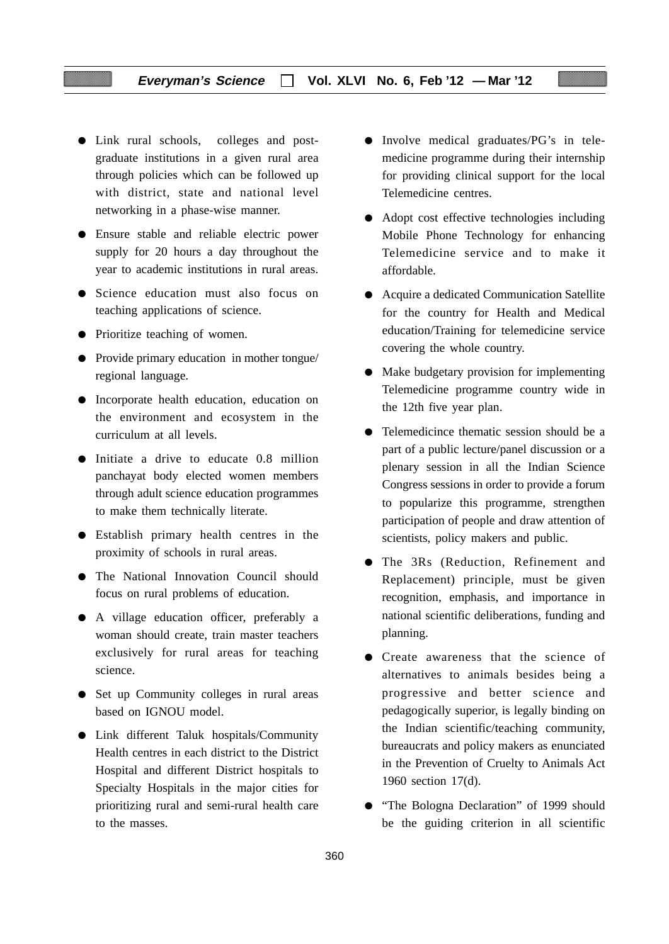- Link rural schools, colleges and postgraduate institutions in a given rural area through policies which can be followed up with district, state and national level networking in a phase-wise manner.
- Ensure stable and reliable electric power supply for 20 hours a day throughout the year to academic institutions in rural areas.
- Science education must also focus on teaching applications of science.
- Prioritize teaching of women.
- Provide primary education in mother tongue/ regional language.
- Incorporate health education, education on the environment and ecosystem in the curriculum at all levels.
- Initiate a drive to educate 0.8 million panchayat body elected women members through adult science education programmes to make them technically literate.
- Establish primary health centres in the proximity of schools in rural areas.
- The National Innovation Council should focus on rural problems of education.
- A village education officer, preferably a woman should create, train master teachers exclusively for rural areas for teaching science.
- Set up Community colleges in rural areas based on IGNOU model.
- Link different Taluk hospitals/Community Health centres in each district to the District Hospital and different District hospitals to Specialty Hospitals in the major cities for prioritizing rural and semi-rural health care to the masses.
- Involve medical graduates/PG's in telemedicine programme during their internship for providing clinical support for the local Telemedicine centres.
- Adopt cost effective technologies including Mobile Phone Technology for enhancing Telemedicine service and to make it affordable.
- Acquire a dedicated Communication Satellite for the country for Health and Medical education/Training for telemedicine service covering the whole country.
- Make budgetary provision for implementing Telemedicine programme country wide in the 12th five year plan.
- Telemedicince thematic session should be a part of a public lecture/panel discussion or a plenary session in all the Indian Science Congress sessions in order to provide a forum to popularize this programme, strengthen participation of people and draw attention of scientists, policy makers and public.
- The 3Rs (Reduction, Refinement and Replacement) principle, must be given recognition, emphasis, and importance in national scientific deliberations, funding and planning.
- Create awareness that the science of alternatives to animals besides being a progressive and better science and pedagogically superior, is legally binding on the Indian scientific/teaching community, bureaucrats and policy makers as enunciated in the Prevention of Cruelty to Animals Act 1960 section 17(d).
- "The Bologna Declaration" of 1999 should be the guiding criterion in all scientific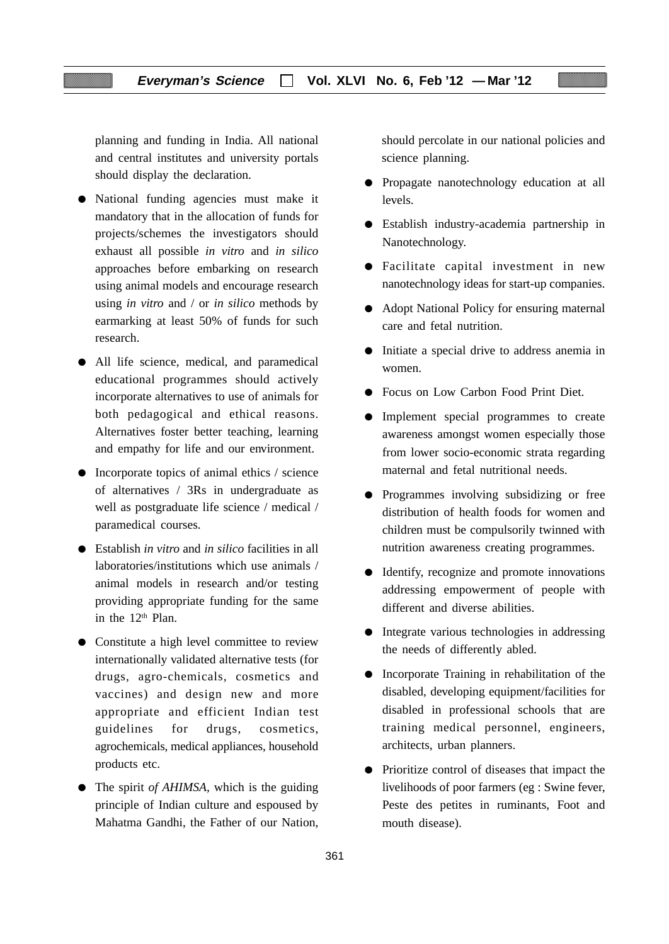planning and funding in India. All national and central institutes and university portals should display the declaration.

- National funding agencies must make it mandatory that in the allocation of funds for projects/schemes the investigators should exhaust all possible *in vitro* and *in silico* approaches before embarking on research using animal models and encourage research using *in vitro* and / or *in silico* methods by earmarking at least 50% of funds for such research.
- All life science, medical, and paramedical educational programmes should actively incorporate alternatives to use of animals for both pedagogical and ethical reasons. Alternatives foster better teaching, learning and empathy for life and our environment.
- Incorporate topics of animal ethics / science of alternatives / 3Rs in undergraduate as well as postgraduate life science / medical / paramedical courses.
- Establish *in vitro* and *in silico* facilities in all laboratories/institutions which use animals / animal models in research and/or testing providing appropriate funding for the same in the 12<sup>th</sup> Plan.
- Constitute a high level committee to review internationally validated alternative tests (for drugs, agro-chemicals, cosmetics and vaccines) and design new and more appropriate and efficient Indian test guidelines for drugs, cosmetics, agrochemicals, medical appliances, household products etc.
- The spirit *of AHIMSA*, which is the guiding principle of Indian culture and espoused by Mahatma Gandhi, the Father of our Nation,

should percolate in our national policies and science planning.

- Propagate nanotechnology education at all levels.
- Establish industry-academia partnership in Nanotechnology.
- Facilitate capital investment in new nanotechnology ideas for start-up companies.
- Adopt National Policy for ensuring maternal care and fetal nutrition.
- Initiate a special drive to address anemia in women.
- Focus on Low Carbon Food Print Diet.
- Implement special programmes to create awareness amongst women especially those from lower socio-economic strata regarding maternal and fetal nutritional needs.
- Programmes involving subsidizing or free distribution of health foods for women and children must be compulsorily twinned with nutrition awareness creating programmes.
- Identify, recognize and promote innovations addressing empowerment of people with different and diverse abilities.
- Integrate various technologies in addressing the needs of differently abled.
- Incorporate Training in rehabilitation of the disabled, developing equipment/facilities for disabled in professional schools that are training medical personnel, engineers, architects, urban planners.
- Prioritize control of diseases that impact the livelihoods of poor farmers (eg : Swine fever, Peste des petites in ruminants, Foot and mouth disease).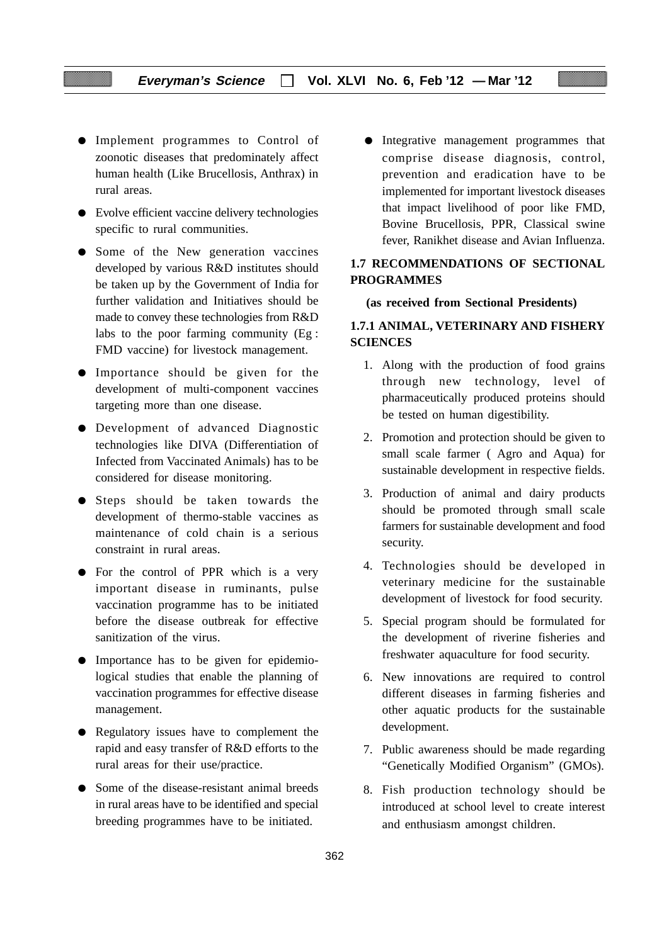- Implement programmes to Control of zoonotic diseases that predominately affect human health (Like Brucellosis, Anthrax) in rural areas.
- Evolve efficient vaccine delivery technologies specific to rural communities.
- Some of the New generation vaccines developed by various R&D institutes should be taken up by the Government of India for further validation and Initiatives should be made to convey these technologies from R&D labs to the poor farming community (Eg : FMD vaccine) for livestock management.
- Importance should be given for the development of multi-component vaccines targeting more than one disease.
- Development of advanced Diagnostic technologies like DIVA (Differentiation of Infected from Vaccinated Animals) has to be considered for disease monitoring.
- Steps should be taken towards the development of thermo-stable vaccines as maintenance of cold chain is a serious constraint in rural areas.
- For the control of PPR which is a very important disease in ruminants, pulse vaccination programme has to be initiated before the disease outbreak for effective sanitization of the virus.
- Importance has to be given for epidemiological studies that enable the planning of vaccination programmes for effective disease management.
- Regulatory issues have to complement the rapid and easy transfer of R&D efforts to the rural areas for their use/practice.
- Some of the disease-resistant animal breeds in rural areas have to be identified and special breeding programmes have to be initiated.

● Integrative management programmes that comprise disease diagnosis, control, prevention and eradication have to be implemented for important livestock diseases that impact livelihood of poor like FMD, Bovine Brucellosis, PPR, Classical swine fever, Ranikhet disease and Avian Influenza.

## **1.7 RECOMMENDATIONS OF SECTIONAL PROGRAMMES**

#### **(as received from Sectional Presidents)**

## **1.7.1 ANIMAL, VETERINARY AND FISHERY SCIENCES**

- 1. Along with the production of food grains through new technology, level of pharmaceutically produced proteins should be tested on human digestibility.
- 2. Promotion and protection should be given to small scale farmer ( Agro and Aqua) for sustainable development in respective fields.
- 3. Production of animal and dairy products should be promoted through small scale farmers for sustainable development and food security.
- 4. Technologies should be developed in veterinary medicine for the sustainable development of livestock for food security.
- 5. Special program should be formulated for the development of riverine fisheries and freshwater aquaculture for food security.
- 6. New innovations are required to control different diseases in farming fisheries and other aquatic products for the sustainable development.
- 7. Public awareness should be made regarding "Genetically Modified Organism" (GMOs).
- 8. Fish production technology should be introduced at school level to create interest and enthusiasm amongst children.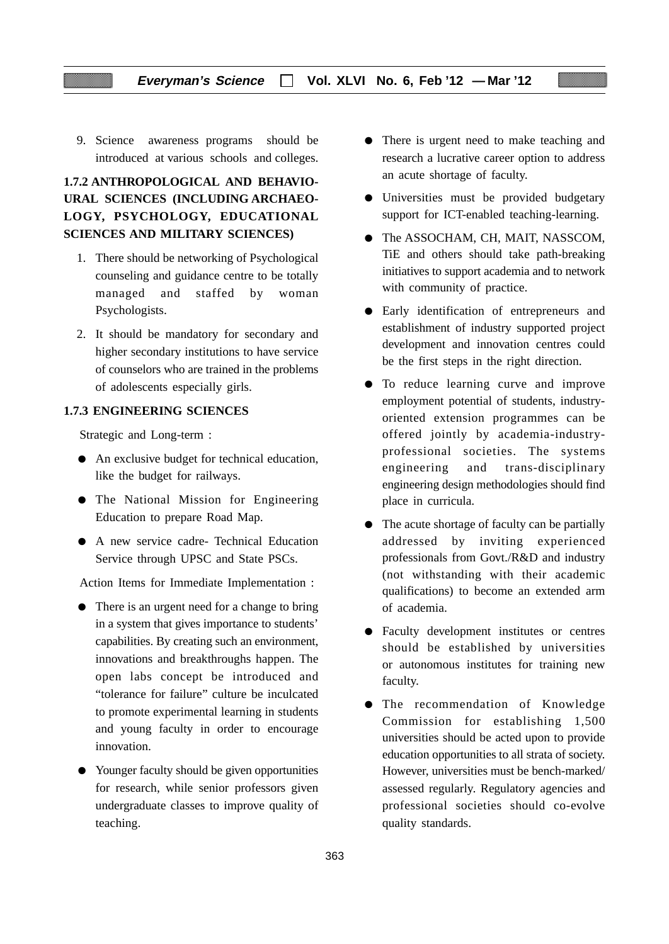9. Science awareness programs should be introduced at various schools and colleges.

## **1.7.2 ANTHROPOLOGICAL AND BEHAVIO-URAL SCIENCES (INCLUDING ARCHAEO-LOGY, PSYCHOLOGY, EDUCATIONAL SCIENCES AND MILITARY SCIENCES)**

- 1. There should be networking of Psychological counseling and guidance centre to be totally managed and staffed by woman Psychologists.
- 2. It should be mandatory for secondary and higher secondary institutions to have service of counselors who are trained in the problems of adolescents especially girls.

## **1.7.3 ENGINEERING SCIENCES**

Strategic and Long-term :

- An exclusive budget for technical education, like the budget for railways.
- The National Mission for Engineering Education to prepare Road Map.
- A new service cadre- Technical Education Service through UPSC and State PSCs.

Action Items for Immediate Implementation :

- There is an urgent need for a change to bring in a system that gives importance to students' capabilities. By creating such an environment, innovations and breakthroughs happen. The open labs concept be introduced and "tolerance for failure" culture be inculcated to promote experimental learning in students and young faculty in order to encourage innovation.
- Younger faculty should be given opportunities for research, while senior professors given undergraduate classes to improve quality of teaching.
- There is urgent need to make teaching and research a lucrative career option to address an acute shortage of faculty.
- Universities must be provided budgetary support for ICT-enabled teaching-learning.
- The ASSOCHAM, CH, MAIT, NASSCOM, TiE and others should take path-breaking initiatives to support academia and to network with community of practice.
- Early identification of entrepreneurs and establishment of industry supported project development and innovation centres could be the first steps in the right direction.
- To reduce learning curve and improve employment potential of students, industryoriented extension programmes can be offered jointly by academia-industryprofessional societies. The systems engineering and trans-disciplinary engineering design methodologies should find place in curricula.
- The acute shortage of faculty can be partially addressed by inviting experienced professionals from Govt./R&D and industry (not withstanding with their academic qualifications) to become an extended arm of academia.
- Faculty development institutes or centres should be established by universities or autonomous institutes for training new faculty.
- The recommendation of Knowledge Commission for establishing 1,500 universities should be acted upon to provide education opportunities to all strata of society. However, universities must be bench-marked/ assessed regularly. Regulatory agencies and professional societies should co-evolve quality standards.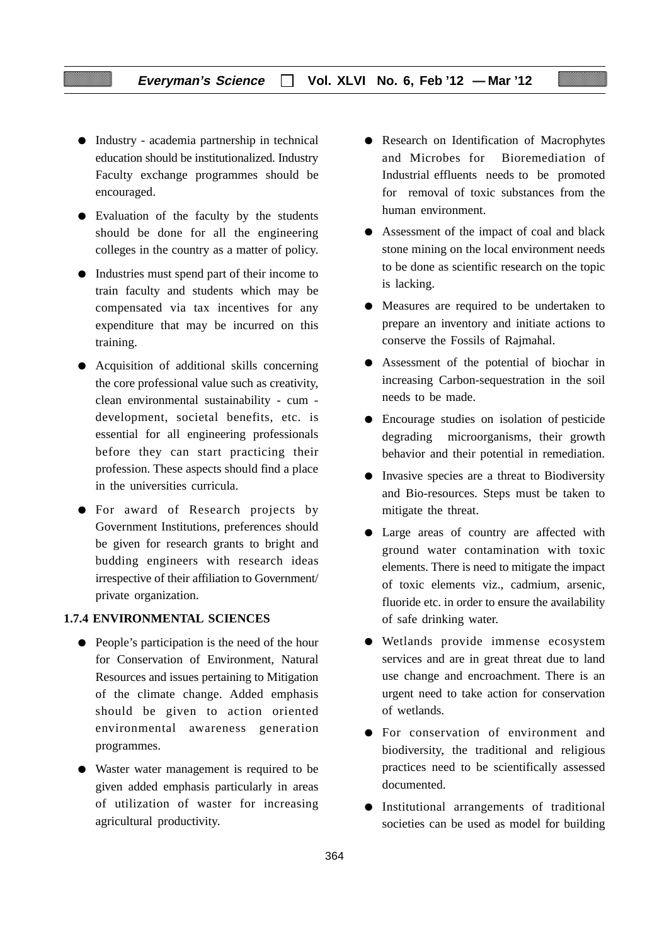- Industry academia partnership in technical education should be institutionalized. Industry Faculty exchange programmes should be encouraged.
- Evaluation of the faculty by the students should be done for all the engineering colleges in the country as a matter of policy.
- Industries must spend part of their income to train faculty and students which may be compensated via tax incentives for any expenditure that may be incurred on this training.
- Acquisition of additional skills concerning the core professional value such as creativity, clean environmental sustainability - cum development, societal benefits, etc. is essential for all engineering professionals before they can start practicing their profession. These aspects should find a place in the universities curricula.
- For award of Research projects by Government Institutions, preferences should be given for research grants to bright and budding engineers with research ideas irrespective of their affiliation to Government/ private organization.

#### **1.7.4 ENVIRONMENTAL SCIENCES**

- People's participation is the need of the hour for Conservation of Environment, Natural Resources and issues pertaining to Mitigation of the climate change. Added emphasis should be given to action oriented environmental awareness generation programmes.
- Waster water management is required to be given added emphasis particularly in areas of utilization of waster for increasing agricultural productivity.
- Research on Identification of Macrophytes and Microbes for Bioremediation of Industrial effluents needs to be promoted for removal of toxic substances from the human environment.
- Assessment of the impact of coal and black stone mining on the local environment needs to be done as scientific research on the topic is lacking.
- Measures are required to be undertaken to prepare an inventory and initiate actions to conserve the Fossils of Rajmahal.
- Assessment of the potential of biochar in increasing Carbon-sequestration in the soil needs to be made.
- Encourage studies on isolation of pesticide degrading microorganisms, their growth behavior and their potential in remediation.
- Invasive species are a threat to Biodiversity and Bio-resources. Steps must be taken to mitigate the threat.
- Large areas of country are affected with ground water contamination with toxic elements. There is need to mitigate the impact of toxic elements viz., cadmium, arsenic, fluoride etc. in order to ensure the availability of safe drinking water.
- Wetlands provide immense ecosystem services and are in great threat due to land use change and encroachment. There is an urgent need to take action for conservation of wetlands.
- For conservation of environment and biodiversity, the traditional and religious practices need to be scientifically assessed documented.
- Institutional arrangements of traditional societies can be used as model for building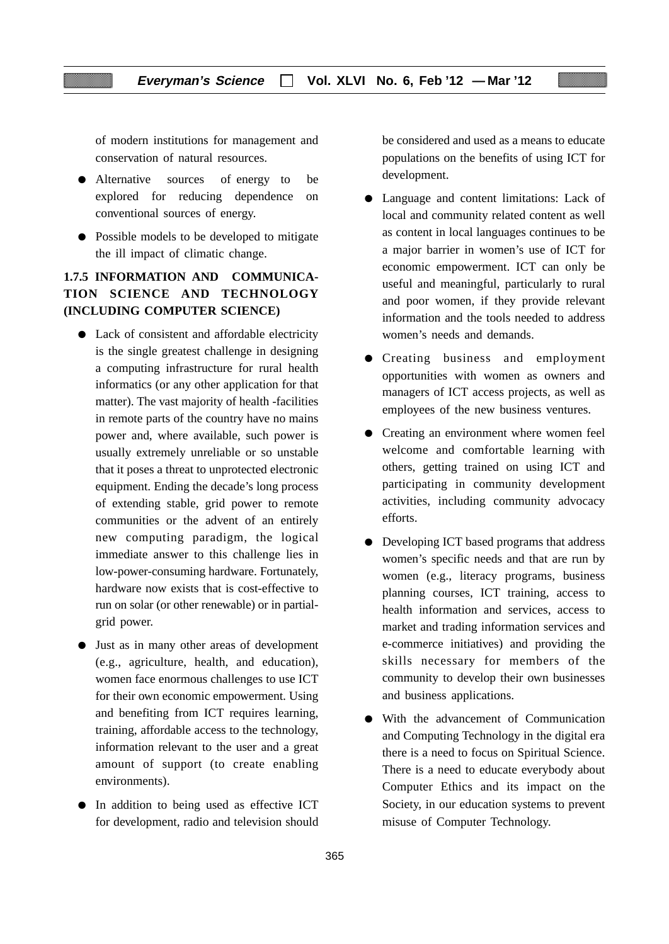of modern institutions for management and conservation of natural resources.

- Alternative sources of energy to be explored for reducing dependence on conventional sources of energy.
- Possible models to be developed to mitigate the ill impact of climatic change.

## **1.7.5 INFORMATION AND COMMUNICA-TION SCIENCE AND TECHNOLOGY (INCLUDING COMPUTER SCIENCE)**

- Lack of consistent and affordable electricity is the single greatest challenge in designing a computing infrastructure for rural health informatics (or any other application for that matter). The vast majority of health -facilities in remote parts of the country have no mains power and, where available, such power is usually extremely unreliable or so unstable that it poses a threat to unprotected electronic equipment. Ending the decade's long process of extending stable, grid power to remote communities or the advent of an entirely new computing paradigm, the logical immediate answer to this challenge lies in low-power-consuming hardware. Fortunately, hardware now exists that is cost-effective to run on solar (or other renewable) or in partialgrid power.
- Just as in many other areas of development (e.g., agriculture, health, and education), women face enormous challenges to use ICT for their own economic empowerment. Using and benefiting from ICT requires learning, training, affordable access to the technology, information relevant to the user and a great amount of support (to create enabling environments).
- In addition to being used as effective ICT for development, radio and television should

be considered and used as a means to educate populations on the benefits of using ICT for development.

- Language and content limitations: Lack of local and community related content as well as content in local languages continues to be a major barrier in women's use of ICT for economic empowerment. ICT can only be useful and meaningful, particularly to rural and poor women, if they provide relevant information and the tools needed to address women's needs and demands.
- Creating business and employment opportunities with women as owners and managers of ICT access projects, as well as employees of the new business ventures.
- Creating an environment where women feel welcome and comfortable learning with others, getting trained on using ICT and participating in community development activities, including community advocacy efforts.
- Developing ICT based programs that address women's specific needs and that are run by women (e.g., literacy programs, business planning courses, ICT training, access to health information and services, access to market and trading information services and e-commerce initiatives) and providing the skills necessary for members of the community to develop their own businesses and business applications.
- With the advancement of Communication and Computing Technology in the digital era there is a need to focus on Spiritual Science. There is a need to educate everybody about Computer Ethics and its impact on the Society, in our education systems to prevent misuse of Computer Technology.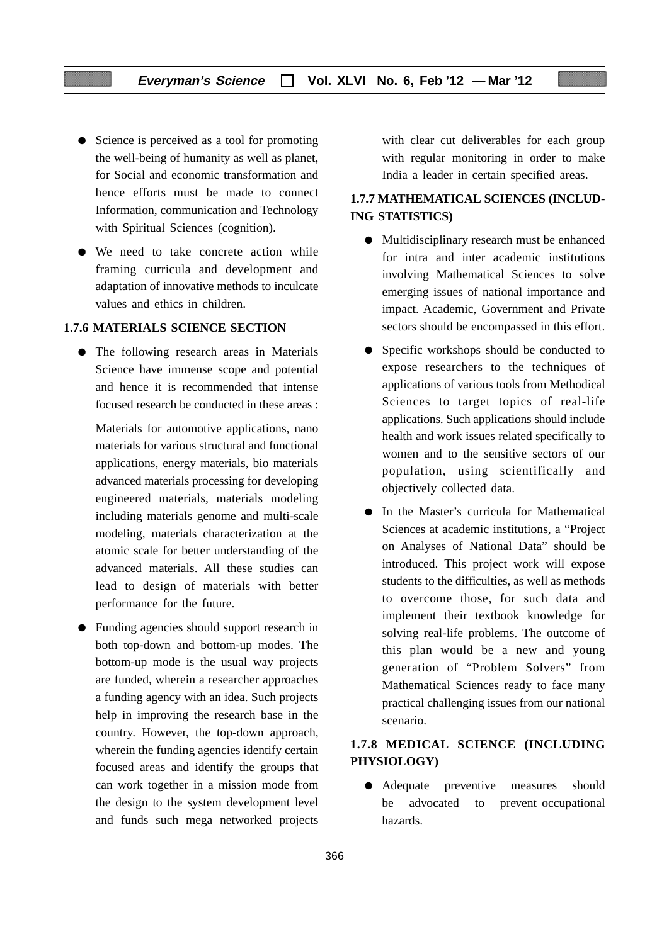- Science is perceived as a tool for promoting the well-being of humanity as well as planet, for Social and economic transformation and hence efforts must be made to connect Information, communication and Technology with Spiritual Sciences (cognition).
- We need to take concrete action while framing curricula and development and adaptation of innovative methods to inculcate values and ethics in children.

## **1.7.6 MATERIALS SCIENCE SECTION**

● The following research areas in Materials Science have immense scope and potential and hence it is recommended that intense focused research be conducted in these areas :

Materials for automotive applications, nano materials for various structural and functional applications, energy materials, bio materials advanced materials processing for developing engineered materials, materials modeling including materials genome and multi-scale modeling, materials characterization at the atomic scale for better understanding of the advanced materials. All these studies can lead to design of materials with better performance for the future.

● Funding agencies should support research in both top-down and bottom-up modes. The bottom-up mode is the usual way projects are funded, wherein a researcher approaches a funding agency with an idea. Such projects help in improving the research base in the country. However, the top-down approach, wherein the funding agencies identify certain focused areas and identify the groups that can work together in a mission mode from the design to the system development level and funds such mega networked projects

with clear cut deliverables for each group with regular monitoring in order to make India a leader in certain specified areas.

## **1.7.7 MATHEMATICAL SCIENCES (INCLUD-ING STATISTICS)**

- Multidisciplinary research must be enhanced for intra and inter academic institutions involving Mathematical Sciences to solve emerging issues of national importance and impact. Academic, Government and Private sectors should be encompassed in this effort.
- Specific workshops should be conducted to expose researchers to the techniques of applications of various tools from Methodical Sciences to target topics of real-life applications. Such applications should include health and work issues related specifically to women and to the sensitive sectors of our population, using scientifically and objectively collected data.
- In the Master's curricula for Mathematical Sciences at academic institutions, a "Project on Analyses of National Data" should be introduced. This project work will expose students to the difficulties, as well as methods to overcome those, for such data and implement their textbook knowledge for solving real-life problems. The outcome of this plan would be a new and young generation of "Problem Solvers" from Mathematical Sciences ready to face many practical challenging issues from our national scenario.

## **1.7.8 MEDICAL SCIENCE (INCLUDING PHYSIOLOGY)**

● Adequate preventive measures should be advocated to prevent occupational hazards.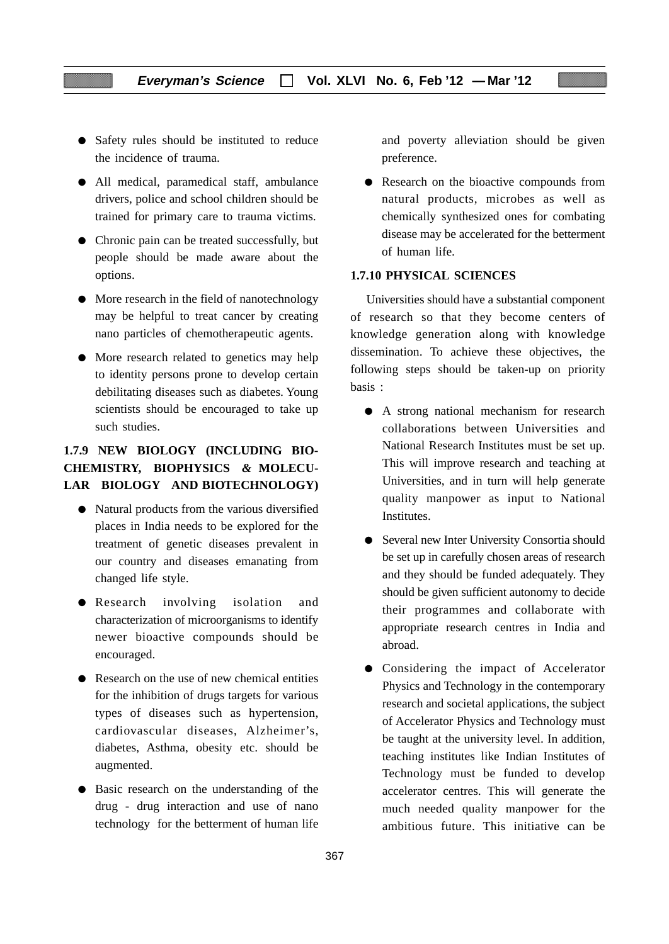- Safety rules should be instituted to reduce the incidence of trauma.
- All medical, paramedical staff, ambulance drivers, police and school children should be trained for primary care to trauma victims.
- Chronic pain can be treated successfully, but people should be made aware about the options.
- More research in the field of nanotechnology may be helpful to treat cancer by creating nano particles of chemotherapeutic agents.
- More research related to genetics may help to identity persons prone to develop certain debilitating diseases such as diabetes. Young scientists should be encouraged to take up such studies.

## **1.7.9 NEW BIOLOGY (INCLUDING BIO-CHEMISTRY, BIOPHYSICS** *&* **MOLECU-LAR BIOLOGY AND BIOTECHNOLOGY)**

- Natural products from the various diversified places in India needs to be explored for the treatment of genetic diseases prevalent in our country and diseases emanating from changed life style.
- Research involving isolation and characterization of microorganisms to identify newer bioactive compounds should be encouraged.
- Research on the use of new chemical entities for the inhibition of drugs targets for various types of diseases such as hypertension, cardiovascular diseases, Alzheimer's, diabetes, Asthma, obesity etc. should be augmented.
- Basic research on the understanding of the drug - drug interaction and use of nano technology for the betterment of human life

and poverty alleviation should be given preference.

● Research on the bioactive compounds from natural products, microbes as well as chemically synthesized ones for combating disease may be accelerated for the betterment of human life.

## **1.7.10 PHYSICAL SCIENCES**

Universities should have a substantial component of research so that they become centers of knowledge generation along with knowledge dissemination. To achieve these objectives, the following steps should be taken-up on priority basis :

- A strong national mechanism for research collaborations between Universities and National Research Institutes must be set up. This will improve research and teaching at Universities, and in turn will help generate quality manpower as input to National Institutes.
- Several new Inter University Consortia should be set up in carefully chosen areas of research and they should be funded adequately. They should be given sufficient autonomy to decide their programmes and collaborate with appropriate research centres in India and abroad.
- Considering the impact of Accelerator Physics and Technology in the contemporary research and societal applications, the subject of Accelerator Physics and Technology must be taught at the university level. In addition, teaching institutes like Indian Institutes of Technology must be funded to develop accelerator centres. This will generate the much needed quality manpower for the ambitious future. This initiative can be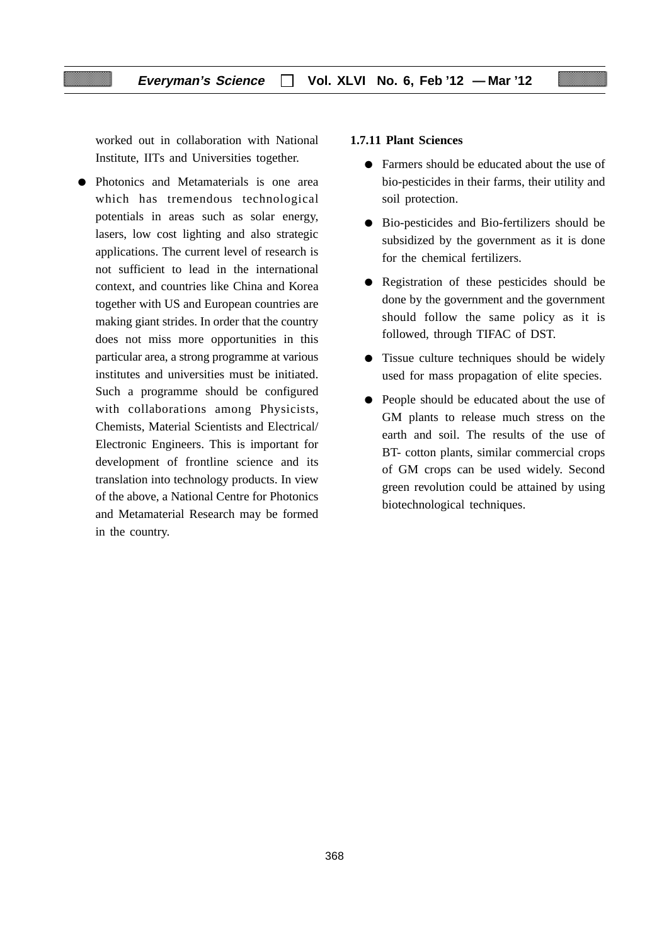worked out in collaboration with National Institute, IITs and Universities together.

● Photonics and Metamaterials is one area which has tremendous technological potentials in areas such as solar energy, lasers, low cost lighting and also strategic applications. The current level of research is not sufficient to lead in the international context, and countries like China and Korea together with US and European countries are making giant strides. In order that the country does not miss more opportunities in this particular area, a strong programme at various institutes and universities must be initiated. Such a programme should be configured with collaborations among Physicists, Chemists, Material Scientists and Electrical/ Electronic Engineers. This is important for development of frontline science and its translation into technology products. In view of the above, a National Centre for Photonics and Metamaterial Research may be formed in the country.

## **1.7.11 Plant Sciences**

- Farmers should be educated about the use of bio-pesticides in their farms, their utility and soil protection.
- Bio-pesticides and Bio-fertilizers should be subsidized by the government as it is done for the chemical fertilizers.
- Registration of these pesticides should be done by the government and the government should follow the same policy as it is followed, through TIFAC of DST.
- Tissue culture techniques should be widely used for mass propagation of elite species.
- People should be educated about the use of GM plants to release much stress on the earth and soil. The results of the use of BT- cotton plants, similar commercial crops of GM crops can be used widely. Second green revolution could be attained by using biotechnological techniques.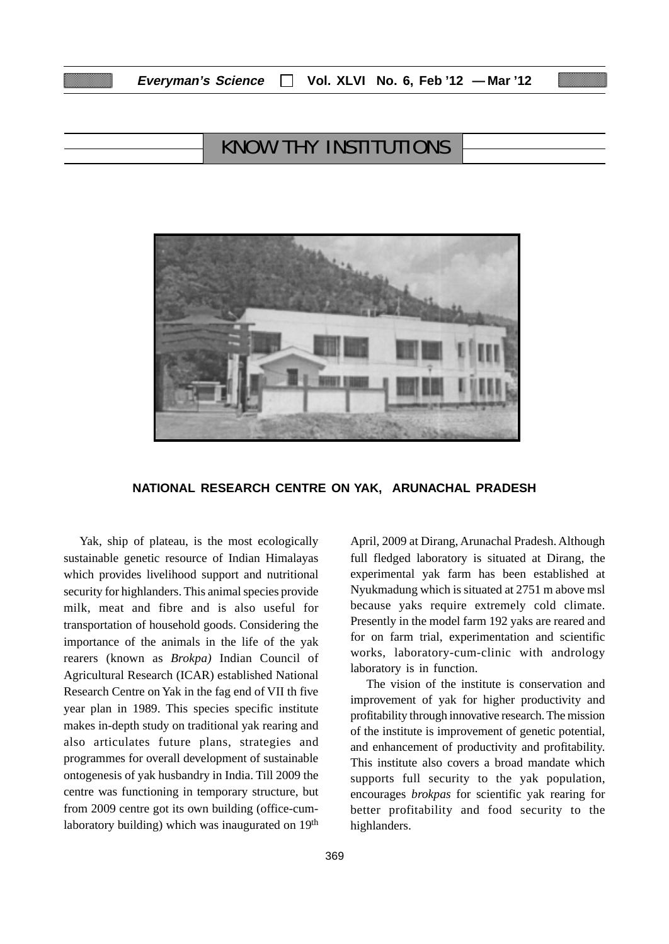| Everyman's Science |  | $\Box$ Vol. XLVI No. 6, Feb '12 - Mar '12 |  |  |  |
|--------------------|--|-------------------------------------------|--|--|--|
|--------------------|--|-------------------------------------------|--|--|--|

# KNOW THY INSTITUTIONS



#### **NATIONAL RESEARCH CENTRE ON YAK, ARUNACHAL PRADESH**

Yak, ship of plateau, is the most ecologically sustainable genetic resource of Indian Himalayas which provides livelihood support and nutritional security for highlanders. This animal species provide milk, meat and fibre and is also useful for transportation of household goods. Considering the importance of the animals in the life of the yak rearers (known as *Brokpa)* Indian Council of Agricultural Research (ICAR) established National Research Centre on Yak in the fag end of VII th five year plan in 1989. This species specific institute makes in-depth study on traditional yak rearing and also articulates future plans, strategies and programmes for overall development of sustainable ontogenesis of yak husbandry in India. Till 2009 the centre was functioning in temporary structure, but from 2009 centre got its own building (office-cumlaboratory building) which was inaugurated on 19<sup>th</sup>

April, 2009 at Dirang, Arunachal Pradesh. Although full fledged laboratory is situated at Dirang, the experimental yak farm has been established at Nyukmadung which is situated at 2751 m above msl because yaks require extremely cold climate. Presently in the model farm 192 yaks are reared and for on farm trial, experimentation and scientific works, laboratory-cum-clinic with andrology laboratory is in function.

The vision of the institute is conservation and improvement of yak for higher productivity and profitability through innovative research. The mission of the institute is improvement of genetic potential, and enhancement of productivity and profitability. This institute also covers a broad mandate which supports full security to the yak population, encourages *brokpas* for scientific yak rearing for better profitability and food security to the highlanders.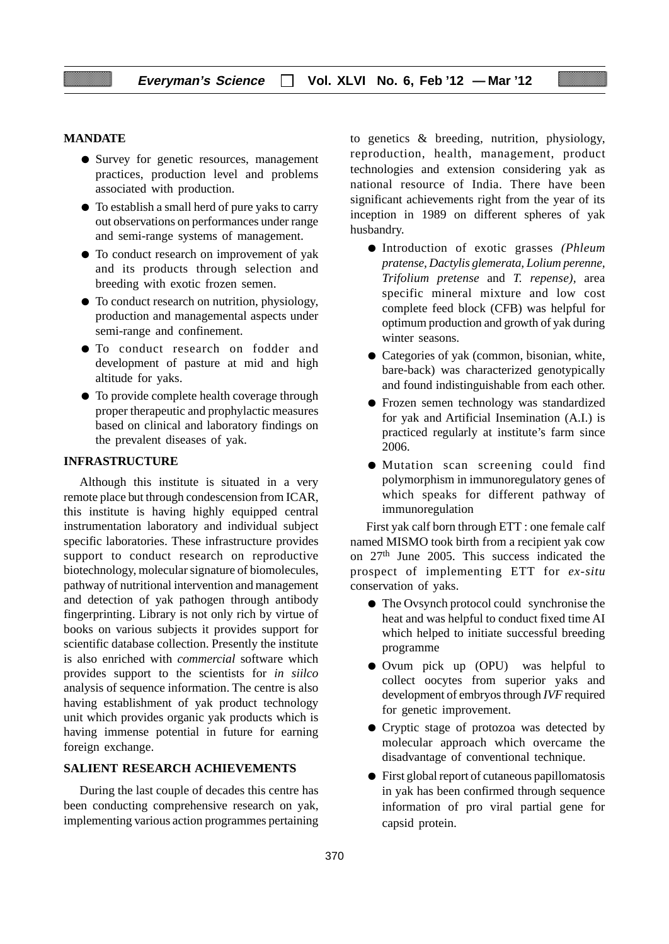#### **MANDATE**

- Survey for genetic resources, management practices, production level and problems associated with production.
- To establish a small herd of pure yaks to carry out observations on performances under range and semi-range systems of management.
- To conduct research on improvement of yak and its products through selection and breeding with exotic frozen semen.
- To conduct research on nutrition, physiology, production and managemental aspects under semi-range and confinement.
- To conduct research on fodder and development of pasture at mid and high altitude for yaks.
- To provide complete health coverage through proper therapeutic and prophylactic measures based on clinical and laboratory findings on the prevalent diseases of yak.

## **INFRASTRUCTURE**

Although this institute is situated in a very remote place but through condescension from ICAR, this institute is having highly equipped central instrumentation laboratory and individual subject specific laboratories. These infrastructure provides support to conduct research on reproductive biotechnology, molecular signature of biomolecules, pathway of nutritional intervention and management and detection of yak pathogen through antibody fingerprinting. Library is not only rich by virtue of books on various subjects it provides support for scientific database collection. Presently the institute is also enriched with *commercial* software which provides support to the scientists for *in siilco* analysis of sequence information. The centre is also having establishment of yak product technology unit which provides organic yak products which is having immense potential in future for earning foreign exchange.

#### **SALIENT RESEARCH ACHIEVEMENTS**

During the last couple of decades this centre has been conducting comprehensive research on yak, implementing various action programmes pertaining to genetics & breeding, nutrition, physiology, reproduction, health, management, product technologies and extension considering yak as national resource of India. There have been significant achievements right from the year of its inception in 1989 on different spheres of yak husbandry.

- Introduction of exotic grasses *(Phleum pratense, Dactylis glemerata, Lolium perenne, Trifolium pretense* and *T. repense),* area specific mineral mixture and low cost complete feed block (CFB) was helpful for optimum production and growth of yak during winter seasons.
- Categories of yak (common, bisonian, white, bare-back) was characterized genotypically and found indistinguishable from each other.
- Frozen semen technology was standardized for yak and Artificial Insemination (A.I.) is practiced regularly at institute's farm since 2006.
- Mutation scan screening could find polymorphism in immunoregulatory genes of which speaks for different pathway of immunoregulation

First yak calf born through ETT : one female calf named MISMO took birth from a recipient yak cow on 27th June 2005. This success indicated the prospect of implementing ETT for *ex-situ* conservation of yaks.

- The Ovsynch protocol could synchronise the heat and was helpful to conduct fixed time AI which helped to initiate successful breeding programme
- Ovum pick up (OPU) was helpful to collect oocytes from superior yaks and development of embryos through *IVF* required for genetic improvement.
- Cryptic stage of protozoa was detected by molecular approach which overcame the disadvantage of conventional technique.
- First global report of cutaneous papillomatosis in yak has been confirmed through sequence information of pro viral partial gene for capsid protein.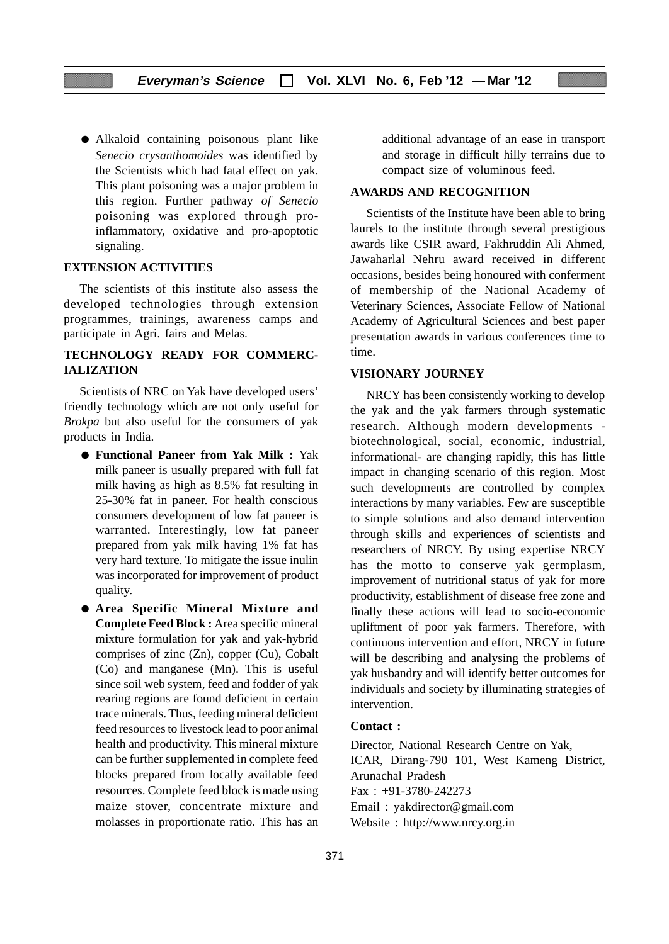● Alkaloid containing poisonous plant like *Senecio crysanthomoides* was identified by the Scientists which had fatal effect on yak. This plant poisoning was a major problem in this region. Further pathway *of Senecio* poisoning was explored through proinflammatory, oxidative and pro-apoptotic signaling.

#### **EXTENSION ACTIVITIES**

The scientists of this institute also assess the developed technologies through extension programmes, trainings, awareness camps and participate in Agri. fairs and Melas.

## **TECHNOLOGY READY FOR COMMERC-IALIZATION**

Scientists of NRC on Yak have developed users' friendly technology which are not only useful for *Brokpa* but also useful for the consumers of yak products in India.

- **Functional Paneer from Yak Milk :** Yak milk paneer is usually prepared with full fat milk having as high as 8.5% fat resulting in 25-30% fat in paneer. For health conscious consumers development of low fat paneer is warranted. Interestingly, low fat paneer prepared from yak milk having 1% fat has very hard texture. To mitigate the issue inulin was incorporated for improvement of product quality.
- **Area Specific Mineral Mixture and Complete Feed Block :** Area specific mineral mixture formulation for yak and yak-hybrid comprises of zinc (Zn), copper (Cu), Cobalt (Co) and manganese (Mn). This is useful since soil web system, feed and fodder of yak rearing regions are found deficient in certain trace minerals. Thus, feeding mineral deficient feed resources to livestock lead to poor animal health and productivity. This mineral mixture can be further supplemented in complete feed blocks prepared from locally available feed resources. Complete feed block is made using maize stover, concentrate mixture and molasses in proportionate ratio. This has an

additional advantage of an ease in transport and storage in difficult hilly terrains due to compact size of voluminous feed.

#### **AWARDS AND RECOGNITION**

Scientists of the Institute have been able to bring laurels to the institute through several prestigious awards like CSIR award, Fakhruddin Ali Ahmed, Jawaharlal Nehru award received in different occasions, besides being honoured with conferment of membership of the National Academy of Veterinary Sciences, Associate Fellow of National Academy of Agricultural Sciences and best paper presentation awards in various conferences time to time.

#### **VISIONARY JOURNEY**

NRCY has been consistently working to develop the yak and the yak farmers through systematic research. Although modern developments biotechnological, social, economic, industrial, informational- are changing rapidly, this has little impact in changing scenario of this region. Most such developments are controlled by complex interactions by many variables. Few are susceptible to simple solutions and also demand intervention through skills and experiences of scientists and researchers of NRCY. By using expertise NRCY has the motto to conserve yak germplasm, improvement of nutritional status of yak for more productivity, establishment of disease free zone and finally these actions will lead to socio-economic upliftment of poor yak farmers. Therefore, with continuous intervention and effort, NRCY in future will be describing and analysing the problems of yak husbandry and will identify better outcomes for individuals and society by illuminating strategies of intervention.

#### **Contact :**

Director, National Research Centre on Yak, ICAR, Dirang-790 101, West Kameng District, Arunachal Pradesh Fax : +91-3780-242273 Email : yakdirector@gmail.com Website : http://www.nrcy.org.in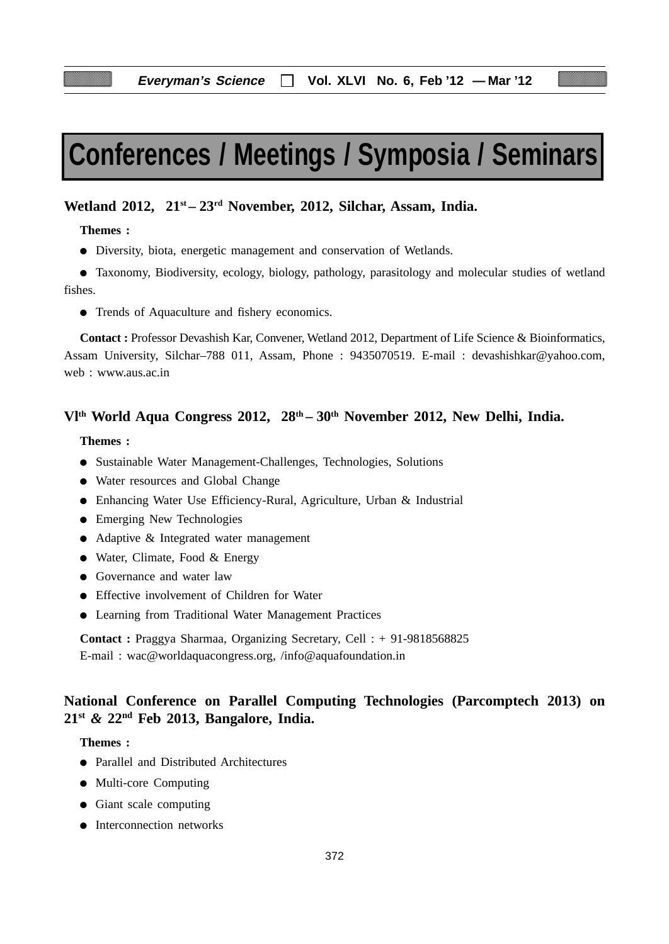# **Conferences / Meetings / Symposia / Seminars**

## Wetland 2012, 21<sup>st</sup> – 23<sup>rd</sup> November, 2012, Silchar, Assam, India.

#### **Themes :**

● Diversity, biota, energetic management and conservation of Wetlands.

● Taxonomy, Biodiversity, ecology, biology, pathology, parasitology and molecular studies of wetland fishes.

● Trends of Aquaculture and fishery economics.

**Contact :** Professor Devashish Kar, Convener, Wetland 2012, Department of Life Science & Bioinformatics, Assam University, Silchar–788 011, Assam, Phone : 9435070519. E-mail : devashishkar@yahoo.com, web : www.aus.ac.in

## **Vlth World Aqua Congress 2012, 28th – 30th November 2012, New Delhi, India.**

## **Themes :**

- Sustainable Water Management-Challenges, Technologies, Solutions
- Water resources and Global Change
- Enhancing Water Use Efficiency-Rural, Agriculture, Urban & Industrial
- Emerging New Technologies
- Adaptive & Integrated water management
- Water, Climate, Food & Energy
- Governance and water law
- Effective involvement of Children for Water
- Learning from Traditional Water Management Practices

**Contact :** Praggya Sharmaa, Organizing Secretary, Cell : + 91-9818568825 E-mail : wac@worldaquacongress.org, /info@aquafoundation.in

## **National Conference on Parallel Computing Technologies (Parcomptech 2013) on 21st** *&* **22nd Feb 2013, Bangalore, India.**

#### **Themes :**

- Parallel and Distributed Architectures
- Multi-core Computing
- Giant scale computing
- Interconnection networks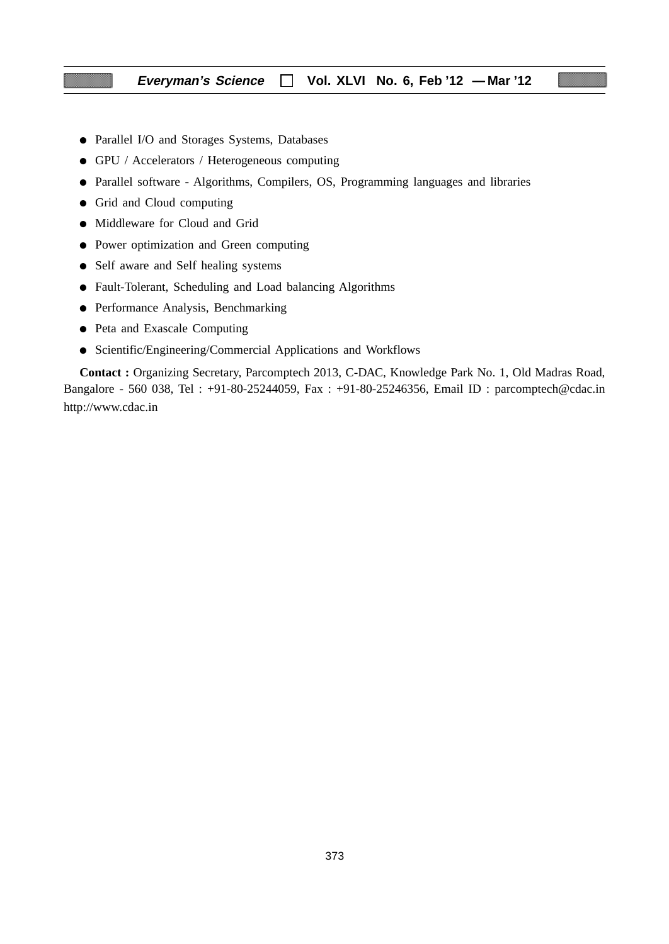- Parallel I/O and Storages Systems, Databases
- GPU / Accelerators / Heterogeneous computing
- Parallel software Algorithms, Compilers, OS, Programming languages and libraries
- Grid and Cloud computing
- Middleware for Cloud and Grid
- Power optimization and Green computing
- Self aware and Self healing systems
- Fault-Tolerant, Scheduling and Load balancing Algorithms
- Performance Analysis, Benchmarking
- Peta and Exascale Computing
- Scientific/Engineering/Commercial Applications and Workflows

**Contact :** Organizing Secretary, Parcomptech 2013, C-DAC, Knowledge Park No. 1, Old Madras Road, Bangalore - 560 038, Tel : +91-80-25244059, Fax : +91-80-25246356, Email ID : parcomptech@cdac.in http://www.cdac.in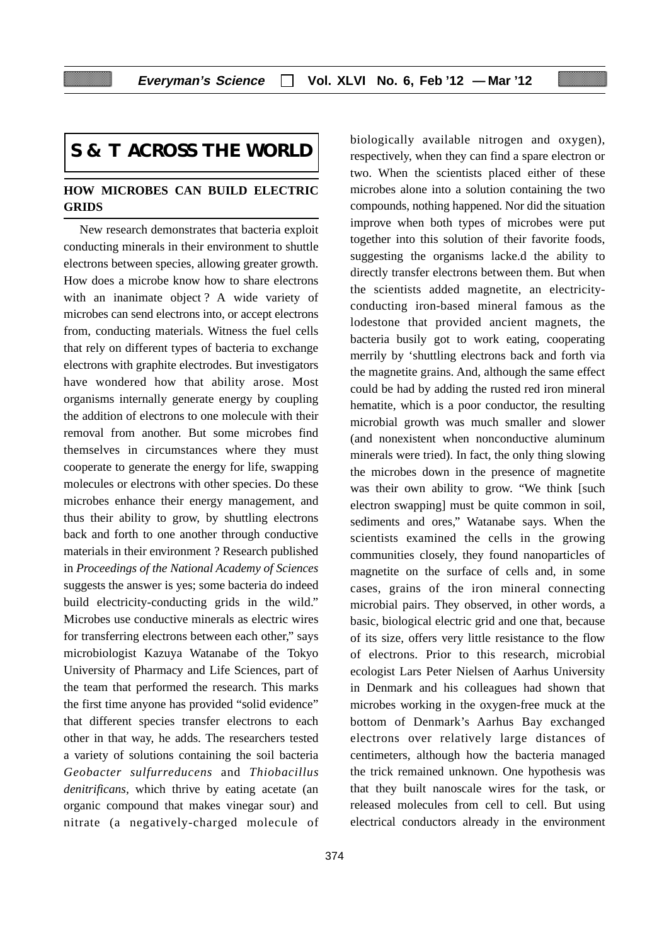## **S & T ACROSS THE WORLD**

## **HOW MICROBES CAN BUILD ELECTRIC GRIDS**

New research demonstrates that bacteria exploit conducting minerals in their environment to shuttle electrons between species, allowing greater growth. How does a microbe know how to share electrons with an inanimate object? A wide variety of microbes can send electrons into, or accept electrons from, conducting materials. Witness the fuel cells that rely on different types of bacteria to exchange electrons with graphite electrodes. But investigators have wondered how that ability arose. Most organisms internally generate energy by coupling the addition of electrons to one molecule with their removal from another. But some microbes find themselves in circumstances where they must cooperate to generate the energy for life, swapping molecules or electrons with other species. Do these microbes enhance their energy management, and thus their ability to grow, by shuttling electrons back and forth to one another through conductive materials in their environment ? Research published in *Proceedings of the National Academy of Sciences* suggests the answer is yes; some bacteria do indeed build electricity-conducting grids in the wild." Microbes use conductive minerals as electric wires for transferring electrons between each other," says microbiologist Kazuya Watanabe of the Tokyo University of Pharmacy and Life Sciences, part of the team that performed the research. This marks the first time anyone has provided "solid evidence" that different species transfer electrons to each other in that way, he adds. The researchers tested a variety of solutions containing the soil bacteria *Geobacter sulfurreducens* and *Thiobacillus denitrificans,* which thrive by eating acetate (an organic compound that makes vinegar sour) and nitrate (a negatively-charged molecule of biologically available nitrogen and oxygen), respectively, when they can find a spare electron or two. When the scientists placed either of these microbes alone into a solution containing the two compounds, nothing happened. Nor did the situation improve when both types of microbes were put together into this solution of their favorite foods, suggesting the organisms lacke.d the ability to directly transfer electrons between them. But when the scientists added magnetite, an electricityconducting iron-based mineral famous as the lodestone that provided ancient magnets, the bacteria busily got to work eating, cooperating merrily by 'shuttling electrons back and forth via the magnetite grains. And, although the same effect could be had by adding the rusted red iron mineral hematite, which is a poor conductor, the resulting microbial growth was much smaller and slower (and nonexistent when nonconductive aluminum minerals were tried). In fact, the only thing slowing the microbes down in the presence of magnetite was their own ability to grow. "We think [such electron swapping] must be quite common in soil, sediments and ores," Watanabe says. When the scientists examined the cells in the growing communities closely, they found nanoparticles of magnetite on the surface of cells and, in some cases, grains of the iron mineral connecting microbial pairs. They observed, in other words, a basic, biological electric grid and one that, because of its size, offers very little resistance to the flow of electrons. Prior to this research, microbial ecologist Lars Peter Nielsen of Aarhus University in Denmark and his colleagues had shown that microbes working in the oxygen-free muck at the bottom of Denmark's Aarhus Bay exchanged electrons over relatively large distances of centimeters, although how the bacteria managed the trick remained unknown. One hypothesis was that they built nanoscale wires for the task, or released molecules from cell to cell. But using electrical conductors already in the environment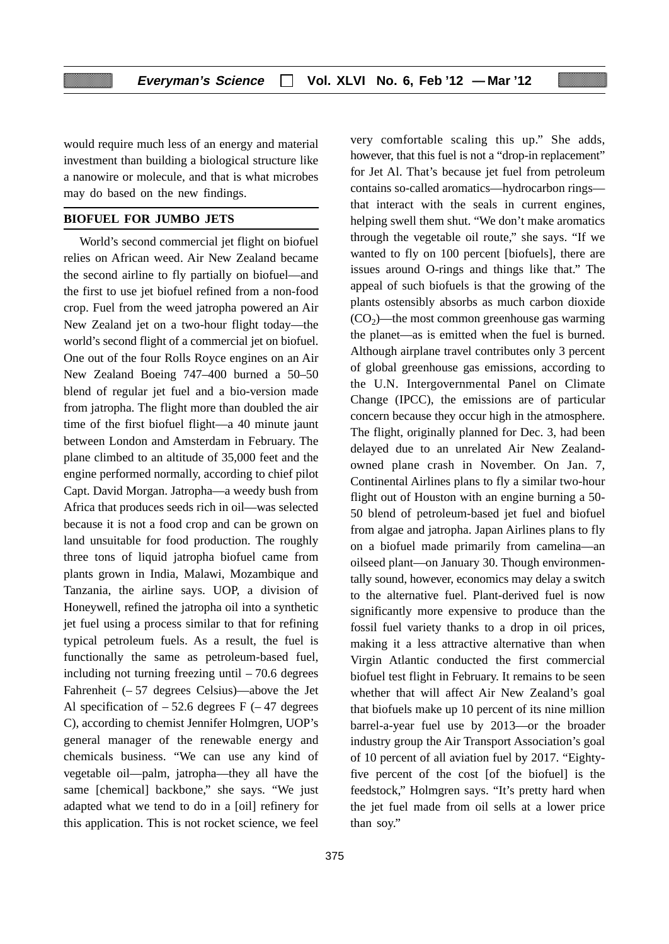would require much less of an energy and material investment than building a biological structure like a nanowire or molecule, and that is what microbes may do based on the new findings.

#### **BIOFUEL FOR JUMBO JETS**

World's second commercial jet flight on biofuel relies on African weed. Air New Zealand became the second airline to fly partially on biofuel—and the first to use jet biofuel refined from a non-food crop. Fuel from the weed jatropha powered an Air New Zealand jet on a two-hour flight today—the world's second flight of a commercial jet on biofuel. One out of the four Rolls Royce engines on an Air New Zealand Boeing 747–400 burned a 50–50 blend of regular jet fuel and a bio-version made from jatropha. The flight more than doubled the air time of the first biofuel flight—a 40 minute jaunt between London and Amsterdam in February. The plane climbed to an altitude of 35,000 feet and the engine performed normally, according to chief pilot Capt. David Morgan. Jatropha—a weedy bush from Africa that produces seeds rich in oil—was selected because it is not a food crop and can be grown on land unsuitable for food production. The roughly three tons of liquid jatropha biofuel came from plants grown in India, Malawi, Mozambique and Tanzania, the airline says. UOP, a division of Honeywell, refined the jatropha oil into a synthetic jet fuel using a process similar to that for refining typical petroleum fuels. As a result, the fuel is functionally the same as petroleum-based fuel, including not turning freezing until – 70.6 degrees Fahrenheit (– 57 degrees Celsius)—above the Jet Al specification of  $-52.6$  degrees F ( $-47$  degrees C), according to chemist Jennifer Holmgren, UOP's general manager of the renewable energy and chemicals business. "We can use any kind of vegetable oil—palm, jatropha—they all have the same [chemical] backbone," she says. "We just adapted what we tend to do in a [oil] refinery for this application. This is not rocket science, we feel

375

very comfortable scaling this up." She adds, however, that this fuel is not a "drop-in replacement" for Jet Al. That's because jet fuel from petroleum contains so-called aromatics—hydrocarbon rings that interact with the seals in current engines, helping swell them shut. "We don't make aromatics through the vegetable oil route," she says. "If we wanted to fly on 100 percent [biofuels], there are issues around O-rings and things like that." The appeal of such biofuels is that the growing of the plants ostensibly absorbs as much carbon dioxide  $(CO<sub>2</sub>)$ —the most common greenhouse gas warming the planet—as is emitted when the fuel is burned. Although airplane travel contributes only 3 percent of global greenhouse gas emissions, according to the U.N. Intergovernmental Panel on Climate Change (IPCC), the emissions are of particular concern because they occur high in the atmosphere. The flight, originally planned for Dec. 3, had been delayed due to an unrelated Air New Zealandowned plane crash in November. On Jan. 7, Continental Airlines plans to fly a similar two-hour flight out of Houston with an engine burning a 50- 50 blend of petroleum-based jet fuel and biofuel from algae and jatropha. Japan Airlines plans to fly on a biofuel made primarily from camelina—an oilseed plant—on January 30. Though environmentally sound, however, economics may delay a switch to the alternative fuel. Plant-derived fuel is now significantly more expensive to produce than the fossil fuel variety thanks to a drop in oil prices, making it a less attractive alternative than when Virgin Atlantic conducted the first commercial biofuel test flight in February. It remains to be seen whether that will affect Air New Zealand's goal that biofuels make up 10 percent of its nine million barrel-a-year fuel use by 2013—or the broader industry group the Air Transport Association's goal of 10 percent of all aviation fuel by 2017. "Eightyfive percent of the cost [of the biofuel] is the feedstock," Holmgren says. "It's pretty hard when the jet fuel made from oil sells at a lower price than soy."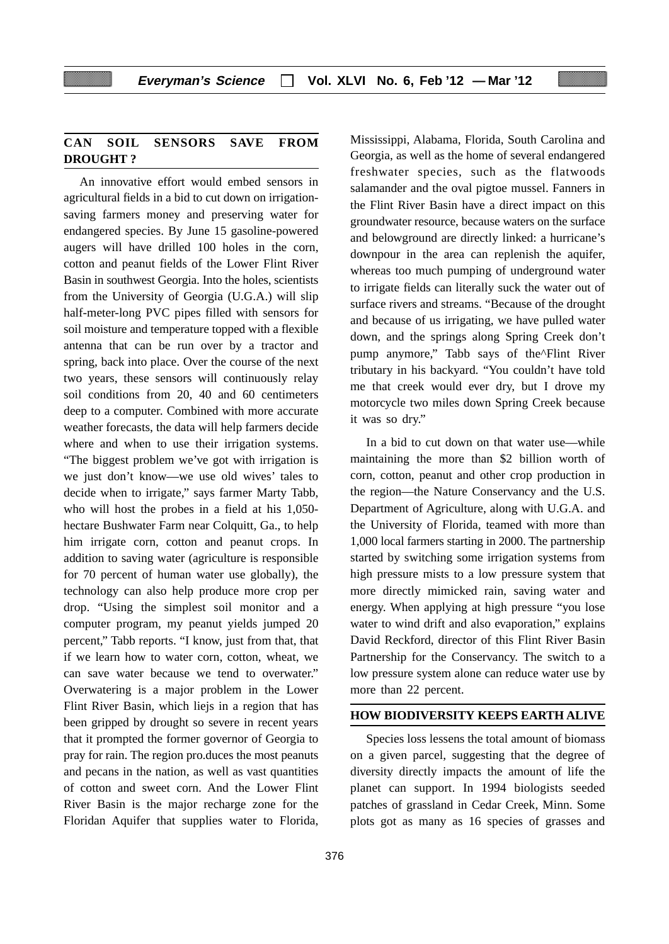## **CAN SOIL SENSORS SAVE FROM DROUGHT ?**

An innovative effort would embed sensors in agricultural fields in a bid to cut down on irrigationsaving farmers money and preserving water for endangered species. By June 15 gasoline-powered augers will have drilled 100 holes in the corn, cotton and peanut fields of the Lower Flint River Basin in southwest Georgia. Into the holes, scientists from the University of Georgia (U.G.A.) will slip half-meter-long PVC pipes filled with sensors for soil moisture and temperature topped with a flexible antenna that can be run over by a tractor and spring, back into place. Over the course of the next two years, these sensors will continuously relay soil conditions from 20, 40 and 60 centimeters deep to a computer. Combined with more accurate weather forecasts, the data will help farmers decide where and when to use their irrigation systems. "The biggest problem we've got with irrigation is we just don't know—we use old wives' tales to decide when to irrigate," says farmer Marty Tabb, who will host the probes in a field at his 1,050 hectare Bushwater Farm near Colquitt, Ga., to help him irrigate corn, cotton and peanut crops. In addition to saving water (agriculture is responsible for 70 percent of human water use globally), the technology can also help produce more crop per drop. "Using the simplest soil monitor and a computer program, my peanut yields jumped 20 percent," Tabb reports. "I know, just from that, that if we learn how to water corn, cotton, wheat, we can save water because we tend to overwater." Overwatering is a major problem in the Lower Flint River Basin, which liejs in a region that has been gripped by drought so severe in recent years that it prompted the former governor of Georgia to pray for rain. The region pro.duces the most peanuts and pecans in the nation, as well as vast quantities of cotton and sweet corn. And the Lower Flint River Basin is the major recharge zone for the Floridan Aquifer that supplies water to Florida,

Mississippi, Alabama, Florida, South Carolina and Georgia, as well as the home of several endangered freshwater species, such as the flatwoods salamander and the oval pigtoe mussel. Fanners in the Flint River Basin have a direct impact on this groundwater resource, because waters on the surface and belowground are directly linked: a hurricane's downpour in the area can replenish the aquifer, whereas too much pumping of underground water to irrigate fields can literally suck the water out of surface rivers and streams. "Because of the drought and because of us irrigating, we have pulled water down, and the springs along Spring Creek don't pump anymore," Tabb says of the^Flint River tributary in his backyard. "You couldn't have told me that creek would ever dry, but I drove my motorcycle two miles down Spring Creek because it was so dry."

In a bid to cut down on that water use—while maintaining the more than \$2 billion worth of corn, cotton, peanut and other crop production in the region—the Nature Conservancy and the U.S. Department of Agriculture, along with U.G.A. and the University of Florida, teamed with more than 1,000 local farmers starting in 2000. The partnership started by switching some irrigation systems from high pressure mists to a low pressure system that more directly mimicked rain, saving water and energy. When applying at high pressure "you lose water to wind drift and also evaporation," explains David Reckford, director of this Flint River Basin Partnership for the Conservancy. The switch to a low pressure system alone can reduce water use by more than 22 percent.

## **HOW BIODIVERSITY KEEPS EARTH ALIVE**

Species loss lessens the total amount of biomass on a given parcel, suggesting that the degree of diversity directly impacts the amount of life the planet can support. In 1994 biologists seeded patches of grassland in Cedar Creek, Minn. Some plots got as many as 16 species of grasses and